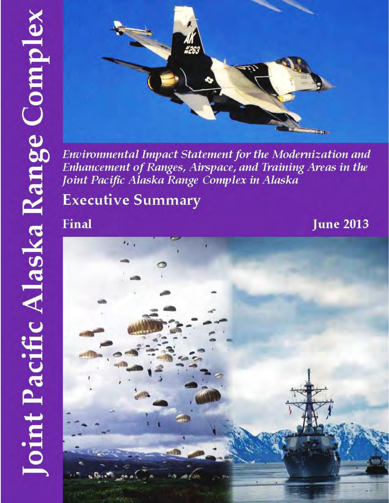

**Environmental Impact Statement for the Modernization and** Enhancement of Ranges, Airspace, and Training Areas in the Joint Pacific Alaska Range Complex in Alaska

# **Executive Summary**

**Final** 

**June 2013** 

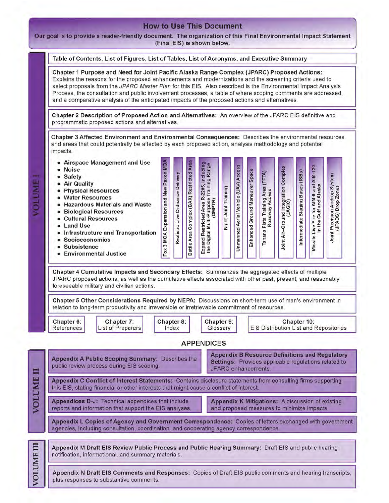### **How to Use This Document**

Our goal is to provide a reader-friendly document. The organization of this Final Environmental Impact Statement (Final EIS) is shown below.

|                                                                                    | Process, the consultation and public involvement processes, a table of where scoping comments are addressed,<br>and a comparative analysis of the anticipated impacts of the proposed actions and alternatives.                                                                                                                                                                                            |                                       |                                  |                                           |                                                                                                 |                      |                                      |                                |                                                                                                |                                                 |                                   |                                                                   |                                                                                                               |
|------------------------------------------------------------------------------------|------------------------------------------------------------------------------------------------------------------------------------------------------------------------------------------------------------------------------------------------------------------------------------------------------------------------------------------------------------------------------------------------------------|---------------------------------------|----------------------------------|-------------------------------------------|-------------------------------------------------------------------------------------------------|----------------------|--------------------------------------|--------------------------------|------------------------------------------------------------------------------------------------|-------------------------------------------------|-----------------------------------|-------------------------------------------------------------------|---------------------------------------------------------------------------------------------------------------|
|                                                                                    | Chapter 2 Description of Proposed Action and Alternatives: An overview of the JPARC EIS definitive and<br>programmatic proposed actions and alternatives.                                                                                                                                                                                                                                                  |                                       |                                  |                                           |                                                                                                 |                      |                                      |                                |                                                                                                |                                                 |                                   |                                                                   |                                                                                                               |
| impacts.                                                                           | Chapter 3 Affected Environment and Environmental Consequences: Describes the environmental resources<br>and areas that could potentially be affected by each proposed action, analysis methodology and potential                                                                                                                                                                                           |                                       |                                  |                                           |                                                                                                 |                      |                                      |                                |                                                                                                |                                                 |                                   |                                                                   |                                                                                                               |
| Noise<br>Safety<br><b>Air Quality</b><br><b>Water Resources</b><br><b>Land Use</b> | <b>Airspace Management and Use</b><br><b>Physical Resources</b><br><b>Hazardous Materials and Waste</b><br><b>Biological Resources</b><br><b>Cultural Resources</b><br>Infrastructure and Transportation                                                                                                                                                                                                   | Fox 3 MOA Expansion and New Paxon MOA | Realistic Live Ordnance Delivery | Battle Area Complex (BAX) Restricted Area | Expand Restricted Area R-2205, including<br>the Digital Multi-Purpose Training Range<br>(DMPTR) | Night Joint Training | Unmanned Aerial Vehicle (UAV) Access | Enhanced Ground Maneuver Space | Tanana Flats Training Area (TFTA)                                                              | Joint Air-Ground Integration Complex<br>(JAGIC) | Intermediate Staging Bases (ISBs) | Missile Live Fire for AIM-9 and AIM-120<br>in the Gulf and Alaska | <b>Joint Precision Airdrop System</b><br>(JPADS) Drop Zones                                                   |
| Socioeconomics<br>Subsistence                                                      | <b>Environmental Justice</b><br>Chapter 4 Cumulative Impacts and Secondary Effects: Summarizes the aggregated effects of multiple<br>JPARC proposed actions, as well as the cumulative effects associated with other past, present, and reasonably<br>foreseeable military and civilian actions.<br>Chapter 5 Other Considerations Required by NEPA: Discussions on short-term use of man's environment in |                                       |                                  |                                           |                                                                                                 |                      |                                      |                                |                                                                                                |                                                 |                                   |                                                                   |                                                                                                               |
| Chapter 6:<br>References                                                           | relation to long-term productivity and irreversible or irretrievable commitment of resources.<br>Chapter 7:                                                                                                                                                                                                                                                                                                |                                       | Chapter 8:<br>Index              |                                           | Chapter 9:                                                                                      |                      |                                      |                                |                                                                                                |                                                 | Chapter 10:                       |                                                                   | EIS Distribution List and Repositories                                                                        |
|                                                                                    | List of Preparers                                                                                                                                                                                                                                                                                                                                                                                          |                                       |                                  |                                           | Glossary<br><b>APPENDICES</b>                                                                   |                      |                                      |                                |                                                                                                |                                                 |                                   |                                                                   |                                                                                                               |
|                                                                                    | Appendix A Public Scoping Summary: Describes the<br>public review process during EIS scoping.                                                                                                                                                                                                                                                                                                              |                                       |                                  |                                           |                                                                                                 |                      |                                      |                                | JPARC enhancements.                                                                            |                                                 |                                   |                                                                   | <b>Appendix B Resource Definitions and Regulatory</b><br>Settings: Provides applicable regulations related to |
|                                                                                    | Appendix C Conflict of Interest Statements: Contains disclosure statements from consulting firms supporting<br>this EIS, stating financial or other interests that might cause a conflict of interest.                                                                                                                                                                                                     |                                       |                                  |                                           |                                                                                                 |                      |                                      |                                |                                                                                                |                                                 |                                   |                                                                   |                                                                                                               |
|                                                                                    | Appendices D-J: Technical appendices that include<br>reports and information that support the EIS analyses.                                                                                                                                                                                                                                                                                                |                                       |                                  |                                           |                                                                                                 |                      |                                      |                                | Appendix K Mitigations: A discussion of existing<br>and proposed measures to minimize impacts. |                                                 |                                   |                                                                   |                                                                                                               |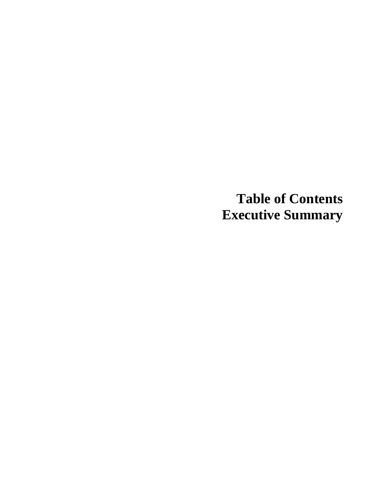**Table of Contents Executive Summary**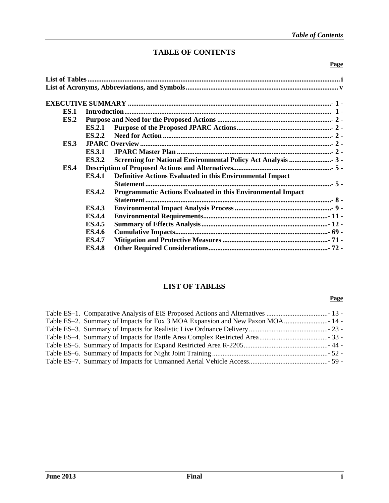## **TABLE OF CONTENTS**

#### **Page**

| <b>ES.1</b> |               |                                                             |  |  |  |
|-------------|---------------|-------------------------------------------------------------|--|--|--|
| ES.2        |               |                                                             |  |  |  |
|             | <b>ES.2.1</b> |                                                             |  |  |  |
|             | <b>ES.2.2</b> |                                                             |  |  |  |
| ES.3        |               |                                                             |  |  |  |
|             | <b>ES.3.1</b> |                                                             |  |  |  |
|             | <b>ES.3.2</b> |                                                             |  |  |  |
| ES.4        |               |                                                             |  |  |  |
|             | <b>ES.4.1</b> | Definitive Actions Evaluated in this Environmental Impact   |  |  |  |
|             |               |                                                             |  |  |  |
|             | <b>ES.4.2</b> | Programmatic Actions Evaluated in this Environmental Impact |  |  |  |
|             |               |                                                             |  |  |  |
|             | <b>ES.4.3</b> |                                                             |  |  |  |
|             | <b>ES.4.4</b> |                                                             |  |  |  |
|             | <b>ES.4.5</b> |                                                             |  |  |  |
|             | <b>ES.4.6</b> |                                                             |  |  |  |
|             | <b>ES.4.7</b> |                                                             |  |  |  |
|             | <b>ES.4.8</b> |                                                             |  |  |  |

### **LIST OF TABLES**

### **Page**

<span id="page-6-0"></span>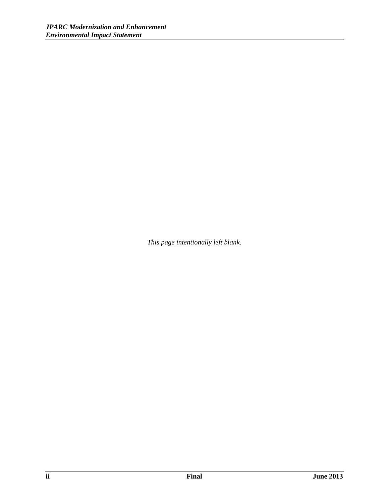*This page intentionally left blank.*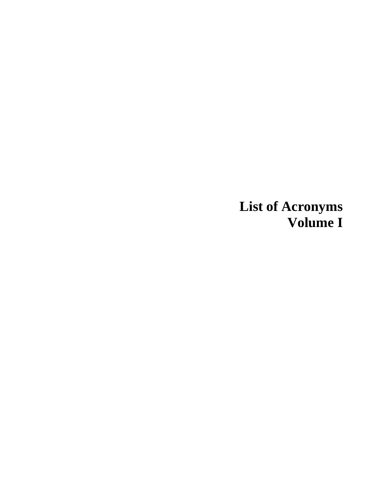**List of Acronyms Volume I**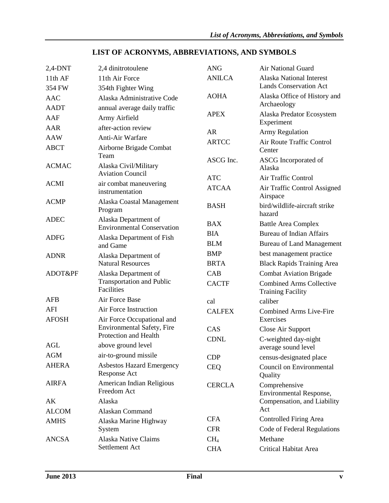# **LIST OF ACRONYMS, ABBREVIATIONS, AND SYMBOLS**

<span id="page-10-0"></span>

| $2,4-DNT$    | 2,4 dinitrotoulene                                        | <b>ANG</b>      | Air National Guard                                          |
|--------------|-----------------------------------------------------------|-----------------|-------------------------------------------------------------|
| 11th AF      | 11th Air Force                                            | <b>ANILCA</b>   | <b>Alaska National Interest</b>                             |
| 354 FW       | 354th Fighter Wing                                        |                 | <b>Lands Conservation Act</b>                               |
| <b>AAC</b>   | Alaska Administrative Code                                | <b>AOHA</b>     | Alaska Office of History and                                |
| <b>AADT</b>  | annual average daily traffic                              |                 | Archaeology                                                 |
| AAF          | Army Airfield                                             | <b>APEX</b>     | Alaska Predator Ecosystem<br>Experiment                     |
| AAR          | after-action review                                       | AR              | <b>Army Regulation</b>                                      |
| <b>AAW</b>   | Anti-Air Warfare                                          | <b>ARTCC</b>    | Air Route Traffic Control                                   |
| <b>ABCT</b>  | Airborne Brigade Combat<br>Team                           |                 | Center                                                      |
| <b>ACMAC</b> | Alaska Civil/Military                                     | ASCG Inc.       | ASCG Incorporated of                                        |
|              | <b>Aviation Council</b>                                   |                 | Alaska                                                      |
| <b>ACMI</b>  | air combat maneuvering                                    | <b>ATC</b>      | Air Traffic Control                                         |
|              | instrumentation                                           | <b>ATCAA</b>    | Air Traffic Control Assigned<br>Airspace                    |
| <b>ACMP</b>  | Alaska Coastal Management                                 | <b>BASH</b>     | bird/wildlife-aircraft strike                               |
|              | Program                                                   |                 | hazard                                                      |
| <b>ADEC</b>  | Alaska Department of<br><b>Environmental Conservation</b> | <b>BAX</b>      | <b>Battle Area Complex</b>                                  |
| <b>ADFG</b>  |                                                           | <b>BIA</b>      | <b>Bureau of Indian Affairs</b>                             |
|              | Alaska Department of Fish<br>and Game                     | <b>BLM</b>      | <b>Bureau of Land Management</b>                            |
| <b>ADNR</b>  | Alaska Department of                                      | <b>BMP</b>      | best management practice                                    |
|              | <b>Natural Resources</b>                                  | <b>BRTA</b>     | <b>Black Rapids Training Area</b>                           |
| ADOT&PF      | Alaska Department of                                      | CAB             | <b>Combat Aviation Brigade</b>                              |
|              | <b>Transportation and Public</b><br>Facilities            | <b>CACTF</b>    | <b>Combined Arms Collective</b><br><b>Training Facility</b> |
| <b>AFB</b>   | Air Force Base                                            | cal             | caliber                                                     |
| AFI          | Air Force Instruction                                     | <b>CALFEX</b>   | <b>Combined Arms Live-Fire</b>                              |
| <b>AFOSH</b> | Air Force Occupational and                                |                 | Exercises                                                   |
|              | <b>Environmental Safety, Fire</b>                         | CAS             | Close Air Support                                           |
|              | Protection and Health                                     | <b>CDNL</b>     | C-weighted day-night                                        |
| AGL          | above ground level                                        |                 | average sound level                                         |
| <b>AGM</b>   | air-to-ground missile                                     | <b>CDP</b>      | census-designated place                                     |
| <b>AHERA</b> | <b>Asbestos Hazard Emergency</b><br>Response Act          | <b>CEQ</b>      | Council on Environmental<br>Quality                         |
| <b>AIRFA</b> | American Indian Religious<br>Freedom Act                  | <b>CERCLA</b>   | Comprehensive<br>Environmental Response,                    |
| AK           | Alaska                                                    |                 | Compensation, and Liability                                 |
| <b>ALCOM</b> | Alaskan Command                                           |                 | Act                                                         |
| <b>AMHS</b>  | Alaska Marine Highway                                     | <b>CFA</b>      | <b>Controlled Firing Area</b>                               |
|              | System                                                    | <b>CFR</b>      | Code of Federal Regulations                                 |
| <b>ANCSA</b> | <b>Alaska Native Claims</b>                               | CH <sub>4</sub> | Methane                                                     |
|              | Settlement Act                                            | <b>CHA</b>      | Critical Habitat Area                                       |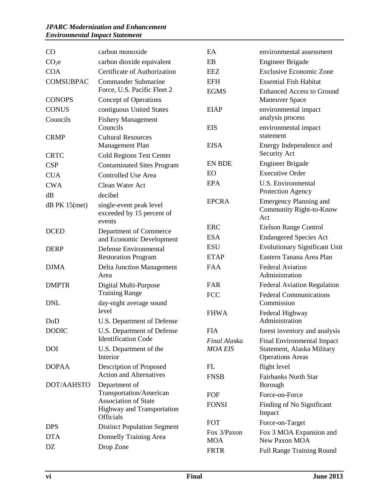#### *JPARC Modernization and Enhancement Environmental Impact Statement*

| CO                  | carbon monoxide                                          | EA                        | environmental assessment                                                            |  |
|---------------------|----------------------------------------------------------|---------------------------|-------------------------------------------------------------------------------------|--|
| CO <sub>2</sub> e   | carbon dioxide equivalent                                | EB                        | <b>Engineer Brigade</b>                                                             |  |
| <b>COA</b>          | Certificate of Authorization                             | <b>EEZ</b>                | <b>Exclusive Economic Zone</b>                                                      |  |
| <b>COMSUBPAC</b>    | <b>Commander Submarine</b>                               | <b>EFH</b>                | <b>Essential Fish Habitat</b>                                                       |  |
|                     | Force, U.S. Pacific Fleet 2                              | <b>EGMS</b>               | <b>Enhanced Access to Ground</b>                                                    |  |
| <b>CONOPS</b>       | <b>Concept of Operations</b>                             |                           | <b>Maneuver Space</b>                                                               |  |
| <b>CONUS</b>        | contiguous United States                                 | <b>EIAP</b>               | environmental impact                                                                |  |
| Councils            | <b>Fishery Management</b><br>Councils                    | <b>EIS</b>                | analysis process<br>environmental impact                                            |  |
| <b>CRMP</b>         | <b>Cultural Resources</b>                                |                           | statement                                                                           |  |
|                     | Management Plan                                          | <b>EISA</b>               | Energy Independence and                                                             |  |
| <b>CRTC</b>         | <b>Cold Regions Test Center</b>                          |                           | Security Act                                                                        |  |
| <b>CSP</b>          | <b>Contaminated Sites Program</b>                        | EN BDE                    | Engineer Brigade                                                                    |  |
| <b>CUA</b>          | <b>Controlled Use Area</b>                               | EO                        | <b>Executive Order</b>                                                              |  |
| <b>CWA</b>          | Clean Water Act                                          | <b>EPA</b>                | U.S. Environmental                                                                  |  |
| dB                  | decibel                                                  |                           | Protection Agency                                                                   |  |
| $dB$ PK 15(met)     | single-event peak level<br>exceeded by 15 percent of     | <b>EPCRA</b>              | <b>Emergency Planning and</b><br>Community Right-to-Know<br>Act                     |  |
| <b>DCED</b>         | events                                                   | <b>ERC</b>                | Eielson Range Control                                                               |  |
|                     | Department of Commerce<br>and Economic Development       | <b>ESA</b>                | <b>Endangered Species Act</b>                                                       |  |
| <b>DERP</b>         | Defense Environmental                                    | <b>ESU</b>                | <b>Evolutionary Significant Unit</b>                                                |  |
|                     | <b>Restoration Program</b>                               | <b>ETAP</b>               | Eastern Tanana Area Plan                                                            |  |
| <b>DJMA</b>         | <b>Delta Junction Management</b><br>Area                 | <b>FAA</b>                | <b>Federal Aviation</b><br>Administration                                           |  |
| <b>DMPTR</b>        | Digital Multi-Purpose                                    | FAR                       | <b>Federal Aviation Regulation</b>                                                  |  |
|                     | <b>Training Range</b>                                    | <b>FCC</b>                | <b>Federal Communications</b>                                                       |  |
| <b>DNL</b>          | day-night average sound                                  |                           | Commission                                                                          |  |
|                     | level                                                    | <b>FHWA</b>               | Federal Highway<br>Administration                                                   |  |
| DoD<br><b>DODIC</b> | U.S. Department of Defense                               | <b>FIA</b>                |                                                                                     |  |
|                     | U.S. Department of Defense<br><b>Identification Code</b> | Final Alaska              | forest inventory and analysis                                                       |  |
| <b>DOI</b>          | U.S. Department of the<br>Interior                       | <b>MOA EIS</b>            | Final Environmental Impact<br>Statement, Alaska Military<br><b>Operations Areas</b> |  |
| <b>DOPAA</b>        | Description of Proposed                                  | FL                        | flight level                                                                        |  |
|                     | <b>Action and Alternatives</b>                           | <b>FNSB</b>               | <b>Fairbanks North Star</b>                                                         |  |
| DOT/AAHSTO          | Department of                                            |                           | Borough                                                                             |  |
|                     | Transportation/American<br><b>Association of State</b>   | FOF                       | Force-on-Force                                                                      |  |
|                     | Highway and Transportation<br><b>Officials</b>           | <b>FONSI</b>              | Finding of No Significant<br>Impact                                                 |  |
| <b>DPS</b>          | <b>Distinct Population Segment</b>                       | <b>FOT</b>                | Force-on-Target                                                                     |  |
| <b>DTA</b>          | Donnelly Training Area                                   | Fox 3/Paxon<br><b>MOA</b> | Fox 3 MOA Expansion and<br>New Paxon MOA                                            |  |
| DZ                  | Drop Zone                                                | <b>FRTR</b>               | <b>Full Range Training Round</b>                                                    |  |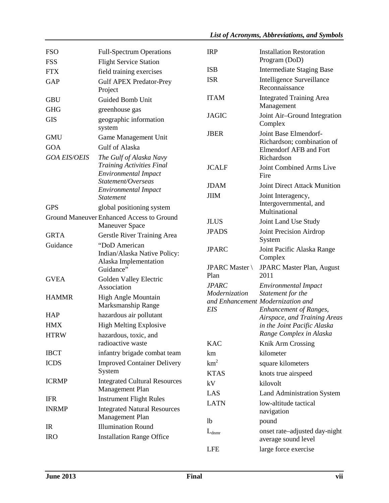| <b>FSO</b><br><b>FSS</b>                        | <b>Full-Spectrum Operations</b><br><b>Flight Service Station</b>         | <b>IRP</b>                  | <b>Installation Restoration</b><br>Program (DoD)                                                   |
|-------------------------------------------------|--------------------------------------------------------------------------|-----------------------------|----------------------------------------------------------------------------------------------------|
| <b>FTX</b>                                      | field training exercises                                                 | <b>ISB</b>                  | <b>Intermediate Staging Base</b>                                                                   |
| <b>GAP</b>                                      | <b>Gulf APEX Predator-Prey</b><br>Project                                | <b>ISR</b>                  | Intelligence Surveillance<br>Reconnaissance                                                        |
| <b>GBU</b><br><b>GHG</b>                        | Guided Bomb Unit<br>greenhouse gas                                       | <b>ITAM</b>                 | <b>Integrated Training Area</b><br>Management                                                      |
| <b>GIS</b>                                      | geographic information<br>system                                         | <b>JAGIC</b>                | Joint Air-Ground Integration<br>Complex                                                            |
| <b>GMU</b><br><b>GOA</b><br><b>GOA EIS/OEIS</b> | Game Management Unit<br><b>Gulf of Alaska</b><br>The Gulf of Alaska Navy | <b>JBER</b>                 | Joint Base Elmendorf-<br>Richardson; combination of<br><b>Elmendorf AFB and Fort</b><br>Richardson |
|                                                 | <b>Training Activities Final</b><br><b>Environmental Impact</b>          | <b>JCALF</b>                | Joint Combined Arms Live<br>Fire                                                                   |
|                                                 | Statement/Overseas<br><b>Environmental Impact</b>                        | <b>JDAM</b>                 | <b>Joint Direct Attack Munition</b>                                                                |
|                                                 | <b>Statement</b>                                                         | <b>JIIM</b>                 | Joint Interagency,                                                                                 |
| <b>GPS</b>                                      | global positioning system                                                |                             | Intergovernmental, and<br>Multinational                                                            |
|                                                 | Ground Maneuver Enhanced Access to Ground<br><b>Maneuver Space</b>       | <b>JLUS</b>                 | Joint Land Use Study                                                                               |
| <b>GRTA</b>                                     | Gerstle River Training Area                                              | <b>JPADS</b>                | Joint Precision Airdrop<br>System                                                                  |
| Guidance                                        | "DoD American<br>Indian/Alaska Native Policy:<br>Alaska Implementation   | <b>JPARC</b>                | Joint Pacific Alaska Range<br>Complex                                                              |
|                                                 | Guidance"                                                                | JPARC Master<br>Plan        | <b>JPARC Master Plan, August</b><br>2011                                                           |
| <b>GVEA</b>                                     | Golden Valley Electric<br>Association                                    | <b>JPARC</b>                | <b>Environmental Impact</b>                                                                        |
| <b>HAMMR</b>                                    | High Angle Mountain<br>Marksmanship Range                                | Modernization<br><b>EIS</b> | Statement for the<br>and Enhancement Modernization and                                             |
| <b>HAP</b>                                      | hazardous air pollutant                                                  |                             | <b>Enhancement of Ranges,</b><br>Airspace, and Training Areas                                      |
| <b>HMX</b>                                      | <b>High Melting Explosive</b>                                            |                             | in the Joint Pacific Alaska                                                                        |
| <b>HTRW</b>                                     | hazardous, toxic, and                                                    |                             | Range Complex in Alaska                                                                            |
|                                                 | radioactive waste                                                        | <b>KAC</b>                  | Knik Arm Crossing                                                                                  |
| <b>IBCT</b>                                     | infantry brigade combat team                                             | km                          | kilometer                                                                                          |
| <b>ICDS</b>                                     | <b>Improved Container Delivery</b><br>System                             | $km^2$                      | square kilometers                                                                                  |
| <b>ICRMP</b>                                    | <b>Integrated Cultural Resources</b>                                     | <b>KTAS</b>                 | knots true airspeed                                                                                |
|                                                 | Management Plan                                                          | kV<br>LAS                   | kilovolt                                                                                           |
| <b>IFR</b>                                      | <b>Instrument Flight Rules</b>                                           | <b>LATN</b>                 | <b>Land Administration System</b><br>low-altitude tactical                                         |
| <b>INRMP</b>                                    | <b>Integrated Natural Resources</b><br>Management Plan                   |                             | navigation                                                                                         |
| IR                                              | <b>Illumination Round</b>                                                | 1 <sub>b</sub>              | pound                                                                                              |
| <b>IRO</b>                                      | <b>Installation Range Office</b>                                         | $L_{dnmr}$                  | onset rate-adjusted day-night<br>average sound level                                               |
|                                                 |                                                                          | <b>LFE</b>                  | large force exercise                                                                               |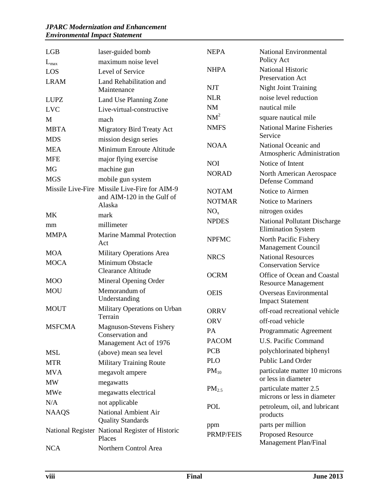#### *JPARC Modernization and Enhancement Environmental Impact Statement*

| LGB           | laser-guided bomb                                         | <b>NEPA</b>       | <b>National Environmental</b><br>Policy Act              |
|---------------|-----------------------------------------------------------|-------------------|----------------------------------------------------------|
| $L_{max}$     | maximum noise level                                       | <b>NHPA</b>       | National Historic                                        |
| LOS           | Level of Service                                          |                   | Preservation Act                                         |
| <b>LRAM</b>   | Land Rehabilitation and<br>Maintenance                    | <b>NJT</b>        | <b>Night Joint Training</b>                              |
| <b>LUPZ</b>   | Land Use Planning Zone                                    | <b>NLR</b>        | noise level reduction                                    |
| <b>LVC</b>    | Live-virtual-constructive                                 | <b>NM</b>         | nautical mile                                            |
| M             | mach                                                      | $NM^2$            | square nautical mile                                     |
| <b>MBTA</b>   | Migratory Bird Treaty Act                                 | <b>NMFS</b>       | <b>National Marine Fisheries</b>                         |
| <b>MDS</b>    | mission design series                                     |                   | Service                                                  |
| <b>MEA</b>    | Minimum Enroute Altitude                                  | <b>NOAA</b>       | National Oceanic and<br>Atmospheric Administration       |
| <b>MFE</b>    | major flying exercise                                     | <b>NOI</b>        | Notice of Intent                                         |
| <b>MG</b>     | machine gun                                               |                   |                                                          |
| <b>MGS</b>    | mobile gun system                                         | <b>NORAD</b>      | North American Aerospace<br><b>Defense Command</b>       |
|               | Missile Live-Fire Missile Live-Fire for AIM-9             | <b>NOTAM</b>      | Notice to Airmen                                         |
|               | and AIM-120 in the Gulf of<br>Alaska                      | <b>NOTMAR</b>     | Notice to Mariners                                       |
| MK            | mark                                                      | NO <sub>x</sub>   | nitrogen oxides                                          |
| mm            | millimeter                                                | <b>NPDES</b>      | National Pollutant Discharge                             |
| <b>MMPA</b>   | <b>Marine Mammal Protection</b>                           |                   | <b>Elimination System</b>                                |
|               | Act                                                       | <b>NPFMC</b>      | North Pacific Fishery<br>Management Council              |
| <b>MOA</b>    | <b>Military Operations Area</b>                           | <b>NRCS</b>       | <b>National Resources</b>                                |
| <b>MOCA</b>   | Minimum Obstacle                                          |                   | <b>Conservation Service</b>                              |
|               | <b>Clearance Altitude</b>                                 | <b>OCRM</b>       | Office of Ocean and Coastal                              |
| <b>MOO</b>    | Mineral Opening Order                                     |                   | <b>Resource Management</b>                               |
| <b>MOU</b>    | Memorandum of<br>Understanding                            | <b>OEIS</b>       | <b>Overseas Environmental</b><br><b>Impact Statement</b> |
| <b>MOUT</b>   | Military Operations on Urban                              | <b>ORRV</b>       | off-road recreational vehicle                            |
|               | Terrain                                                   | <b>ORV</b>        | off-road vehicle                                         |
| <b>MSFCMA</b> | <b>Magnuson-Stevens Fishery</b><br>Conservation and       | $\mathbf{PA}$     | Programmatic Agreement                                   |
|               | Management Act of 1976                                    | <b>PACOM</b>      | U.S. Pacific Command                                     |
| <b>MSL</b>    | (above) mean sea level                                    | <b>PCB</b>        | polychlorinated biphenyl                                 |
| <b>MTR</b>    | <b>Military Training Route</b>                            | <b>PLO</b>        | Public Land Order                                        |
| <b>MVA</b>    | megavolt ampere                                           | $PM_{10}$         | particulate matter 10 microns                            |
| <b>MW</b>     | megawatts                                                 |                   | or less in diameter                                      |
| MWe           | megawatts electrical                                      | PM <sub>2.5</sub> | particulate matter 2.5<br>microns or less in diameter    |
| N/A           | not applicable                                            | POL               | petroleum, oil, and lubricant                            |
| <b>NAAQS</b>  | National Ambient Air                                      |                   | products                                                 |
|               | <b>Quality Standards</b>                                  | ppm               | parts per million                                        |
|               | National Register National Register of Historic<br>Places | <b>PRMP/FEIS</b>  | Proposed Resource<br>Management Plan/Final               |
| <b>NCA</b>    | Northern Control Area                                     |                   |                                                          |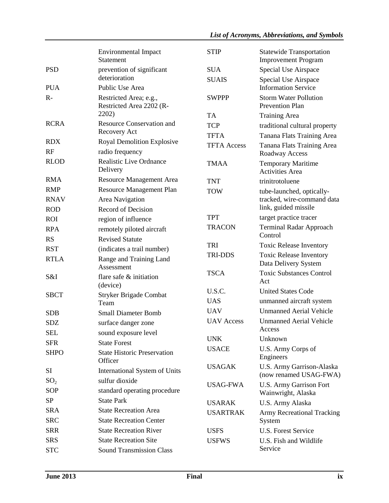|                 | <b>Environmental Impact</b><br><b>Statement</b>    | <b>STIP</b>           | <b>Statewide Transportation</b><br><b>Improvement Program</b> |
|-----------------|----------------------------------------------------|-----------------------|---------------------------------------------------------------|
| <b>PSD</b>      | prevention of significant                          | <b>SUA</b>            | Special Use Airspace                                          |
| <b>PUA</b>      | deterioration<br>Public Use Area                   | <b>SUAIS</b>          | Special Use Airspace<br><b>Information Service</b>            |
| $R -$           | Restricted Area; e.g.,<br>Restricted Area 2202 (R- | <b>SWPPP</b>          | <b>Storm Water Pollution</b><br>Prevention Plan               |
|                 | 2202)                                              | <b>TA</b>             | <b>Training Area</b>                                          |
| <b>RCRA</b>     | <b>Resource Conservation and</b>                   | <b>TCP</b>            | traditional cultural property                                 |
|                 | Recovery Act                                       | <b>TFTA</b>           | Tanana Flats Training Area                                    |
| <b>RDX</b>      | Royal Demolition Explosive                         | <b>TFTA Access</b>    | Tanana Flats Training Area                                    |
| <b>RF</b>       | radio frequency                                    |                       | Roadway Access                                                |
| <b>RLOD</b>     | Realistic Live Ordnance<br>Delivery                | <b>TMAA</b>           | Temporary Maritime<br><b>Activities Area</b>                  |
| <b>RMA</b>      | Resource Management Area                           | <b>TNT</b>            | trinitrotoluene                                               |
| <b>RMP</b>      | Resource Management Plan                           | <b>TOW</b>            | tube-launched, optically-                                     |
| <b>RNAV</b>     | Area Navigation                                    |                       | tracked, wire-command data                                    |
| <b>ROD</b>      | Record of Decision                                 |                       | link, guided missile                                          |
| <b>ROI</b>      | region of influence                                | <b>TPT</b>            | target practice tracer                                        |
| <b>RPA</b>      | remotely piloted aircraft                          | <b>TRACON</b>         | <b>Terminal Radar Approach</b>                                |
| <b>RS</b>       | <b>Revised Statute</b>                             |                       | Control                                                       |
| <b>RST</b>      | (indicates a trail number)                         | TRI<br><b>TRI-DDS</b> | <b>Toxic Release Inventory</b>                                |
| <b>RTLA</b>     | Range and Training Land<br>Assessment              |                       | <b>Toxic Release Inventory</b><br>Data Delivery System        |
| S&I             | flare safe & initiation<br>(device)                | <b>TSCA</b>           | <b>Toxic Substances Control</b><br>Act                        |
| <b>SBCT</b>     | <b>Stryker Brigade Combat</b>                      | U.S.C.                | <b>United States Code</b>                                     |
|                 | Team                                               | <b>UAS</b>            | unmanned aircraft system                                      |
| <b>SDB</b>      | <b>Small Diameter Bomb</b>                         | <b>UAV</b>            | <b>Unmanned Aerial Vehicle</b>                                |
| <b>SDZ</b>      | surface danger zone                                | <b>UAV</b> Access     | <b>Unmanned Aerial Vehicle</b>                                |
| <b>SEL</b>      | sound exposure level                               |                       | Access                                                        |
| <b>SFR</b>      | <b>State Forest</b>                                | <b>UNK</b>            | Unknown                                                       |
| <b>SHPO</b>     | <b>State Historic Preservation</b><br>Officer      | <b>USACE</b>          | U.S. Army Corps of<br>Engineers                               |
| SI              | International System of Units                      | <b>USAGAK</b>         | U.S. Army Garrison-Alaska<br>(now renamed USAG-FWA)           |
| SO <sub>2</sub> | sulfur dioxide                                     | <b>USAG-FWA</b>       | U.S. Army Garrison Fort                                       |
| <b>SOP</b>      | standard operating procedure                       |                       | Wainwright, Alaska                                            |
| <b>SP</b>       | <b>State Park</b>                                  | <b>USARAK</b>         | U.S. Army Alaska                                              |
| <b>SRA</b>      | <b>State Recreation Area</b>                       | <b>USARTRAK</b>       | <b>Army Recreational Tracking</b>                             |
| <b>SRC</b>      | <b>State Recreation Center</b>                     |                       | System                                                        |
| <b>SRR</b>      | <b>State Recreation River</b>                      | <b>USFS</b>           | U.S. Forest Service                                           |
| <b>SRS</b>      | <b>State Recreation Site</b>                       | <b>USFWS</b>          | U.S. Fish and Wildlife                                        |
| <b>STC</b>      | <b>Sound Transmission Class</b>                    |                       | Service                                                       |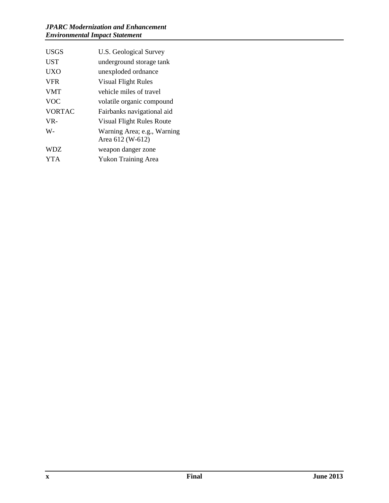#### *JPARC Modernization and Enhancement Environmental Impact Statement*

| <b>USGS</b>   | U.S. Geological Survey                          |
|---------------|-------------------------------------------------|
| <b>UST</b>    | underground storage tank                        |
| UXO           | unexploded ordnance                             |
| <b>VFR</b>    | <b>Visual Flight Rules</b>                      |
| <b>VMT</b>    | vehicle miles of travel                         |
| <b>VOC</b>    | volatile organic compound                       |
| <b>VORTAC</b> | Fairbanks navigational aid                      |
| VR-           | Visual Flight Rules Route                       |
| $W -$         | Warning Area; e.g., Warning<br>Area 612 (W-612) |
| <b>WDZ</b>    | weapon danger zone                              |
| YTA           | <b>Yukon Training Area</b>                      |
|               |                                                 |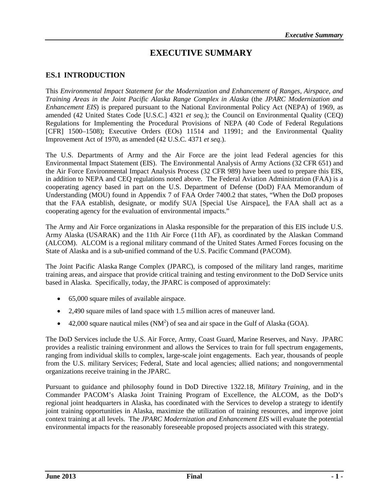# **EXECUTIVE SUMMARY**

#### <span id="page-16-1"></span><span id="page-16-0"></span>**ES.1 INTRODUCTION**

This *Environmental Impact Statement for the Modernization and Enhancement of Ranges, Airspace, and Training Areas in the Joint Pacific Alaska Range Complex in Alaska* (the *JPARC Modernization and Enhancement EIS*) is prepared pursuant to the National Environmental Policy Act (NEPA) of 1969, as amended (42 United States Code [U.S.C.] 4321 *et seq*.); the Council on Environmental Quality (CEQ) Regulations for Implementing the Procedural Provisions of NEPA (40 Code of Federal Regulations [CFR] 1500–1508); Executive Orders (EOs) 11514 and 11991; and the Environmental Quality Improvement Act of 1970, as amended (42 U.S.C. 4371 *et seq*.).

The U.S. Departments of Army and the Air Force are the joint lead Federal agencies for this Environmental Impact Statement (EIS). The Environmental Analysis of Army Actions (32 CFR 651) and the Air Force Environmental Impact Analysis Process (32 CFR 989) have been used to prepare this EIS, in addition to NEPA and CEQ regulations noted above. The Federal Aviation Administration (FAA) is a cooperating agency based in part on the U.S. Department of Defense (DoD) FAA Memorandum of Understanding (MOU) found in Appendix 7 of FAA Order 7400.2 that states, "When the DoD proposes that the FAA establish, designate, or modify SUA [Special Use Airspace], the FAA shall act as a cooperating agency for the evaluation of environmental impacts."

The Army and Air Force organizations in Alaska responsible for the preparation of this EIS include U.S. Army Alaska (USARAK) and the 11th Air Force (11th AF), as coordinated by the Alaskan Command (ALCOM). ALCOM is a regional military command of the United States Armed Forces focusing on the State of Alaska and is a sub-unified command of the U.S. Pacific Command (PACOM).

The Joint Pacific Alaska Range Complex (JPARC), is composed of the military land ranges, maritime training areas, and airspace that provide critical training and testing environment to the DoD Service units based in Alaska. Specifically, today, the JPARC is composed of approximately:

- 65,000 square miles of available airspace.
- 2,490 square miles of land space with 1.5 million acres of maneuver land.
- 42,000 square nautical miles  $(NM^2)$  of sea and air space in the Gulf of Alaska (GOA).

The DoD Services include the U.S. Air Force, Army, Coast Guard, Marine Reserves, and Navy. JPARC provides a realistic training environment and allows the Services to train for full spectrum engagements, ranging from individual skills to complex, large-scale joint engagements. Each year, thousands of people from the U.S. military Services; Federal, State and local agencies; allied nations; and nongovernmental organizations receive training in the JPARC.

Pursuant to guidance and philosophy found in DoD Directive 1322.18, *Military Training*, and in the Commander PACOM's Alaska Joint Training Program of Excellence, the ALCOM, as the DoD's regional joint headquarters in Alaska, has coordinated with the Services to develop a strategy to identify joint training opportunities in Alaska, maximize the utilization of training resources, and improve joint context training at all levels. The *JPARC Modernization and Enhancement EIS* will evaluate the potential environmental impacts for the reasonably foreseeable proposed projects associated with this strategy.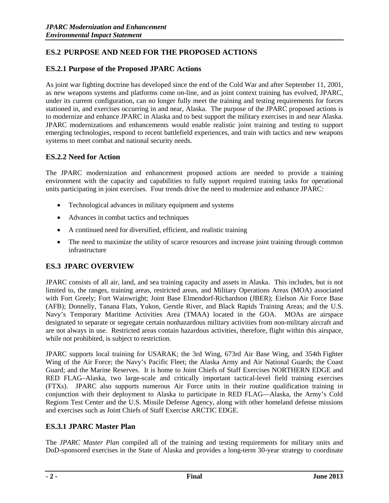## <span id="page-17-0"></span>**ES.2 PURPOSE AND NEED FOR THE PROPOSED ACTIONS**

#### <span id="page-17-1"></span>**ES.2.1 Purpose of the Proposed JPARC Actions**

As joint war fighting doctrine has developed since the end of the Cold War and after September 11, 2001, as new weapons systems and platforms come on-line, and as joint context training has evolved, JPARC, under its current configuration, can no longer fully meet the training and testing requirements for forces stationed in, and exercises occurring in and near, Alaska. The purpose of the JPARC proposed actions is to modernize and enhance JPARC in Alaska and to best support the military exercises in and near Alaska. JPARC modernizations and enhancements would enable realistic joint training and testing to support emerging technologies, respond to recent battlefield experiences, and train with tactics and new weapons systems to meet combat and national security needs.

#### <span id="page-17-2"></span>**ES.2.2 Need for Action**

The JPARC modernization and enhancement proposed actions are needed to provide a training environment with the capacity and capabilities to fully support required training tasks for operational units participating in joint exercises. Four trends drive the need to modernize and enhance JPARC:

- Technological advances in military equipment and systems
- Advances in combat tactics and techniques
- A continued need for diversified, efficient, and realistic training
- The need to maximize the utility of scarce resources and increase joint training through common infrastructure

#### <span id="page-17-3"></span>**ES.3 JPARC OVERVIEW**

JPARC consists of all air, land, and sea training capacity and assets in Alaska. This includes, but is not limited to, the ranges, training areas, restricted areas, and Military Operations Areas (MOA) associated with Fort Greely; Fort Wainwright; Joint Base Elmendorf-Richardson (JBER); Eielson Air Force Base (AFB); Donnelly, Tanana Flats, Yukon, Gerstle River, and Black Rapids Training Areas; and the U.S. Navy's Temporary Maritime Activities Area (TMAA) located in the GOA. MOAs are airspace designated to separate or segregate certain nonhazardous military activities from non-military aircraft and are not always in use. Restricted areas contain hazardous activities, therefore, flight within this airspace, while not prohibited, is subject to restriction.

JPARC supports local training for USARAK; the 3rd Wing, 673rd Air Base Wing, and 354th Fighter Wing of the Air Force; the Navy's Pacific Fleet; the Alaska Army and Air National Guards; the Coast Guard; and the Marine Reserves. It is home to Joint Chiefs of Staff Exercises NORTHERN EDGE and RED FLAG–Alaska, two large-scale and critically important tactical-level field training exercises (FTXs). JPARC also supports numerous Air Force units in their routine qualification training in conjunction with their deployment to Alaska to participate in RED FLAG––Alaska, the Army's Cold Regions Test Center and the U.S. Missile Defense Agency, along with other homeland defense missions and exercises such as Joint Chiefs of Staff Exercise ARCTIC EDGE.

#### <span id="page-17-4"></span>**ES.3.1 JPARC Master Plan**

The *JPARC Master Plan* compiled all of the training and testing requirements for military units and DoD-sponsored exercises in the State of Alaska and provides a long-term 30-year strategy to coordinate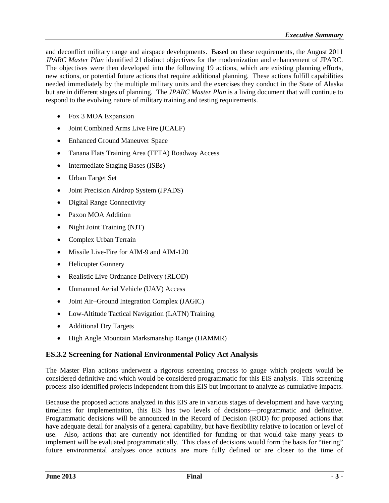and deconflict military range and airspace developments. Based on these requirements, the August 2011 *JPARC Master Plan* identified 21 distinct objectives for the modernization and enhancement of JPARC. The objectives were then developed into the following 19 actions, which are existing planning efforts, new actions, or potential future actions that require additional planning. These actions fulfill capabilities needed immediately by the multiple military units and the exercises they conduct in the State of Alaska but are in different stages of planning. The *JPARC Master Plan* is a living document that will continue to respond to the evolving nature of military training and testing requirements.

- Fox 3 MOA Expansion
- Joint Combined Arms Live Fire (JCALF)
- Enhanced Ground Maneuver Space
- Tanana Flats Training Area (TFTA) Roadway Access
- Intermediate Staging Bases (ISBs)
- Urban Target Set
- Joint Precision Airdrop System (JPADS)
- Digital Range Connectivity
- Paxon MOA Addition
- Night Joint Training (NJT)
- Complex Urban Terrain
- Missile Live-Fire for AIM-9 and AIM-120
- Helicopter Gunnery
- Realistic Live Ordnance Delivery (RLOD)
- Unmanned Aerial Vehicle (UAV) Access
- Joint Air–Ground Integration Complex (JAGIC)
- Low-Altitude Tactical Navigation (LATN) Training
- Additional Dry Targets
- High Angle Mountain Marksmanship Range (HAMMR)

#### <span id="page-18-0"></span>**ES.3.2 Screening for National Environmental Policy Act Analysis**

The Master Plan actions underwent a rigorous screening process to gauge which projects would be considered definitive and which would be considered programmatic for this EIS analysis. This screening process also identified projects independent from this EIS but important to analyze as cumulative impacts.

Because the proposed actions analyzed in this EIS are in various stages of development and have varying timelines for implementation, this EIS has two levels of decisions—programmatic and definitive. Programmatic decisions will be announced in the Record of Decision (ROD) for proposed actions that have adequate detail for analysis of a general capability, but have flexibility relative to location or level of use. Also, actions that are currently not identified for funding or that would take many years to implement will be evaluated programmatically. This class of decisions would form the basis for "tiering" future environmental analyses once actions are more fully defined or are closer to the time of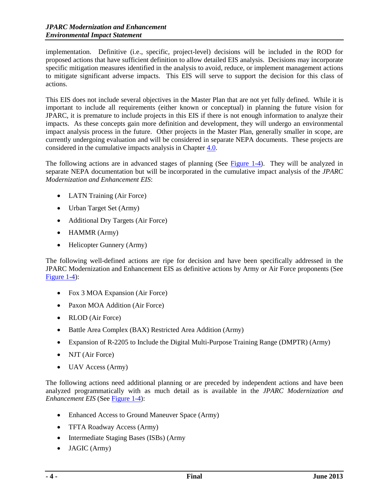implementation. Definitive (i.e., specific, project-level) decisions will be included in the ROD for proposed actions that have sufficient definition to allow detailed EIS analysis. Decisions may incorporate specific mitigation measures identified in the analysis to avoid, reduce, or implement management actions to mitigate significant adverse impacts. This EIS will serve to support the decision for this class of actions.

This EIS does not include several objectives in the Master Plan that are not yet fully defined. While it is important to include all requirements (either known or conceptual) in planning the future vision for JPARC, it is premature to include projects in this EIS if there is not enough information to analyze their impacts. As these concepts gain more definition and development, they will undergo an environmental impact analysis process in the future. Other projects in the Master Plan, generally smaller in scope, are currently undergoing evaluation and will be considered in separate NEPA documents. These projects are considered in the cumulative impacts analysis in Chapter 4.0.

The following actions are in advanced stages of planning (See Figure 1-4). They will be analyzed in separate NEPA documentation but will be incorporated in the cumulative impact analysis of the *JPARC Modernization and Enhancement EIS*:

- LATN Training (Air Force)
- Urban Target Set (Army)
- Additional Dry Targets (Air Force)
- HAMMR (Army)
- Helicopter Gunnery (Army)

The following well-defined actions are ripe for decision and have been specifically addressed in the JPARC Modernization and Enhancement EIS as definitive actions by Army or Air Force proponents (See Figure 1-4):

- Fox 3 MOA Expansion (Air Force)
- Paxon MOA Addition (Air Force)
- RLOD (Air Force)
- Battle Area Complex (BAX) Restricted Area Addition (Army)
- Expansion of R-2205 to Include the Digital Multi-Purpose Training Range (DMPTR) (Army)
- NJT (Air Force)
- UAV Access (Army)

The following actions need additional planning or are preceded by independent actions and have been analyzed programmatically with as much detail as is available in the *JPARC Modernization and Enhancement EIS* (See Figure 1-4):

- Enhanced Access to Ground Maneuver Space (Army)
- TFTA Roadway Access (Army)
- Intermediate Staging Bases (ISBs) (Army
- JAGIC (Army)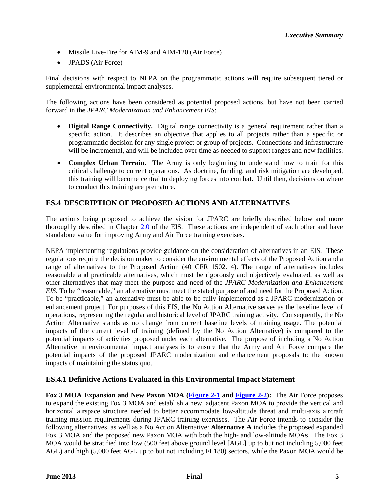- Missile Live-Fire for AIM-9 and AIM-120 (Air Force)
- **JPADS** (Air Force)

Final decisions with respect to NEPA on the programmatic actions will require subsequent tiered or supplemental environmental impact analyses.

The following actions have been considered as potential proposed actions, but have not been carried forward in the *JPARC Modernization and Enhancement EIS*:

- **Digital Range Connectivity.** Digital range connectivity is a general requirement rather than a specific action. It describes an objective that applies to all projects rather than a specific or programmatic decision for any single project or group of projects. Connections and infrastructure will be incremental, and will be included over time as needed to support ranges and new facilities.
- **Complex Urban Terrain.** The Army is only beginning to understand how to train for this critical challenge to current operations. As doctrine, funding, and risk mitigation are developed, this training will become central to deploying forces into combat. Until then, decisions on where to conduct this training are premature.

#### <span id="page-20-0"></span>**ES.4 DESCRIPTION OF PROPOSED ACTIONS AND ALTERNATIVES**

The actions being proposed to achieve the vision for JPARC are briefly described below and more thoroughly described in Chapter 2.0 of the EIS. These actions are independent of each other and have standalone value for improving Army and Air Force training exercises.

NEPA implementing regulations provide guidance on the consideration of alternatives in an EIS. These regulations require the decision maker to consider the environmental effects of the Proposed Action and a range of alternatives to the Proposed Action (40 CFR 1502.14). The range of alternatives includes reasonable and practicable alternatives, which must be rigorously and objectively evaluated, as well as other alternatives that may meet the purpose and need of the *JPARC Modernization and Enhancement EIS*. To be "reasonable," an alternative must meet the stated purpose of and need for the Proposed Action. To be "practicable," an alternative must be able to be fully implemented as a JPARC modernization or enhancement project. For purposes of this EIS, the No Action Alternative serves as the baseline level of operations, representing the regular and historical level of JPARC training activity. Consequently, the No Action Alternative stands as no change from current baseline levels of training usage. The potential impacts of the current level of training (defined by the No Action Alternative) is compared to the potential impacts of activities proposed under each alternative. The purpose of including a No Action Alternative in environmental impact analyses is to ensure that the Army and Air Force compare the potential impacts of the proposed JPARC modernization and enhancement proposals to the known impacts of maintaining the status quo.

#### <span id="page-20-1"></span>**ES.4.1 Definitive Actions Evaluated in this Environmental Impact Statement**

**Fox 3 MOA Expansion and New Paxon MOA (Figure 2-1 and Figure 2-2):** The Air Force proposes to expand the existing Fox 3 MOA and establish a new, adjacent Paxon MOA to provide the vertical and horizontal airspace structure needed to better accommodate low-altitude threat and multi-axis aircraft training mission requirements during JPARC training exercises. The Air Force intends to consider the following alternatives, as well as a No Action Alternative: **Alternative A** includes the proposed expanded Fox 3 MOA and the proposed new Paxon MOA with both the high- and low-altitude MOAs. The Fox 3 MOA would be stratified into low (500 feet above ground level [AGL] up to but not including 5,000 feet AGL) and high (5,000 feet AGL up to but not including FL180) sectors, while the Paxon MOA would be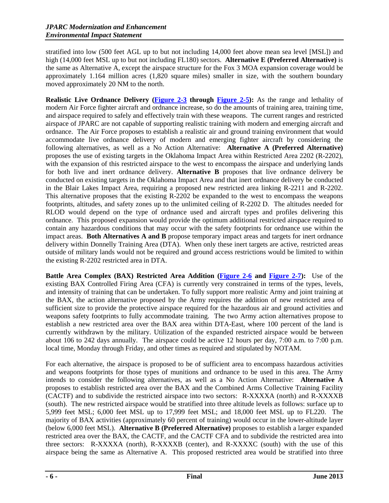stratified into low (500 feet AGL up to but not including 14,000 feet above mean sea level [MSL]) and high (14,000 feet MSL up to but not including FL180) sectors. **Alternative E (Preferred Alternative)** is the same as Alternative A, except the airspace structure for the Fox 3 MOA expansion coverage would be approximately 1.164 million acres (1,820 square miles) smaller in size, with the southern boundary moved approximately 20 NM to the north.

**Realistic Live Ordnance Delivery (Figure 2-3 through Figure 2-5):** As the range and lethality of modern Air Force fighter aircraft and ordnance increase, so do the amounts of training area, training time, and airspace required to safely and effectively train with these weapons. The current ranges and restricted airspace of JPARC are not capable of supporting realistic training with modern and emerging aircraft and ordnance. The Air Force proposes to establish a realistic air and ground training environment that would accommodate live ordnance delivery of modern and emerging fighter aircraft by considering the following alternatives, as well as a No Action Alternative: **Alternative A (Preferred Alternative)**  proposes the use of existing targets in the Oklahoma Impact Area within Restricted Area 2202 (R-2202), with the expansion of this restricted airspace to the west to encompass the airspace and underlying lands for both live and inert ordnance delivery. **Alternative B** proposes that live ordnance delivery be conducted on existing targets in the Oklahoma Impact Area and that inert ordnance delivery be conducted in the Blair Lakes Impact Area, requiring a proposed new restricted area linking R-2211 and R-2202. This alternative proposes that the existing R-2202 be expanded to the west to encompass the weapons footprints, altitudes, and safety zones up to the unlimited ceiling of R-2202 D. The altitudes needed for RLOD would depend on the type of ordnance used and aircraft types and profiles delivering this ordnance. This proposed expansion would provide the optimum additional restricted airspace required to contain any hazardous conditions that may occur with the safety footprints for ordnance use within the impact areas. **Both Alternatives A and B** propose temporary impact areas and targets for inert ordnance delivery within Donnelly Training Area (DTA). When only these inert targets are active, restricted areas outside of military lands would not be required and ground access restrictions would be limited to within the existing R-2202 restricted area in DTA.

**Battle Area Complex (BAX) Restricted Area Addition (Figure 2-6 and Figure 2-7):** Use of the existing BAX Controlled Firing Area (CFA) is currently very constrained in terms of the types, levels, and intensity of training that can be undertaken. To fully support more realistic Army and joint training at the BAX, the action alternative proposed by the Army requires the addition of new restricted area of sufficient size to provide the protective airspace required for the hazardous air and ground activities and weapons safety footprints to fully accommodate training. The two Army action alternatives propose to establish a new restricted area over the BAX area within DTA-East, where 100 percent of the land is currently withdrawn by the military. Utilization of the expanded restricted airspace would be between about 106 to 242 days annually. The airspace could be active 12 hours per day, 7:00 a.m. to 7:00 p.m. local time, Monday through Friday, and other times as required and stipulated by NOTAM.

For each alternative, the airspace is proposed to be of sufficient area to encompass hazardous activities and weapons footprints for those types of munitions and ordnance to be used in this area. The Army intends to consider the following alternatives, as well as a No Action Alternative: **Alternative A**  proposes to establish restricted area over the BAX and the Combined Arms Collective Training Facility (CACTF) and to subdivide the restricted airspace into two sectors: R-XXXXA (north) and R-XXXXB (south). The new restricted airspace would be stratified into three altitude levels as follows: surface up to 5,999 feet MSL; 6,000 feet MSL up to 17,999 feet MSL; and 18,000 feet MSL up to FL220. The majority of BAX activities (approximately 60 percent of training) would occur in the lower-altitude layer (below 6,000 feet MSL). **Alternative B (Preferred Alternative)** proposes to establish a larger expanded restricted area over the BAX, the CACTF, and the CACTF CFA and to subdivide the restricted area into three sectors: R-XXXXA (north), R-XXXXB (center), and R-XXXXC (south) with the use of this airspace being the same as Alternative A. This proposed restricted area would be stratified into three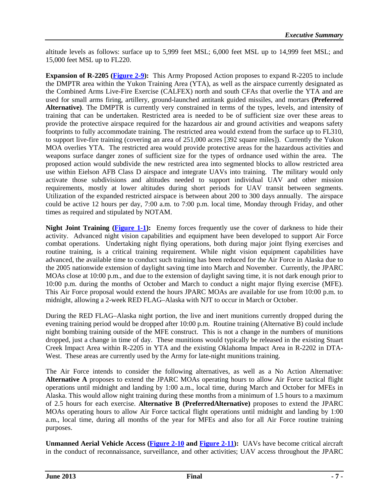altitude levels as follows: surface up to 5,999 feet MSL; 6,000 feet MSL up to 14,999 feet MSL; and 15,000 feet MSL up to FL220.

**Expansion of R-2205 (Figure 2-9):** This Army Proposed Action proposes to expand R-2205 to include the DMPTR area within the Yukon Training Area (YTA), as well as the airspace currently designated as the Combined Arms Live-Fire Exercise (CALFEX) north and south CFAs that overlie the YTA and are used for small arms firing, artillery, ground-launched antitank guided missiles, and mortars **(Preferred Alternative)**. The DMPTR is currently very constrained in terms of the types, levels, and intensity of training that can be undertaken. Restricted area is needed to be of sufficient size over these areas to provide the protective airspace required for the hazardous air and ground activities and weapons safety footprints to fully accommodate training. The restricted area would extend from the surface up to FL310, to support live-fire training (covering an area of 251,000 acres [392 square miles]). Currently the Yukon MOA overlies YTA. The restricted area would provide protective areas for the hazardous activities and weapons surface danger zones of sufficient size for the types of ordnance used within the area. The proposed action would subdivide the new restricted area into segmented blocks to allow restricted area use within Eielson AFB Class D airspace and integrate UAVs into training. The military would only activate those subdivisions and altitudes needed to support individual UAV and other mission requirements, mostly at lower altitudes during short periods for UAV transit between segments. Utilization of the expanded restricted airspace is between about 200 to 300 days annually. The airspace could be active 12 hours per day, 7:00 a.m. to 7:00 p.m. local time, Monday through Friday, and other times as required and stipulated by NOTAM.

**Night Joint Training (Figure 1-1):** Enemy forces frequently use the cover of darkness to hide their activity. Advanced night vision capabilities and equipment have been developed to support Air Force combat operations. Undertaking night flying operations, both during major joint flying exercises and routine training, is a critical training requirement. While night vision equipment capabilities have advanced, the available time to conduct such training has been reduced for the Air Force in Alaska due to the 2005 nationwide extension of daylight saving time into March and November. Currently, the JPARC MOAs close at 10:00 p.m., and due to the extension of daylight saving time, it is not dark enough prior to 10:00 p.m. during the months of October and March to conduct a night major flying exercise (MFE). This Air Force proposal would extend the hours JPARC MOAs are available for use from 10:00 p.m. to midnight, allowing a 2-week RED FLAG–Alaska with NJT to occur in March or October.

During the RED FLAG–Alaska night portion, the live and inert munitions currently dropped during the evening training period would be dropped after 10:00 p.m. Routine training (Alternative B) could include night bombing training outside of the MFE construct. This is not a change in the numbers of munitions dropped, just a change in time of day. These munitions would typically be released in the existing Stuart Creek Impact Area within R-2205 in YTA and the existing Oklahoma Impact Area in R-2202 in DTA-West. These areas are currently used by the Army for late-night munitions training.

The Air Force intends to consider the following alternatives, as well as a No Action Alternative: **Alternative A** proposes to extend the JPARC MOAs operating hours to allow Air Force tactical flight operations until midnight and landing by 1:00 a.m., local time, during March and October for MFEs in Alaska. This would allow night training during these months from a minimum of 1.5 hours to a maximum of 2.5 hours for each exercise. **Alternative B (PreferredAlternative)** proposes to extend the JPARC MOAs operating hours to allow Air Force tactical flight operations until midnight and landing by 1:00 a.m., local time, during all months of the year for MFEs and also for all Air Force routine training purposes.

**Unmanned Aerial Vehicle Access (Figure 2-10 and Figure 2-11):** UAVs have become critical aircraft in the conduct of reconnaissance, surveillance, and other activities; UAV access throughout the JPARC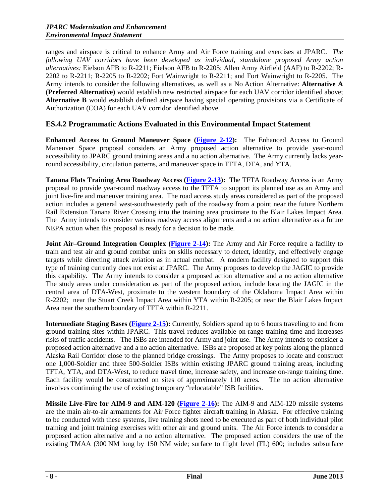ranges and airspace is critical to enhance Army and Air Force training and exercises at JPARC. *The following UAV corridors have been developed as individual, standalone proposed Army action alternatives:* Eielson AFB to R-2211; Eielson AFB to R-2205; Allen Army Airfield (AAF) to R-2202; R-2202 to R-2211; R-2205 to R-2202; Fort Wainwright to R-2211; and Fort Wainwright to R-2205. The Army intends to consider the following alternatives, as well as a No Action Alternative: **Alternative A (Preferred Alternative)** would establish new restricted airspace for each UAV corridor identified above; **Alternative B** would establish defined airspace having special operating provisions via a Certificate of Authorization (COA) for each UAV corridor identified above.

#### <span id="page-23-0"></span>**ES.4.2 Programmatic Actions Evaluated in this Environmental Impact Statement**

**Enhanced Access to Ground Maneuver Space (Figure 2-12):** The Enhanced Access to Ground Maneuver Space proposal considers an Army proposed action alternative to provide year-round accessibility to JPARC ground training areas and a no action alternative. The Army currently lacks yearround accessibility, circulation patterns, and maneuver space in TFTA, DTA, and YTA.

**Tanana Flats Training Area Roadway Access (Figure 2-13):** The TFTA Roadway Access is an Army proposal to provide year-round roadway access to the TFTA to support its planned use as an Army and joint live-fire and maneuver training area. The road access study areas considered as part of the proposed action includes a general west-southwesterly path of the roadway from a point near the future Northern Rail Extension Tanana River Crossing into the training area proximate to the Blair Lakes Impact Area. The Army intends to consider various roadway access alignments and a no action alternative as a future NEPA action when this proposal is ready for a decision to be made.

**Joint Air–Ground Integration Complex (Figure 2-14):** The Army and Air Force require a facility to train and test air and ground combat units on skills necessary to detect, identify, and effectively engage targets while directing attack aviation as in actual combat. A modern facility designed to support this type of training currently does not exist at JPARC. The Army proposes to develop the JAGIC to provide this capability. The Army intends to consider a proposed action alternative and a no action alternative The study areas under consideration as part of the proposed action, include locating the JAGIC in the central area of DTA-West, proximate to the western boundary of the Oklahoma Impact Area within R-2202; near the Stuart Creek Impact Area within YTA within R-2205; or near the Blair Lakes Impact Area near the southern boundary of TFTA within R-2211.

**Intermediate Staging Bases (Figure 2-15):** Currently, Soldiers spend up to 6 hours traveling to and from ground training sites within JPARC. This travel reduces available on-range training time and increases risks of traffic accidents. The ISBs are intended for Army and joint use. The Army intends to consider a proposed action alternative and a no action alternative. ISBs are proposed at key points along the planned Alaska Rail Corridor close to the planned bridge crossings. The Army proposes to locate and construct one 1,000-Soldier and three 500-Soldier ISBs within existing JPARC ground training areas, including TFTA, YTA, and DTA-West, to reduce travel time, increase safety, and increase on-range training time. Each facility would be constructed on sites of approximately 110 acres. The no action alternative involves continuing the use of existing temporary "relocatable" ISB facilities.

**Missile Live-Fire for AIM-9 and AIM-120 (Figure 2-16):** The AIM-9 and AIM-120 missile systems are the main air-to-air armaments for Air Force fighter aircraft training in Alaska. For effective training to be conducted with these systems, live training shots need to be executed as part of both individual pilot training and joint training exercises with other air and ground units. The Air Force intends to consider a proposed action alternative and a no action alternative. The proposed action considers the use of the existing TMAA (300 NM long by 150 NM wide; surface to flight level (FL) 600; includes subsurface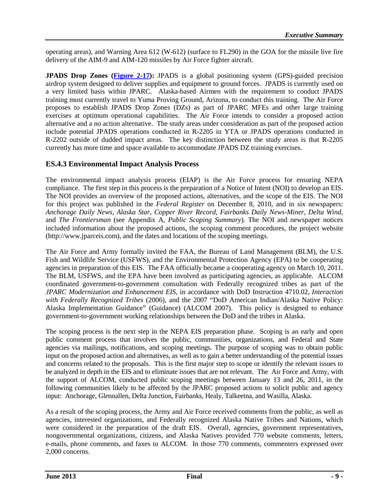operating areas), and Warning Area 612 (W-612) (surface to FL290) in the GOA for the missile live fire delivery of the AIM-9 and AIM-120 missiles by Air Force fighter aircraft.

**JPADS Drop Zones (Figure 2-17):** JPADS is a global positioning system (GPS)-guided precision airdrop system designed to deliver supplies and equipment to ground forces. JPADS is currently used on a very limited basis within JPARC. Alaska-based Airmen with the requirement to conduct JPADS training must currently travel to Yuma Proving Ground, Arizona, to conduct this training. The Air Force proposes to establish JPADS Drop Zones (DZs) as part of JPARC MFEs and other large training exercises at optimum operational capabilities. The Air Force intends to consider a proposed action alternative and a no action alternative. The study areas under consideration as part of the proposed action include potential JPADS operations conducted in R-2205 in YTA or JPADS operations conducted in R-2202 outside of dudded impact areas. The key distinction between the study areas is that R-2205 currently has more time and space available to accommodate JPADS DZ training exercises.

#### <span id="page-24-0"></span>**ES.4.3 Environmental Impact Analysis Process**

The environmental impact analysis process (EIAP) is the Air Force process for ensuring NEPA compliance. The first step in this process is the preparation of a Notice of Intent (NOI) to develop an EIS. The NOI provides an overview of the proposed actions, alternatives, and the scope of the EIS. The NOI for this project was published in the *Federal Register* on December 8, 2010, and in six newspapers: *Anchorage Daily News, Alaska Star, Copper River Record, Fairbanks Daily News-Miner, Delta Wind,*  and *The Frontiersman* (see Appendix A, *Public Scoping Summary*). The NOI and newspaper notices included information about the proposed actions, the scoping comment procedures, the project website (http://www.jparceis.com), and the dates and locations of the scoping meetings.

The Air Force and Army formally invited the FAA, the Bureau of Land Management (BLM), the U.S. Fish and Wildlife Service (USFWS), and the Environmental Protection Agency (EPA) to be cooperating agencies in preparation of this EIS. The FAA officially became a cooperating agency on March 10, 2011. The BLM, USFWS, and the EPA have been involved as participating agencies, as applicable. ALCOM coordinated government-to-government consultation with Federally recognized tribes as part of the *JPARC Modernization and Enhancement EIS*, in accordance with DoD Instruction 4710.02, *Interaction with Federally Recognized Tribes* (2006), and the 2007 "DoD American Indian/Alaska Native Policy: Alaska Implementation Guidance" (Guidance) (ALCOM 2007). This policy is designed to enhance government-to-government working relationships between the DoD and the tribes in Alaska.

The scoping process is the next step in the NEPA EIS preparation phase. Scoping is an early and open public comment process that involves the public, communities, organizations, and Federal and State agencies via mailings, notifications, and scoping meetings. The purpose of scoping was to obtain public input on the proposed action and alternatives, as well as to gain a better understanding of the potential issues and concerns related to the proposals. This is the first major step to scope or identify the relevant issues to be analyzed in depth in the EIS and to eliminate issues that are not relevant. The Air Force and Army, with the support of ALCOM, conducted public scoping meetings between January 13 and 26, 2011, in the following communities likely to be affected by the JPARC proposed actions to solicit public and agency input: Anchorage, Glennallen, Delta Junction, Fairbanks, Healy, Talkeetna, and Wasilla, Alaska.

As a result of the scoping process, the Army and Air Force received comments from the public, as well as agencies, interested organizations, and Federally recognized Alaska Native Tribes and Nations, which were considered in the preparation of the draft EIS. Overall, agencies, government representatives, nongovernmental organizations, citizens, and Alaska Natives provided 770 website comments, letters, e-mails, phone comments, and faxes to ALCOM. In those 770 comments, commenters expressed over 2,000 concerns.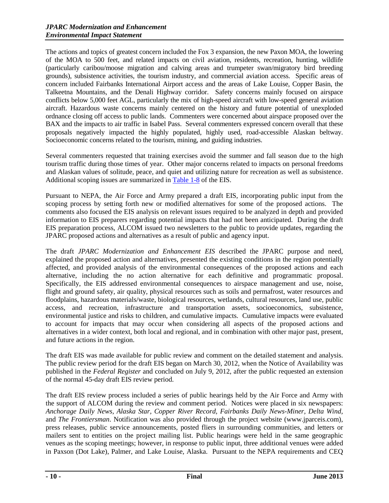The actions and topics of greatest concern included the Fox 3 expansion, the new Paxon MOA, the lowering of the MOA to 500 feet, and related impacts on civil aviation, residents, recreation, hunting, wildlife (particularly caribou/moose migration and calving areas and trumpeter swan/migratory bird breeding grounds), subsistence activities, the tourism industry, and commercial aviation access. Specific areas of concern included Fairbanks International Airport access and the areas of Lake Louise, Copper Basin, the Talkeetna Mountains, and the Denali Highway corridor. Safety concerns mainly focused on airspace conflicts below 5,000 feet AGL, particularly the mix of high-speed aircraft with low-speed general aviation aircraft. Hazardous waste concerns mainly centered on the history and future potential of unexploded ordnance closing off access to public lands. Commenters were concerned about airspace proposed over the BAX and the impacts to air traffic in Isabel Pass. Several commenters expressed concern overall that these proposals negatively impacted the highly populated, highly used, road-accessible Alaskan beltway. Socioeconomic concerns related to the tourism, mining, and guiding industries.

Several commenters requested that training exercises avoid the summer and fall season due to the high tourism traffic during those times of year. Other major concerns related to impacts on personal freedoms and Alaskan values of solitude, peace, and quiet and utilizing nature for recreation as well as subsistence. Additional scoping issues are summarized in Table 1-8 of the EIS.

Pursuant to NEPA, the Air Force and Army prepared a draft EIS, incorporating public input from the scoping process by setting forth new or modified alternatives for some of the proposed actions. The comments also focused the EIS analysis on relevant issues required to be analyzed in depth and provided information to EIS preparers regarding potential impacts that had not been anticipated. During the draft EIS preparation process, ALCOM issued two newsletters to the public to provide updates, regarding the JPARC proposed actions and alternatives as a result of public and agency input.

The draft *JPARC Modernization and Enhancement EIS* described the JPARC purpose and need, explained the proposed action and alternatives, presented the existing conditions in the region potentially affected, and provided analysis of the environmental consequences of the proposed actions and each alternative, including the no action alternative for each definitive and programmatic proposal. Specifically, the EIS addressed environmental consequences to airspace management and use, noise, flight and ground safety, air quality, physical resources such as soils and permafrost, water resources and floodplains, hazardous materials/waste, biological resources, wetlands, cultural resources, land use, public access, and recreation, infrastructure and transportation assets, socioeconomics, subsistence, environmental justice and risks to children, and cumulative impacts. Cumulative impacts were evaluated to account for impacts that may occur when considering all aspects of the proposed actions and alternatives in a wider context, both local and regional, and in combination with other major past, present, and future actions in the region.

The draft EIS was made available for public review and comment on the detailed statement and analysis. The public review period for the draft EIS began on March 30, 2012, when the Notice of Availability was published in the *Federal Register* and concluded on July 9, 2012, after the public requested an extension of the normal 45-day draft EIS review period.

The draft EIS review process included a series of public hearings held by the Air Force and Army with the support of ALCOM during the review and comment period. Notices were placed in six newspapers: *Anchorage Daily News, Alaska Star, Copper River Record, Fairbanks Daily News-Miner, Delta Wind,*  and *The Frontiersman*. Notification was also provided through the project website (www.jparceis.com), press releases, public service announcements, posted fliers in surrounding communities, and letters or mailers sent to entities on the project mailing list. Public hearings were held in the same geographic venues as the scoping meetings; however, in response to public input, three additional venues were added in Paxson (Dot Lake), Palmer, and Lake Louise, Alaska. Pursuant to the NEPA requirements and CEQ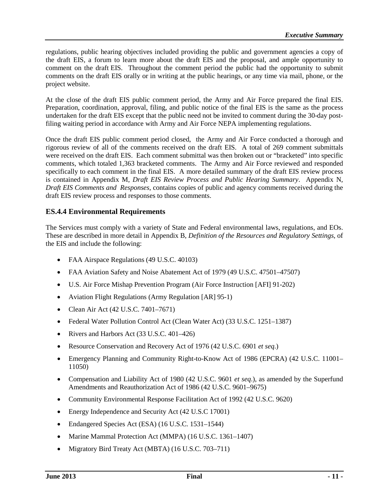regulations, public hearing objectives included providing the public and government agencies a copy of the draft EIS, a forum to learn more about the draft EIS and the proposal, and ample opportunity to comment on the draft EIS. Throughout the comment period the public had the opportunity to submit comments on the draft EIS orally or in writing at the public hearings, or any time via mail, phone, or the project website.

At the close of the draft EIS public comment period, the Army and Air Force prepared the final EIS. Preparation, coordination, approval, filing, and public notice of the final EIS is the same as the process undertaken for the draft EIS except that the public need not be invited to comment during the 30-day postfiling waiting period in accordance with Army and Air Force NEPA implementing regulations.

Once the draft EIS public comment period closed, the Army and Air Force conducted a thorough and rigorous review of all of the comments received on the draft EIS. A total of 269 comment submittals were received on the draft EIS. Each comment submittal was then broken out or "bracketed" into specific comments, which totaled 1,363 bracketed comments. The Army and Air Force reviewed and responded specifically to each comment in the final EIS. A more detailed summary of the draft EIS review process is contained in Appendix M, *Draft EIS Review Process and Public Hearing Summary*. Appendix N, *Draft EIS Comments and Responses*, contains copies of public and agency comments received during the draft EIS review process and responses to those comments.

#### **ES.4.4 Environmental Requirements**

The Services must comply with a variety of State and Federal environmental laws, regulations, and EOs. These are described in more detail in Appendix B, *Definition of the Resources and Regulatory Settings*, of the EIS and include the following:

- FAA Airspace Regulations (49 U.S.C. 40103)
- FAA Aviation Safety and Noise Abatement Act of 1979 (49 U.S.C. 47501–47507)
- U.S. Air Force Mishap Prevention Program (Air Force Instruction [AFI] 91-202)
- Aviation Flight Regulations (Army Regulation [AR] 95-1)
- Clean Air Act (42 U.S.C. 7401–7671)
- <span id="page-26-0"></span>• Federal Water Pollution Control Act (Clean Water Act) (33 U.S.C. 1251–1387)
- Rivers and Harbors Act (33 U.S.C. 401–426)
- Resource Conservation and Recovery Act of 1976 (42 U.S.C. 6901 *et seq*.)
- Emergency Planning and Community Right-to-Know Act of 1986 (EPCRA) (42 U.S.C. 11001– 11050)
- Compensation and Liability Act of 1980 (42 U.S.C. 9601 *et seq*.), as amended by the Superfund Amendments and Reauthorization Act of 1986 (42 U.S.C. 9601–9675)
- Community Environmental Response Facilitation Act of 1992 (42 U.S.C. 9620)
- Energy Independence and Security Act (42 U.S.C 17001)
- Endangered Species Act (ESA) (16 U.S.C. 1531–1544)
- Marine Mammal Protection Act (MMPA) (16 U.S.C. 1361-1407)
- Migratory Bird Treaty Act (MBTA) (16 U.S.C. 703–711)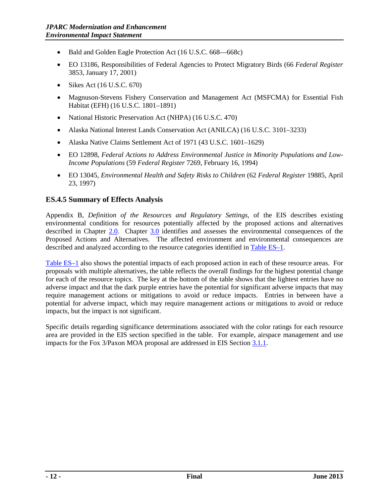- Bald and Golden Eagle Protection Act (16 U.S.C. 668–668c)
- EO 13186, Responsibilities of Federal Agencies to Protect Migratory Birds (66 *Federal Register* 3853, January 17, 2001)
- Sikes Act  $(16$  U.S.C. 670)
- Magnuson-Stevens Fishery Conservation and Management Act (MSFCMA) for Essential Fish Habitat (EFH) (16 U.S.C. 1801–1891)
- National Historic Preservation Act (NHPA) (16 U.S.C. 470)
- Alaska National Interest Lands Conservation Act (ANILCA) (16 U.S.C. 3101–3233)
- Alaska Native Claims Settlement Act of 1971 (43 U.S.C. 1601–1629)
- EO 12898, *Federal Actions to Address Environmental Justice in Minority Populations and Low-Income Populations* (59 *Federal Register* 7269, February 16, 1994)
- EO 13045, *Environmental Health and Safety Risks to Children* (62 *Federal Register* 19885, April 23, 1997)

#### **ES.4.5 Summary of Effects Analysis**

Appendix B, *Definition of the Resources and Regulatory Settings*, of the EIS describes existing environmental conditions for resources potentially affected by the proposed actions and alternatives described in Chapter 2.0. Chapter 3.0 identifies and assesses the environmental consequences of the Proposed Actions and Alternatives. The affected environment and environmental consequences are described and analyzed according to the resource categories identified in Table ES–1.

Table ES–1 also shows the potential impacts of each proposed action in each of these resource areas. For proposals with multiple alternatives, the table reflects the overall findings for the highest potential change for each of the resource topics. The key at the bottom of the table shows that the lightest entries have no adverse impact and that the dark purple entries have the potential for significant adverse impacts that may require management actions or mitigations to avoid or reduce impacts. Entries in between have a potential for adverse impact, which may require management actions or mitigations to avoid or reduce impacts, but the impact is not significant.

<span id="page-27-0"></span>Specific details regarding significance determinations associated with the color ratings for each resource area are provided in the EIS section specified in the table. For example, airspace management and use impacts for the Fox 3/Paxon MOA proposal are addressed in EIS Section 3.1.1.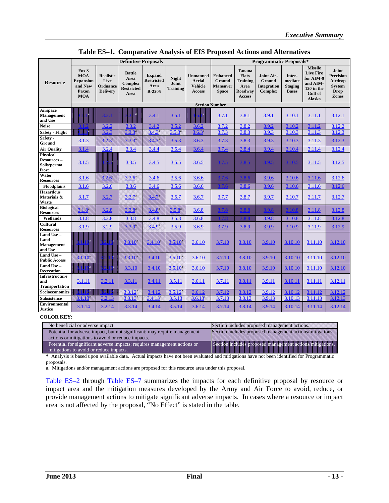<span id="page-28-0"></span>

|                                                       | <b>Definitive Proposals</b>                                               |                                                                |                                                                      |                                                      |                                   | <b>Programmatic Proposals*</b>                                      |                                                                                       |                                                                               |                                                              |                                                     |                                                                                                         |                                                                                      |
|-------------------------------------------------------|---------------------------------------------------------------------------|----------------------------------------------------------------|----------------------------------------------------------------------|------------------------------------------------------|-----------------------------------|---------------------------------------------------------------------|---------------------------------------------------------------------------------------|-------------------------------------------------------------------------------|--------------------------------------------------------------|-----------------------------------------------------|---------------------------------------------------------------------------------------------------------|--------------------------------------------------------------------------------------|
| <b>Resource</b>                                       | Fox 3<br><b>MOA</b><br><b>Expansion</b><br>and New<br>Paxon<br><b>MOA</b> | <b>Realistic</b><br>Live<br><b>Ordnance</b><br><b>Delivery</b> | <b>Battle</b><br>Area<br><b>Complex</b><br><b>Restricted</b><br>Area | <b>Expand</b><br><b>Restricted</b><br>Area<br>R-2205 | <b>Night</b><br>Joint<br>Training | <b>Unmanned</b><br><b>Aerial</b><br><b>Vehicle</b><br><b>Access</b> | <b>Enhanced</b><br>Ground<br><b>Maneuver</b><br><b>Space</b><br><b>Section Number</b> | <b>Tanana</b><br><b>Flats</b><br><b>Training</b><br>Area<br>Roadway<br>Access | Joint Air-<br>Ground<br><b>Integration</b><br><b>Complex</b> | Inter-<br>mediate<br><b>Staging</b><br><b>Bases</b> | <b>Missile</b><br><b>Live Fire</b><br>for AIM-9<br>and AIM-<br>$120$ in the<br>Gulf of<br><b>Alaska</b> | Joint<br><b>Precision</b><br><b>Airdrop</b><br><b>System</b><br><b>Drop</b><br>Zones |
| <b>Airspace</b><br>Management<br>and Use              |                                                                           |                                                                |                                                                      | 3.4.1                                                | 3.5.1                             | a                                                                   | 3.7.1                                                                                 | 3.8.1                                                                         | 3.9.1                                                        | 3.10.1                                              | 3.11.1                                                                                                  | 3.12.1                                                                               |
| <b>Noise</b>                                          |                                                                           | 3.2.2                                                          | 3.3.2                                                                | 3.4.2                                                | 3.5.2                             | 3.6.2                                                               | 3.7.2                                                                                 | 3.8.2                                                                         | 3.9.2                                                        | 3.10.2                                              | 3.11.2                                                                                                  | 3.12.2                                                                               |
| <b>Safety - Flight</b>                                |                                                                           | 3.2.3                                                          | $3.3.3^{a}$                                                          | $3.4.3^{a}$                                          | $3.5.3^{a}$                       | $3.6.3^{a}$                                                         | 3.7.3                                                                                 | 3.8.3                                                                         | 3.9.3                                                        | 3.10.3                                              | 3.11.3                                                                                                  | 3.12.3                                                                               |
| Safety -<br>Ground                                    | 3.1.3                                                                     | $3.2.3^{a}$                                                    | $3.3.3^{a}$                                                          | $3.4.3^{a}$                                          | 3.5.3                             | 3.6.3                                                               | 3.7.3                                                                                 | 3.8.3                                                                         | 3.9.3                                                        | 3.10.3                                              | 3.11.3                                                                                                  | 3.12.3                                                                               |
| <b>Air Quality</b>                                    | 3.1.4                                                                     | 3.2.4                                                          | 3.3.4                                                                | 3.4.4                                                | 3.5.4                             | 3.6.4                                                               | 3.7.4                                                                                 | 3.8.4                                                                         | 3.9.4                                                        | 3.10.4                                              | 3.11.4                                                                                                  | 3.12.4                                                                               |
| <b>Physical</b><br>Resources-<br>Soils/perma<br>frost | 3.1.5                                                                     |                                                                | 3.3.5                                                                | 3.4.5                                                | 3.5.5                             | 3.6.5                                                               | 3.7.5                                                                                 | 85                                                                            | .9.5                                                         |                                                     | 3.11.5                                                                                                  | 3.12.5                                                                               |
| Water<br><b>Resources</b>                             | 3.1.6                                                                     | $3.2.6^a$                                                      | 3.3.6 <sup>a</sup>                                                   | 3.4.6                                                | 3.5.6                             | 3.6.6                                                               |                                                                                       |                                                                               | 3.9.6                                                        | 3.10.6                                              | 3.11.6                                                                                                  | 3.12.6                                                                               |
| <b>Floodplains</b>                                    | 3.1.6                                                                     | 3.2.6                                                          | 3.3.6                                                                | 3.4.6                                                | 3.5.6                             | 3.6.6                                                               | 7                                                                                     | 3.8.6                                                                         | 3.9.6                                                        | 3.10.6                                              | 3.11.6                                                                                                  | 3.12.6                                                                               |
| <b>Hazardous</b><br>Materials &<br>Waste              | 3.1.7                                                                     | 3.2.7                                                          | 3.3.7 <sup>a</sup>                                                   | 3.4.7 <sup>a</sup>                                   | 3.5.7                             | 3.6.7                                                               | 3.7.7                                                                                 | 3.8.7                                                                         | 3.9.7                                                        | 3.10.7                                              | 3.11.7                                                                                                  | 3.12.7                                                                               |
| <b>Biological</b><br><b>Resources</b>                 | $3.1.8^{a}$                                                               | 3.2.8                                                          | $3.3.8^{a}$                                                          | $3.4.8^{a}$                                          | $3.5.8^{a}$                       | 3.6.8                                                               |                                                                                       |                                                                               |                                                              |                                                     | 3.11.8                                                                                                  | 3.12.8                                                                               |
| Wetlands                                              | 3.1.8                                                                     | 3.2.8                                                          | 3.3.8                                                                | 3.4.8                                                | 3.5.8                             | 3.6.8                                                               |                                                                                       |                                                                               | 3.9.8                                                        | 3.10.8                                              | 3.11.8                                                                                                  | 3.12.8                                                                               |
| <b>Cultural</b><br><b>Resources</b>                   | 3.1.9                                                                     | 3.2.9                                                          | $3.3.9^{a}$                                                          | 3.4.9 <sup>a</sup>                                   | 3.5.9                             | 3.6.9                                                               | 3.7.9                                                                                 | 3.8.9                                                                         | 3.9.9                                                        | 3.10.9                                              | 3.11.9                                                                                                  | 3.12.9                                                                               |
| Land Use -<br>Land<br>Management<br>and Use           |                                                                           |                                                                | $3.3.10^{a}$                                                         | $3.4.10^{a}$                                         | $3.5.10^{a}$                      | 3.6.10                                                              | 3.7.10                                                                                | 3.8.10                                                                        | 3.9.10                                                       | 3.10.10                                             | 3.11.10                                                                                                 | 3.12.10                                                                              |
| Land Use -<br><b>Public Access</b>                    | $3.1.10^{a}$                                                              |                                                                | $3.3.10^{a}$                                                         | 3.4.10                                               | $3.5.10^{a}$                      | 3.6.10                                                              | 3.7.10                                                                                | 3.8.10                                                                        | 3.9.10                                                       | 3.10.10                                             | 3.11.10                                                                                                 | 3.12.10                                                                              |
| Land Use -<br>Recreation                              |                                                                           |                                                                | 3.3.10                                                               | 3.4.10                                               | $3.5.10^{a}$                      | 3.6.10                                                              | 3.7.10                                                                                | 3.8.10                                                                        | 3.9.10                                                       | 3.10.10                                             | 3.11.10                                                                                                 | 3.12.10                                                                              |
| <b>Infrastructure</b><br>and<br><b>Transportation</b> | 3.1.11                                                                    | 3.2.11                                                         | 3.3.11                                                               | 3.4.11                                               | 3.5.11                            | 3.6.11                                                              | 3.7.11                                                                                | 3.8.11                                                                        | 3.9.11                                                       | 3.10.11                                             | 3.11.11                                                                                                 | 3.12.11                                                                              |
| Socioeconomics                                        |                                                                           |                                                                | $3.3.12^{a}$                                                         | 3.4.12                                               | $3.5.12^{a}$                      | 3.6.12                                                              | 3.7.12                                                                                | 3.8.12                                                                        | 3.9.12                                                       | 3.10.12                                             | 3.11.12                                                                                                 | 3.12.12                                                                              |
| <b>Subsistence</b>                                    | $3.1.13^{a}$                                                              | 3.2.13                                                         | $3.3.13^{a}$                                                         | $3.4.13^{a}$                                         | 3.5.13                            | $3.6.13^{a}$                                                        | 3.7.13                                                                                | 3.8.13                                                                        | 3.9.13                                                       | 3.10.13                                             | 3.11.13                                                                                                 | 3.12.13                                                                              |
| <b>Environmental</b><br><b>Justice</b>                | 3.1.14                                                                    | 3.2.14                                                         | 3.3.14                                                               | 3.4.14                                               | 3.5.14                            | 3.6.14                                                              | 3.7.14                                                                                | 3.8.14                                                                        | 3.9.14                                                       | 3.10.14                                             | 3.11.14                                                                                                 | 3.12.14                                                                              |

**Table ES–1. Comparative Analysis of EIS Proposed Actions and Alternatives**

#### **COLOR KEY:**

| No beneficial or adverse impact.                                                                                                | Section includes proposed management actions.             |
|---------------------------------------------------------------------------------------------------------------------------------|-----------------------------------------------------------|
| Potential for adverse impact, but not significant; may require management<br>actions or mitigations to avoid or reduce impacts. | Section includes proposed management actions/mitigations. |
| Potential for significant adverse impacts; requires management actions or<br>mitigations to avoid or reduce impacts.            | Section includes proposed management actions/mitigations. |

**\*** Analysis is based upon available data. Actual impacts have not been evaluated and mitigations have not been identified for Programmatic proposals.

a. Mitigations and/or management actions are proposed for this resource area under this proposal.

Table ES–2 through Table ES–7 summarizes the impacts for each definitive proposal by resource or impact area and the mitigation measures developed by the Army and Air Force to avoid, reduce, or provide management actions to mitigate significant adverse impacts. In cases where a resource or impact area is not affected by the proposal, "No Effect" is stated in the table.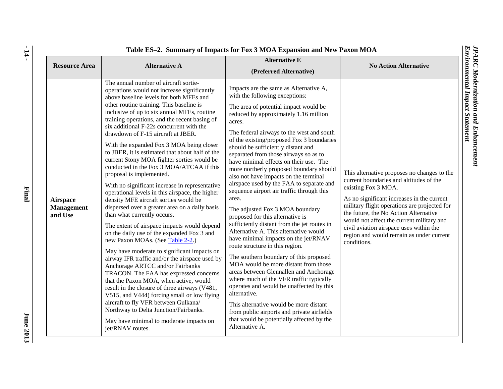<span id="page-29-0"></span>

| Table ES–2. Summary of Impacts for Fox 3 MOA Expansion and New Paxon MOA |                                                                                                                                                                                                                                                                                                                                                                                                                                                                                                                                                                                                                                                                                                                                                                                                                                                                                                                                                                                                                                                                                                                                                                                                                                                                                                                                                                                                                             |                                                                                                                                                                                                                                                                                                                                                                                                                                                                                                                                                                                                                                                                                                                                                                                                                                                                                                                                                                                                                                                                                                                                                                                                                   |                                                                                                                                                                                                                                                                                                                                                                                                         |  |  |  |  |  |
|--------------------------------------------------------------------------|-----------------------------------------------------------------------------------------------------------------------------------------------------------------------------------------------------------------------------------------------------------------------------------------------------------------------------------------------------------------------------------------------------------------------------------------------------------------------------------------------------------------------------------------------------------------------------------------------------------------------------------------------------------------------------------------------------------------------------------------------------------------------------------------------------------------------------------------------------------------------------------------------------------------------------------------------------------------------------------------------------------------------------------------------------------------------------------------------------------------------------------------------------------------------------------------------------------------------------------------------------------------------------------------------------------------------------------------------------------------------------------------------------------------------------|-------------------------------------------------------------------------------------------------------------------------------------------------------------------------------------------------------------------------------------------------------------------------------------------------------------------------------------------------------------------------------------------------------------------------------------------------------------------------------------------------------------------------------------------------------------------------------------------------------------------------------------------------------------------------------------------------------------------------------------------------------------------------------------------------------------------------------------------------------------------------------------------------------------------------------------------------------------------------------------------------------------------------------------------------------------------------------------------------------------------------------------------------------------------------------------------------------------------|---------------------------------------------------------------------------------------------------------------------------------------------------------------------------------------------------------------------------------------------------------------------------------------------------------------------------------------------------------------------------------------------------------|--|--|--|--|--|
| <b>Resource Area</b>                                                     | <b>Alternative A</b>                                                                                                                                                                                                                                                                                                                                                                                                                                                                                                                                                                                                                                                                                                                                                                                                                                                                                                                                                                                                                                                                                                                                                                                                                                                                                                                                                                                                        | <b>Alternative E</b><br>(Preferred Alternative)                                                                                                                                                                                                                                                                                                                                                                                                                                                                                                                                                                                                                                                                                                                                                                                                                                                                                                                                                                                                                                                                                                                                                                   | <b>No Action Alternative</b>                                                                                                                                                                                                                                                                                                                                                                            |  |  |  |  |  |
| <b>Airspace</b><br><b>Management</b><br>and Use                          | The annual number of aircraft sortie-<br>operations would not increase significantly<br>above baseline levels for both MFEs and<br>other routine training. This baseline is<br>inclusive of up to six annual MFEs, routine<br>training operations, and the recent basing of<br>six additional F-22s concurrent with the<br>drawdown of F-15 aircraft at JBER.<br>With the expanded Fox 3 MOA being closer<br>to JBER, it is estimated that about half of the<br>current Stony MOA fighter sorties would be<br>conducted in the Fox 3 MOA/ATCAA if this<br>proposal is implemented.<br>With no significant increase in representative<br>operational levels in this airspace, the higher<br>density MFE aircraft sorties would be<br>dispersed over a greater area on a daily basis<br>than what currently occurs.<br>The extent of airspace impacts would depend<br>on the daily use of the expanded Fox 3 and<br>new Paxon MOAs. (See Table 2-2.)<br>May have moderate to significant impacts on<br>airway IFR traffic and/or the airspace used by<br>Anchorage ARTCC and/or Fairbanks<br>TRACON. The FAA has expressed concerns<br>that the Paxon MOA, when active, would<br>result in the closure of three airways (V481,<br>V515, and V444) forcing small or low flying<br>aircraft to fly VFR between Gulkana/<br>Northway to Delta Junction/Fairbanks.<br>May have minimal to moderate impacts on<br>jet/RNAV routes. | Impacts are the same as Alternative A,<br>with the following exceptions:<br>The area of potential impact would be<br>reduced by approximately 1.16 million<br>acres.<br>The federal airways to the west and south<br>of the existing/proposed Fox 3 boundaries<br>should be sufficiently distant and<br>separated from those airways so as to<br>have minimal effects on their use. The<br>more northerly proposed boundary should<br>also not have impacts on the terminal<br>airspace used by the FAA to separate and<br>sequence airport air traffic through this<br>area.<br>The adjusted Fox 3 MOA boundary<br>proposed for this alternative is<br>sufficiently distant from the jet routes in<br>Alternative A. This alternative would<br>have minimal impacts on the jet/RNAV<br>route structure in this region.<br>The southern boundary of this proposed<br>MOA would be more distant from those<br>areas between Glennallen and Anchorage<br>where much of the VFR traffic typically<br>operates and would be unaffected by this<br>alternative.<br>This alternative would be more distant<br>from public airports and private airfields<br>that would be potentially affected by the<br>Alternative A. | This alternative proposes no changes to the<br>current boundaries and altitudes of the<br>existing Fox 3 MOA.<br>As no significant increases in the current<br>military flight operations are projected for<br>the future, the No Action Alternative<br>would not affect the current military and<br>civil aviation airspace uses within the<br>region and would remain as under current<br>conditions. |  |  |  |  |  |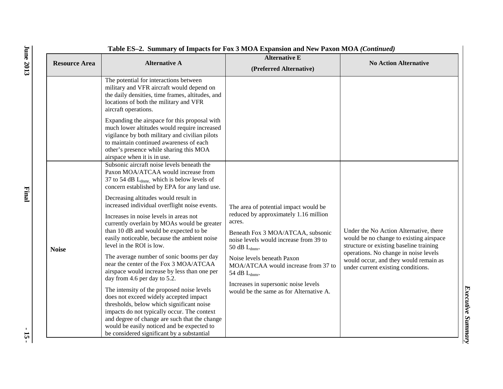|                      | <b>Alternative A</b>                                                                                                                                                                                                                                                                                                                                                                                                                                                                                                                                                                                                                                                                                                                                                                                                                                                                                                                                                                                         | <b>Alternative E</b>                                                                                                                                                                                                                                                                                                                                                  | <b>No Action Alternative</b>                                                                                                                                                                                                                         |
|----------------------|--------------------------------------------------------------------------------------------------------------------------------------------------------------------------------------------------------------------------------------------------------------------------------------------------------------------------------------------------------------------------------------------------------------------------------------------------------------------------------------------------------------------------------------------------------------------------------------------------------------------------------------------------------------------------------------------------------------------------------------------------------------------------------------------------------------------------------------------------------------------------------------------------------------------------------------------------------------------------------------------------------------|-----------------------------------------------------------------------------------------------------------------------------------------------------------------------------------------------------------------------------------------------------------------------------------------------------------------------------------------------------------------------|------------------------------------------------------------------------------------------------------------------------------------------------------------------------------------------------------------------------------------------------------|
| <b>Resource Area</b> |                                                                                                                                                                                                                                                                                                                                                                                                                                                                                                                                                                                                                                                                                                                                                                                                                                                                                                                                                                                                              | (Preferred Alternative)                                                                                                                                                                                                                                                                                                                                               |                                                                                                                                                                                                                                                      |
|                      | The potential for interactions between<br>military and VFR aircraft would depend on<br>the daily densities, time frames, altitudes, and<br>locations of both the military and VFR<br>aircraft operations.<br>Expanding the airspace for this proposal with<br>much lower altitudes would require increased<br>vigilance by both military and civilian pilots<br>to maintain continued awareness of each<br>other's presence while sharing this MOA<br>airspace when it is in use.                                                                                                                                                                                                                                                                                                                                                                                                                                                                                                                            |                                                                                                                                                                                                                                                                                                                                                                       |                                                                                                                                                                                                                                                      |
| <b>Noise</b>         | Subsonic aircraft noise levels beneath the<br>Paxon MOA/ATCAA would increase from<br>37 to 54 dB L <sub>dnmr,</sub> which is below levels of<br>concern established by EPA for any land use.<br>Decreasing altitudes would result in<br>increased individual overflight noise events.<br>Increases in noise levels in areas not<br>currently overlain by MOAs would be greater<br>than 10 dB and would be expected to be<br>easily noticeable, because the ambient noise<br>level in the ROI is low.<br>The average number of sonic booms per day<br>near the center of the Fox 3 MOA/ATCAA<br>airspace would increase by less than one per<br>day from 4.6 per day to 5.2.<br>The intensity of the proposed noise levels<br>does not exceed widely accepted impact<br>thresholds, below which significant noise<br>impacts do not typically occur. The context<br>and degree of change are such that the change<br>would be easily noticed and be expected to<br>be considered significant by a substantial | The area of potential impact would be<br>reduced by approximately 1.16 million<br>acres.<br>Beneath Fox 3 MOA/ATCAA, subsonic<br>noise levels would increase from 39 to<br>50 dB $L_{dmnr}$ .<br>Noise levels beneath Paxon<br>MOA/ATCAA would increase from 37 to<br>54 dB Ldnmr.<br>Increases in supersonic noise levels<br>would be the same as for Alternative A. | Under the No Action Alternative, there<br>would be no change to existing airspace<br>structure or existing baseline training<br>operations. No change in noise levels<br>would occur, and they would remain as<br>under current existing conditions. |

#### **Table ES–2. Summary of Impacts for Fox 3 MOA Expansion and New Paxon MOA** *(Continued)*

**- 15 -**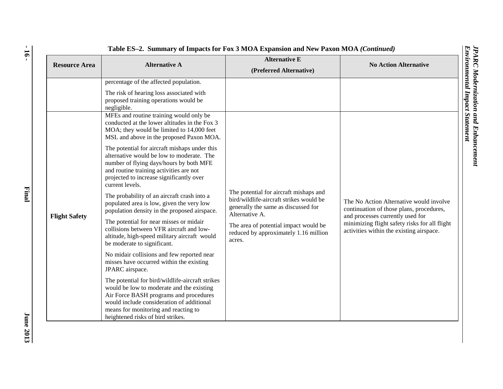| <b>Resource Area</b> | <b>Alternative A</b>                                                                                                                                                                                                                            | <b>Alternative E</b><br>(Preferred Alternative)                                                                                            | <b>No Action Alternative</b>                                                                                            |
|----------------------|-------------------------------------------------------------------------------------------------------------------------------------------------------------------------------------------------------------------------------------------------|--------------------------------------------------------------------------------------------------------------------------------------------|-------------------------------------------------------------------------------------------------------------------------|
|                      | percentage of the affected population.                                                                                                                                                                                                          |                                                                                                                                            |                                                                                                                         |
|                      | The risk of hearing loss associated with<br>proposed training operations would be<br>negligible.                                                                                                                                                |                                                                                                                                            |                                                                                                                         |
|                      | MFEs and routine training would only be<br>conducted at the lower altitudes in the Fox 3<br>MOA; they would be limited to 14,000 feet<br>MSL and above in the proposed Paxon MOA.                                                               |                                                                                                                                            |                                                                                                                         |
|                      | The potential for aircraft mishaps under this<br>alternative would be low to moderate. The<br>number of flying days/hours by both MFE<br>and routine training activities are not<br>projected to increase significantly over<br>current levels. |                                                                                                                                            |                                                                                                                         |
|                      | The probability of an aircraft crash into a<br>populated area is low, given the very low<br>population density in the proposed airspace.                                                                                                        | The potential for aircraft mishaps and<br>bird/wildlife-aircraft strikes would be<br>generally the same as discussed for<br>Alternative A. | The No Action Alternative would involve<br>continuation of those plans, procedures,<br>and processes currently used for |
| <b>Flight Safety</b> | The potential for near misses or midair<br>collisions between VFR aircraft and low-<br>altitude, high-speed military aircraft would<br>be moderate to significant.                                                                              | The area of potential impact would be<br>reduced by approximately 1.16 million<br>acres.                                                   | minimizing flight safety risks for all flight<br>activities within the existing airspace.                               |
|                      | No midair collisions and few reported near<br>misses have occurred within the existing<br>JPARC airspace.                                                                                                                                       |                                                                                                                                            |                                                                                                                         |
|                      | The potential for bird/wildlife-aircraft strikes<br>would be low to moderate and the existing<br>Air Force BASH programs and procedures<br>would include consideration of additional<br>means for monitoring and reacting to                    |                                                                                                                                            |                                                                                                                         |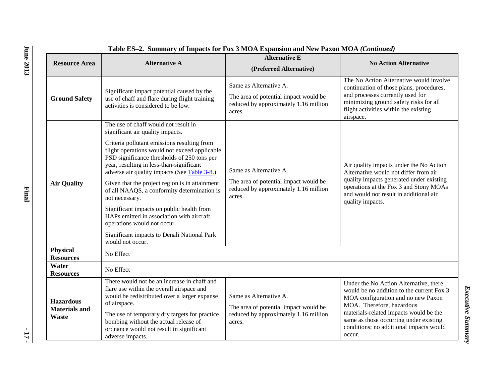|                                                   |                                                                                                                                                                                                                                                                                                                                                                                                                                                                                                                                                                                                                                    | <b>Alternative E</b>                                                                                               |                                                                                                                                                                                                                                                                                                 |
|---------------------------------------------------|------------------------------------------------------------------------------------------------------------------------------------------------------------------------------------------------------------------------------------------------------------------------------------------------------------------------------------------------------------------------------------------------------------------------------------------------------------------------------------------------------------------------------------------------------------------------------------------------------------------------------------|--------------------------------------------------------------------------------------------------------------------|-------------------------------------------------------------------------------------------------------------------------------------------------------------------------------------------------------------------------------------------------------------------------------------------------|
| <b>Resource Area</b>                              | <b>Alternative A</b>                                                                                                                                                                                                                                                                                                                                                                                                                                                                                                                                                                                                               | (Preferred Alternative)                                                                                            | <b>No Action Alternative</b>                                                                                                                                                                                                                                                                    |
| <b>Ground Safety</b>                              | Significant impact potential caused by the<br>use of chaff and flare during flight training<br>activities is considered to be low.                                                                                                                                                                                                                                                                                                                                                                                                                                                                                                 | Same as Alternative A.<br>The area of potential impact would be<br>reduced by approximately 1.16 million<br>acres. | The No Action Alternative would involve<br>continuation of those plans, procedures,<br>and processes currently used for<br>minimizing ground safety risks for all<br>flight activities within the existing<br>airspace.                                                                         |
| <b>Air Quality</b>                                | The use of chaff would not result in<br>significant air quality impacts.<br>Criteria pollutant emissions resulting from<br>flight operations would not exceed applicable<br>PSD significance thresholds of 250 tons per<br>year, resulting in less-than-significant<br>adverse air quality impacts (See Table 3-8.)<br>Given that the project region is in attainment<br>of all NAAQS, a conformity determination is<br>not necessary.<br>Significant impacts on public health from<br>HAPs emitted in association with aircraft<br>operations would not occur.<br>Significant impacts to Denali National Park<br>would not occur. | Same as Alternative A.<br>The area of potential impact would be<br>reduced by approximately 1.16 million<br>acres. | Air quality impacts under the No Action<br>Alternative would not differ from air<br>quality impacts generated under existing<br>operations at the Fox 3 and Stony MOAs<br>and would not result in additional air<br>quality impacts.                                                            |
| <b>Physical</b><br><b>Resources</b>               | No Effect                                                                                                                                                                                                                                                                                                                                                                                                                                                                                                                                                                                                                          |                                                                                                                    |                                                                                                                                                                                                                                                                                                 |
| Water<br><b>Resources</b>                         | No Effect                                                                                                                                                                                                                                                                                                                                                                                                                                                                                                                                                                                                                          |                                                                                                                    |                                                                                                                                                                                                                                                                                                 |
| <b>Hazardous</b><br><b>Materials and</b><br>Waste | There would not be an increase in chaff and<br>flare use within the overall airspace and<br>would be redistributed over a larger expanse<br>of airspace.<br>The use of temporary dry targets for practice<br>bombing without the actual release of<br>ordnance would not result in significant<br>adverse impacts.                                                                                                                                                                                                                                                                                                                 | Same as Alternative A.<br>The area of potential impact would be<br>reduced by approximately 1.16 million<br>acres. | Under the No Action Alternative, there<br>would be no addition to the current Fox 3<br>MOA configuration and no new Paxon<br>MOA. Therefore, hazardous<br>materials-related impacts would be the<br>same as those occurring under existing<br>conditions; no additional impacts would<br>occur. |

#### **Table ES–2. Summary of Impacts for Fox 3 MOA Expansion and New Paxon MOA** *(Continued)*

**- 17 -**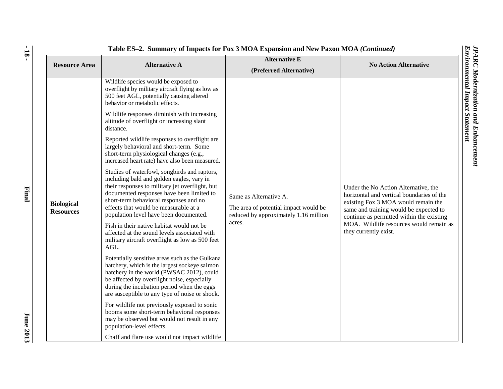| Table ES-2. Summary of Impacts for Fox 3 MOA Expansion and New Paxon MOA (Continued)<br>$\overline{\mathbf{8}}$ |                                       |                                                                                                                                                                                                                                                                                                                        |                                                                                                          |                                                                                                                                                                                                                 |
|-----------------------------------------------------------------------------------------------------------------|---------------------------------------|------------------------------------------------------------------------------------------------------------------------------------------------------------------------------------------------------------------------------------------------------------------------------------------------------------------------|----------------------------------------------------------------------------------------------------------|-----------------------------------------------------------------------------------------------------------------------------------------------------------------------------------------------------------------|
|                                                                                                                 | <b>Resource Area</b>                  | <b>Alternative A</b>                                                                                                                                                                                                                                                                                                   | <b>Alternative E</b><br>(Preferred Alternative)                                                          | <b>No Action Alternative</b>                                                                                                                                                                                    |
|                                                                                                                 |                                       | Wildlife species would be exposed to<br>overflight by military aircraft flying as low as<br>500 feet AGL, potentially causing altered<br>behavior or metabolic effects.                                                                                                                                                |                                                                                                          |                                                                                                                                                                                                                 |
|                                                                                                                 |                                       | Wildlife responses diminish with increasing<br>altitude of overflight or increasing slant<br>distance.                                                                                                                                                                                                                 |                                                                                                          |                                                                                                                                                                                                                 |
|                                                                                                                 |                                       | Reported wildlife responses to overflight are<br>largely behavioral and short-term. Some<br>short-term physiological changes (e.g.,<br>increased heart rate) have also been measured.                                                                                                                                  |                                                                                                          |                                                                                                                                                                                                                 |
| Final                                                                                                           | <b>Biological</b><br><b>Resources</b> | Studies of waterfowl, songbirds and raptors,<br>including bald and golden eagles, vary in<br>their responses to military jet overflight, but<br>documented responses have been limited to<br>short-term behavioral responses and no<br>effects that would be measurable at a<br>population level have been documented. | Same as Alternative A.<br>The area of potential impact would be<br>reduced by approximately 1.16 million | Under the No Action Alternative, the<br>horizontal and vertical boundaries of the<br>existing Fox 3 MOA would remain the<br>same and training would be expected to<br>continue as permitted within the existing |
|                                                                                                                 |                                       | Fish in their native habitat would not be<br>affected at the sound levels associated with<br>military aircraft overflight as low as 500 feet<br>AGL.                                                                                                                                                                   | acres.                                                                                                   | MOA. Wildlife resources would remain as<br>they currently exist.                                                                                                                                                |
|                                                                                                                 |                                       | Potentially sensitive areas such as the Gulkana<br>hatchery, which is the largest sockeye salmon<br>hatchery in the world (PWSAC 2012), could<br>be affected by overflight noise, especially<br>during the incubation period when the eggs<br>are susceptible to any type of noise or shock.                           |                                                                                                          |                                                                                                                                                                                                                 |
| <b>June 2013</b>                                                                                                |                                       | For wildlife not previously exposed to sonic<br>booms some short-term behavioral responses<br>may be observed but would not result in any<br>population-level effects.                                                                                                                                                 |                                                                                                          |                                                                                                                                                                                                                 |
|                                                                                                                 |                                       | Chaff and flare use would not impact wildlife                                                                                                                                                                                                                                                                          |                                                                                                          |                                                                                                                                                                                                                 |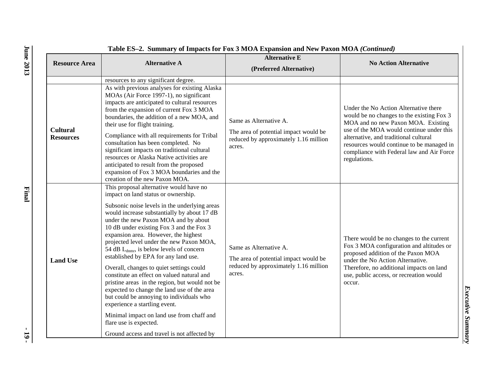| <b>Resource Area</b>                | <b>Alternative A</b>                                                                                                                                                                                                                                                                                                                                                                                                                                                                                                                                                                                                                                                                                                                                                                                                                                 | <b>Alternative E</b><br>(Preferred Alternative)                                                                    | <b>No Action Alternative</b>                                                                                                                                                                                                                                                                                            |
|-------------------------------------|------------------------------------------------------------------------------------------------------------------------------------------------------------------------------------------------------------------------------------------------------------------------------------------------------------------------------------------------------------------------------------------------------------------------------------------------------------------------------------------------------------------------------------------------------------------------------------------------------------------------------------------------------------------------------------------------------------------------------------------------------------------------------------------------------------------------------------------------------|--------------------------------------------------------------------------------------------------------------------|-------------------------------------------------------------------------------------------------------------------------------------------------------------------------------------------------------------------------------------------------------------------------------------------------------------------------|
|                                     |                                                                                                                                                                                                                                                                                                                                                                                                                                                                                                                                                                                                                                                                                                                                                                                                                                                      |                                                                                                                    |                                                                                                                                                                                                                                                                                                                         |
|                                     | resources to any significant degree.                                                                                                                                                                                                                                                                                                                                                                                                                                                                                                                                                                                                                                                                                                                                                                                                                 |                                                                                                                    |                                                                                                                                                                                                                                                                                                                         |
| <b>Cultural</b><br><b>Resources</b> | As with previous analyses for existing Alaska<br>MOAs (Air Force 1997-1), no significant<br>impacts are anticipated to cultural resources<br>from the expansion of current Fox 3 MOA<br>boundaries, the addition of a new MOA, and<br>their use for flight training.<br>Compliance with all requirements for Tribal<br>consultation has been completed. No<br>significant impacts on traditional cultural<br>resources or Alaska Native activities are<br>anticipated to result from the proposed<br>expansion of Fox 3 MOA boundaries and the<br>creation of the new Paxon MOA.                                                                                                                                                                                                                                                                     | Same as Alternative A.<br>The area of potential impact would be<br>reduced by approximately 1.16 million<br>acres. | Under the No Action Alternative there<br>would be no changes to the existing Fox 3<br>MOA and no new Paxon MOA. Existing<br>use of the MOA would continue under this<br>alternative, and traditional cultural<br>resources would continue to be managed in<br>compliance with Federal law and Air Force<br>regulations. |
| <b>Land Use</b>                     | This proposal alternative would have no<br>impact on land status or ownership.<br>Subsonic noise levels in the underlying areas<br>would increase substantially by about 17 dB<br>under the new Paxon MOA and by about<br>10 dB under existing Fox 3 and the Fox 3<br>expansion area. However, the highest<br>projected level under the new Paxon MOA,<br>54 dB L <sub>dnmr</sub> , is below levels of concern<br>established by EPA for any land use.<br>Overall, changes to quiet settings could<br>constitute an effect on valued natural and<br>pristine areas in the region, but would not be<br>expected to change the land use of the area<br>but could be annoying to individuals who<br>experience a startling event.<br>Minimal impact on land use from chaff and<br>flare use is expected.<br>Ground access and travel is not affected by | Same as Alternative A.<br>The area of potential impact would be<br>reduced by approximately 1.16 million<br>acres. | There would be no changes to the current<br>Fox 3 MOA configuration and altitudes or<br>proposed addition of the Paxon MOA<br>under the No Action Alternative.<br>Therefore, no additional impacts on land<br>use, public access, or recreation would<br>occur.                                                         |

#### **Table ES–2. Summary of Impacts for Fox 3 MOA Expansion and New Paxon MOA** *(Continued)*

**- 19 -**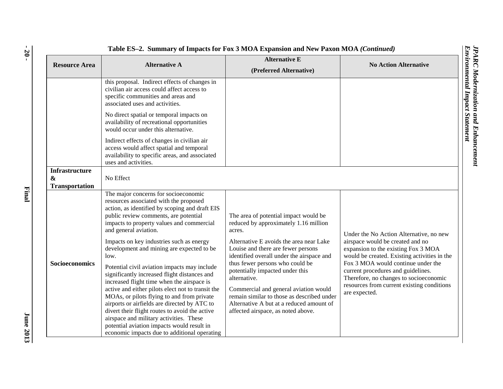|                                                                     |                                                                                                                                                                                                                                                                                                                                                                                                                                          | <b>Alternative E</b>                                                                                                                                                                                                                                        |                                                                                                                                                                                   |
|---------------------------------------------------------------------|------------------------------------------------------------------------------------------------------------------------------------------------------------------------------------------------------------------------------------------------------------------------------------------------------------------------------------------------------------------------------------------------------------------------------------------|-------------------------------------------------------------------------------------------------------------------------------------------------------------------------------------------------------------------------------------------------------------|-----------------------------------------------------------------------------------------------------------------------------------------------------------------------------------|
| <b>Resource Area</b>                                                | <b>Alternative A</b>                                                                                                                                                                                                                                                                                                                                                                                                                     | (Preferred Alternative)                                                                                                                                                                                                                                     | <b>No Action Alternative</b>                                                                                                                                                      |
|                                                                     | this proposal. Indirect effects of changes in<br>civilian air access could affect access to<br>specific communities and areas and<br>associated uses and activities.                                                                                                                                                                                                                                                                     |                                                                                                                                                                                                                                                             |                                                                                                                                                                                   |
|                                                                     | No direct spatial or temporal impacts on<br>availability of recreational opportunities<br>would occur under this alternative.                                                                                                                                                                                                                                                                                                            |                                                                                                                                                                                                                                                             |                                                                                                                                                                                   |
|                                                                     | Indirect effects of changes in civilian air<br>access would affect spatial and temporal<br>availability to specific areas, and associated<br>uses and activities.                                                                                                                                                                                                                                                                        |                                                                                                                                                                                                                                                             |                                                                                                                                                                                   |
| <b>Infrastructure</b><br>$\boldsymbol{\&}$<br><b>Transportation</b> | No Effect                                                                                                                                                                                                                                                                                                                                                                                                                                |                                                                                                                                                                                                                                                             |                                                                                                                                                                                   |
|                                                                     | The major concerns for socioeconomic<br>resources associated with the proposed<br>action, as identified by scoping and draft EIS<br>public review comments, are potential<br>impacts to property values and commercial<br>and general aviation.                                                                                                                                                                                          | The area of potential impact would be<br>reduced by approximately 1.16 million<br>acres.                                                                                                                                                                    | Under the No Action Alternative, no new                                                                                                                                           |
|                                                                     | Impacts on key industries such as energy<br>development and mining are expected to be<br>low.                                                                                                                                                                                                                                                                                                                                            | Alternative E avoids the area near Lake<br>Louise and there are fewer persons<br>identified overall under the airspace and                                                                                                                                  | airspace would be created and no<br>expansion to the existing Fox 3 MOA<br>would be created. Existing activities in the                                                           |
| Socioeconomics                                                      | Potential civil aviation impacts may include<br>significantly increased flight distances and<br>increased flight time when the airspace is<br>active and either pilots elect not to transit the<br>MOAs, or pilots flying to and from private<br>airports or airfields are directed by ATC to<br>divert their flight routes to avoid the active<br>airspace and military activities. These<br>potential aviation impacts would result in | thus fewer persons who could be<br>potentially impacted under this<br>alternative.<br>Commercial and general aviation would<br>remain similar to those as described under<br>Alternative A but at a reduced amount of<br>affected airspace, as noted above. | Fox 3 MOA would continue under the<br>current procedures and guidelines.<br>Therefore, no changes to socioeconomic<br>resources from current existing conditions<br>are expected. |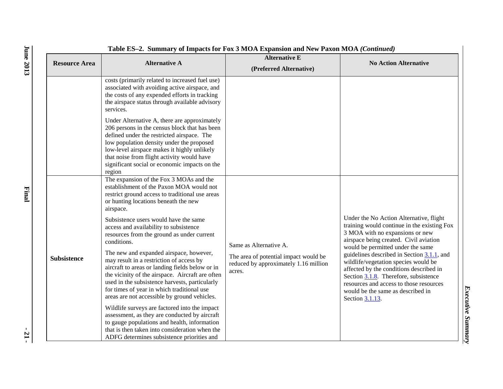|                      |                                                                                                                                                                                                                                                                                                                                                                                                                                                                                                                                                                                                                                                                                                                                                                                                                                                                                                                                             | <b>Alternative E</b>                                                                                               |                                                                                                                                                                                                                                                                                                                                                                                                                                                                                          |
|----------------------|---------------------------------------------------------------------------------------------------------------------------------------------------------------------------------------------------------------------------------------------------------------------------------------------------------------------------------------------------------------------------------------------------------------------------------------------------------------------------------------------------------------------------------------------------------------------------------------------------------------------------------------------------------------------------------------------------------------------------------------------------------------------------------------------------------------------------------------------------------------------------------------------------------------------------------------------|--------------------------------------------------------------------------------------------------------------------|------------------------------------------------------------------------------------------------------------------------------------------------------------------------------------------------------------------------------------------------------------------------------------------------------------------------------------------------------------------------------------------------------------------------------------------------------------------------------------------|
| <b>Resource Area</b> | <b>Alternative A</b>                                                                                                                                                                                                                                                                                                                                                                                                                                                                                                                                                                                                                                                                                                                                                                                                                                                                                                                        | (Preferred Alternative)                                                                                            | <b>No Action Alternative</b>                                                                                                                                                                                                                                                                                                                                                                                                                                                             |
|                      | costs (primarily related to increased fuel use)<br>associated with avoiding active airspace, and<br>the costs of any expended efforts in tracking<br>the airspace status through available advisory<br>services.                                                                                                                                                                                                                                                                                                                                                                                                                                                                                                                                                                                                                                                                                                                            |                                                                                                                    |                                                                                                                                                                                                                                                                                                                                                                                                                                                                                          |
|                      | Under Alternative A, there are approximately<br>206 persons in the census block that has been<br>defined under the restricted airspace. The<br>low population density under the proposed<br>low-level airspace makes it highly unlikely<br>that noise from flight activity would have<br>significant social or economic impacts on the<br>region                                                                                                                                                                                                                                                                                                                                                                                                                                                                                                                                                                                            |                                                                                                                    |                                                                                                                                                                                                                                                                                                                                                                                                                                                                                          |
| <b>Subsistence</b>   | The expansion of the Fox 3 MOAs and the<br>establishment of the Paxon MOA would not<br>restrict ground access to traditional use areas<br>or hunting locations beneath the new<br>airspace.<br>Subsistence users would have the same<br>access and availability to subsistence<br>resources from the ground as under current<br>conditions.<br>The new and expanded airspace, however,<br>may result in a restriction of access by<br>aircraft to areas or landing fields below or in<br>the vicinity of the airspace. Aircraft are often<br>used in the subsistence harvests, particularly<br>for times of year in which traditional use<br>areas are not accessible by ground vehicles.<br>Wildlife surveys are factored into the impact<br>assessment, as they are conducted by aircraft<br>to gauge populations and health, information<br>that is then taken into consideration when the<br>ADFG determines subsistence priorities and | Same as Alternative A.<br>The area of potential impact would be<br>reduced by approximately 1.16 million<br>acres. | Under the No Action Alternative, flight<br>training would continue in the existing Fox<br>3 MOA with no expansions or new<br>airspace being created. Civil aviation<br>would be permitted under the same<br>guidelines described in Section 3.1.1, and<br>wildlife/vegetation species would be<br>affected by the conditions described in<br>Section 3.1.8. Therefore, subsistence<br>resources and access to those resources<br>would be the same as described in<br>Section $3.1.13$ . |

# **Table ES–2. Summary of Impacts for Fox 3 MOA Expansion and New Paxon MOA** *(Continued)*

**- 21 -**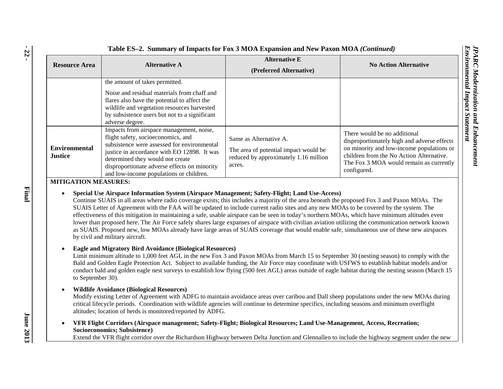| <b>Resource Area</b>                   | <b>Alternative A</b>                                                                                                                                                                                                                                                                                        | <b>Alternative E</b><br>(Preferred Alternative)                                                                    | <b>No Action Alternative</b>                                                                                                                                                                                                   |
|----------------------------------------|-------------------------------------------------------------------------------------------------------------------------------------------------------------------------------------------------------------------------------------------------------------------------------------------------------------|--------------------------------------------------------------------------------------------------------------------|--------------------------------------------------------------------------------------------------------------------------------------------------------------------------------------------------------------------------------|
|                                        | the amount of takes permitted.<br>Noise and residual materials from chaff and<br>flares also have the potential to affect the<br>wildlife and vegetation resources harvested<br>by subsistence users but not to a significant<br>adverse degree.                                                            |                                                                                                                    |                                                                                                                                                                                                                                |
| <b>Environmental</b><br><b>Justice</b> | Impacts from airspace management, noise,<br>flight safety, socioeconomics, and<br>subsistence were assessed for environmental<br>justice in accordance with EO 12898. It was<br>determined they would not create<br>disproportionate adverse effects on minority<br>and low-income populations or children. | Same as Alternative A.<br>The area of potential impact would be<br>reduced by approximately 1.16 million<br>acres. | There would be no additional<br>disproportionately high and adverse effects<br>on minority and low-income populations or<br>children from the No Action Alternative.<br>The Fox 3 MOA would remain as currently<br>configured. |

# **Table ES–2. Summary of Impacts for Fox 3 MOA Expansion and New Paxon MOA** *(Continued)* **<b>- 22** -- **22** -- **22** -- **22** -- **22** -- **22** -- **22** -- **22** -- **22** -- **22** -- **22** -- **22** -- **22** -- **22** -- **22** -- **22** -- **2**

### **MITIGATION MEASURES:**

### • **Special Use Airspace Information System (Airspace Management; Safety-Flight; Land Use-Access)**

Continue SUAIS in all areas where radio coverage exists; this includes a majority of the area beneath the proposed Fox 3 and Paxon MOAs. The SUAIS Letter of Agreement with the FAA will be updated to include current radio sites and any new MOAs to be covered by the system. The effectiveness of this mitigation in maintaining a safe, usable airspace can be seen in today's northern MOAs, which have minimum altitudes even lower than proposed here. The Air Force safely shares large expanses of airspace with civilian aviation utilizing the communication network known as SUAIS. Proposed new, low MOAs already have large areas of SUAIS coverage that would enable safe, simultaneous use of these new airspaces by civil and military aircraft.

### • **Eagle and Migratory Bird Avoidance (Biological Resources)**

Limit minimum altitude to 1,000 feet AGL in the new Fox 3 and Paxon MOAs from March 15 to September 30 (nesting season) to comply with the Bald and Golden Eagle Protection Act. Subject to available funding, the Air Force may coordinate with USFWS to establish habitat models and/or conduct bald and golden eagle nest surveys to establish low flying (500 feet AGL) areas outside of eagle habitat during the nesting season (March 15 to September 30).

### • **Wildlife Avoidance (Biological Resources)**

Modify existing Letter of Agreement with ADFG to maintain avoidance areas over caribou and Dall sheep populations under the new MOAs during critical lifecycle periods. Coordination with wildlife agencies will continue to determine specifics, including seasons and minimum overflight altitudes; location of herds is monitored/reported by ADFG.

## • **VFR Flight Corridors (Airspace management; Safety-Flight; Biological Resources; Land Use-Management, Access, Recreation; Socioeconomics; Subsistence)**

Extend the VFR flight corridor over the Richardson Highway between Delta Junction and Glennallen to include the highway segment under the new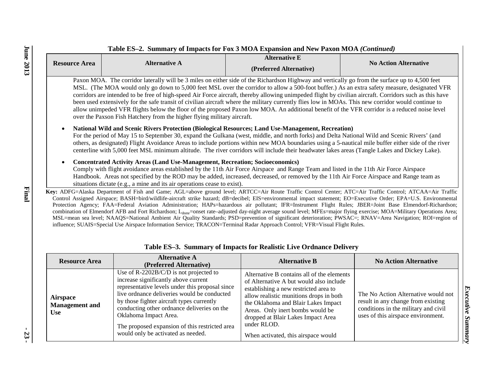| Table ES-2. Summary of Impacts for Fox 3 MOA Expansion and New Paxon MOA (Continued)                                                                                                                                                                                                                                                                                                                                                                                                                                                                                                                                                                                                                                                                                                                                                                                                                                                                                      |                      |                                                 |                              |  |  |
|---------------------------------------------------------------------------------------------------------------------------------------------------------------------------------------------------------------------------------------------------------------------------------------------------------------------------------------------------------------------------------------------------------------------------------------------------------------------------------------------------------------------------------------------------------------------------------------------------------------------------------------------------------------------------------------------------------------------------------------------------------------------------------------------------------------------------------------------------------------------------------------------------------------------------------------------------------------------------|----------------------|-------------------------------------------------|------------------------------|--|--|
| <b>Resource Area</b>                                                                                                                                                                                                                                                                                                                                                                                                                                                                                                                                                                                                                                                                                                                                                                                                                                                                                                                                                      | <b>Alternative A</b> | <b>Alternative E</b><br>(Preferred Alternative) | <b>No Action Alternative</b> |  |  |
| Paxon MOA. The corridor laterally will be 3 miles on either side of the Richardson Highway and vertically go from the surface up to 4,500 feet<br>MSL. (The MOA would only go down to 5,000 feet MSL over the corridor to allow a 500-foot buffer.) As an extra safety measure, designated VFR<br>corridors are intended to be free of high-speed Air Force aircraft, thereby allowing unimpeded flight by civilian aircraft. Corridors such as this have<br>been used extensively for the safe transit of civilian aircraft where the military currently flies low in MOAs. This new corridor would continue to<br>allow unimpeded VFR flights below the floor of the proposed Paxon low MOA. An additional benefit of the VFR corridor is a reduced noise level<br>over the Paxson Fish Hatchery from the higher flying military aircraft.                                                                                                                              |                      |                                                 |                              |  |  |
| National Wild and Scenic Rivers Protection (Biological Resources; Land Use-Management, Recreation)<br>For the period of May 15 to September 30, expand the Gulkana (west, middle, and north forks) and Delta National Wild and Scenic Rivers' (and<br>others, as designated) Flight Avoidance Areas to include portions within new MOA boundaries using a 5-nautical mile buffer either side of the river<br>centerline with 5,000 feet MSL minimum altitude. The river corridors will include their headwater lakes areas (Tangle Lakes and Dickey Lake).                                                                                                                                                                                                                                                                                                                                                                                                                |                      |                                                 |                              |  |  |
| <b>Concentrated Activity Areas (Land Use-Management, Recreation; Socioeconomics)</b><br>Comply with flight avoidance areas established by the 11th Air Force Airspace and Range Team and listed in the 11th Air Force Airspace<br>Handbook. Areas not specified by the ROD may be added, increased, decreased, or removed by the 11th Air Force Airspace and Range team as<br>situations dictate (e.g., a mine and its air operations cease to exist).                                                                                                                                                                                                                                                                                                                                                                                                                                                                                                                    |                      |                                                 |                              |  |  |
| Key: ADFG=Alaska Department of Fish and Game; AGL=above ground level; ARTCC=Air Route Traffic Control Center; ATC=Air Traffic Control; ATCAA=Air Traffic<br>Control Assigned Airspace; BASH=bird/wildlife-aircraft strike hazard; dB=decibel; EIS=environmental impact statement; EO=Executive Order; EPA=U.S. Environmental<br>Protection Agency; FAA=Federal Aviation Administration; HAPs=hazardous air pollutant; IFR=Instrument Flight Rules; JBER=Joint Base Elmendorf-Richardson;<br>combination of Elmendorf AFB and Fort Richardson; L <sub>dnm</sub> =onset rate-adjusted day-night average sound level; MFEs=major flying exercise; MOA=Military Operations Area;<br>MSL=mean sea level; NAAQS=National Ambient Air Quality Standards; PSD=prevention of significant deterioration; PWSAC=; RNAV=Area Navigation; ROI=region of<br>influence; SUAIS=Special Use Airspace Information Service; TRACON=Terminal Radar Approach Control; VFR=Visual Flight Rules. |                      |                                                 |                              |  |  |

| <b>Resource Area</b>                            | <b>Alternative A</b><br>(Preferred Alternative)                                                                                                                                                                                                                                                                                                                                                   | <b>Alternative B</b>                                                                                                                                                                                                                                                                                                                             | <b>No Action Alternative</b>                                                                                                                            |
|-------------------------------------------------|---------------------------------------------------------------------------------------------------------------------------------------------------------------------------------------------------------------------------------------------------------------------------------------------------------------------------------------------------------------------------------------------------|--------------------------------------------------------------------------------------------------------------------------------------------------------------------------------------------------------------------------------------------------------------------------------------------------------------------------------------------------|---------------------------------------------------------------------------------------------------------------------------------------------------------|
| <b>Airspace</b><br><b>Management</b> and<br>Use | Use of $R - 2202B/C/D$ is not projected to<br>increase significantly above current<br>representative levels under this proposal since<br>live ordnance deliveries would be conducted<br>by those fighter aircraft types currently<br>conducting other ordnance deliveries on the<br>Oklahoma Impact Area.<br>The proposed expansion of this restricted area<br>would only be activated as needed. | Alternative B contains all of the elements<br>of Alternative A but would also include<br>establishing a new restricted area to<br>allow realistic munitions drops in both<br>the Oklahoma and Blair Lakes Impact<br>Areas. Only inert bombs would be<br>dropped at Blair Lakes Impact Area<br>under RLOD.<br>When activated, this airspace would | The No Action Alternative would not<br>result in any change from existing<br>conditions in the military and civil<br>uses of this airspace environment. |

**- 23 -**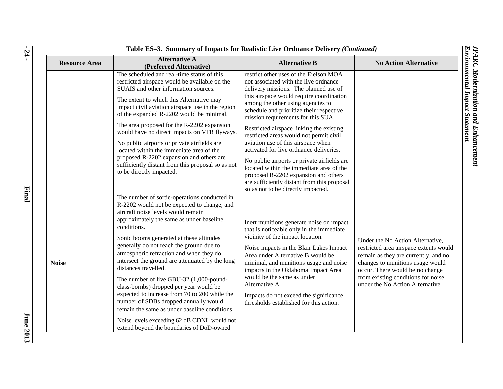| <b>Resource Area</b> | <b>Alternative A</b><br>(Preferred Alternative)                                                                                                                                                                                                                                                                                                                                                                                                                                                                                                                                                                                                                                                                                        | <b>Alternative B</b>                                                                                                                                                                                                                                                                                                                                                                                                                                                                                                                                                                                                                                  | <b>No Action Alternative</b>                                                                                                                                                                                                                                        |
|----------------------|----------------------------------------------------------------------------------------------------------------------------------------------------------------------------------------------------------------------------------------------------------------------------------------------------------------------------------------------------------------------------------------------------------------------------------------------------------------------------------------------------------------------------------------------------------------------------------------------------------------------------------------------------------------------------------------------------------------------------------------|-------------------------------------------------------------------------------------------------------------------------------------------------------------------------------------------------------------------------------------------------------------------------------------------------------------------------------------------------------------------------------------------------------------------------------------------------------------------------------------------------------------------------------------------------------------------------------------------------------------------------------------------------------|---------------------------------------------------------------------------------------------------------------------------------------------------------------------------------------------------------------------------------------------------------------------|
|                      | The scheduled and real-time status of this<br>restricted airspace would be available on the<br>SUAIS and other information sources.<br>The extent to which this Alternative may<br>impact civil aviation airspace use in the region<br>of the expanded R-2202 would be minimal.<br>The area proposed for the R-2202 expansion<br>would have no direct impacts on VFR flyways.<br>No public airports or private airfields are<br>located within the immediate area of the<br>proposed R-2202 expansion and others are<br>sufficiently distant from this proposal so as not<br>to be directly impacted.                                                                                                                                  | restrict other uses of the Eielson MOA<br>not associated with the live ordnance<br>delivery missions. The planned use of<br>this airspace would require coordination<br>among the other using agencies to<br>schedule and prioritize their respective<br>mission requirements for this SUA.<br>Restricted airspace linking the existing<br>restricted areas would not permit civil<br>aviation use of this airspace when<br>activated for live ordnance deliveries.<br>No public airports or private airfields are<br>located within the immediate area of the<br>proposed R-2202 expansion and others<br>are sufficiently distant from this proposal |                                                                                                                                                                                                                                                                     |
| <b>Noise</b>         | The number of sortie-operations conducted in<br>R-2202 would not be expected to change, and<br>aircraft noise levels would remain<br>approximately the same as under baseline<br>conditions.<br>Sonic booms generated at these altitudes<br>generally do not reach the ground due to<br>atmospheric refraction and when they do<br>intersect the ground are attenuated by the long<br>distances travelled.<br>The number of live GBU-32 (1,000-pound-<br>class-bombs) dropped per year would be<br>expected to increase from 70 to 200 while the<br>number of SDBs dropped annually would<br>remain the same as under baseline conditions.<br>Noise levels exceeding 62 dB CDNL would not<br>extend beyond the boundaries of DoD-owned | so as not to be directly impacted.<br>Inert munitions generate noise on impact<br>that is noticeable only in the immediate<br>vicinity of the impact location.<br>Noise impacts in the Blair Lakes Impact<br>Area under Alternative B would be<br>minimal, and munitions usage and noise<br>impacts in the Oklahoma Impact Area<br>would be the same as under<br>Alternative A.<br>Impacts do not exceed the significance<br>thresholds established for this action.                                                                                                                                                                                  | Under the No Action Alternative,<br>restricted area airspace extents would<br>remain as they are currently, and no<br>changes to munitions usage would<br>occur. There would be no change<br>from existing conditions for noise<br>under the No Action Alternative. |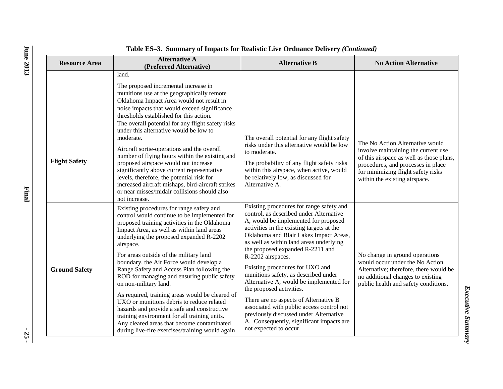| Table E5–5. Summary of Impacts for Realistic Live Orthance Delivery (Commuta) |                                                                                                                                                                                                                                                                                                                                                                                                                                                                                                                                                                                                                                                                                                                                                          |                                                                                                                                                                                                                                                                                                                                                                                                                                                                                                                                                                                                                                                                                |                                                                                                                                                                                                                                 |  |
|-------------------------------------------------------------------------------|----------------------------------------------------------------------------------------------------------------------------------------------------------------------------------------------------------------------------------------------------------------------------------------------------------------------------------------------------------------------------------------------------------------------------------------------------------------------------------------------------------------------------------------------------------------------------------------------------------------------------------------------------------------------------------------------------------------------------------------------------------|--------------------------------------------------------------------------------------------------------------------------------------------------------------------------------------------------------------------------------------------------------------------------------------------------------------------------------------------------------------------------------------------------------------------------------------------------------------------------------------------------------------------------------------------------------------------------------------------------------------------------------------------------------------------------------|---------------------------------------------------------------------------------------------------------------------------------------------------------------------------------------------------------------------------------|--|
| <b>Resource Area</b>                                                          | <b>Alternative A</b><br>(Preferred Alternative)                                                                                                                                                                                                                                                                                                                                                                                                                                                                                                                                                                                                                                                                                                          | <b>Alternative B</b>                                                                                                                                                                                                                                                                                                                                                                                                                                                                                                                                                                                                                                                           | <b>No Action Alternative</b>                                                                                                                                                                                                    |  |
| <b>Flight Safety</b>                                                          | land.<br>The proposed incremental increase in<br>munitions use at the geographically remote<br>Oklahoma Impact Area would not result in<br>noise impacts that would exceed significance<br>thresholds established for this action.<br>The overall potential for any flight safety risks<br>under this alternative would be low to<br>moderate.<br>Aircraft sortie-operations and the overall<br>number of flying hours within the existing and<br>proposed airspace would not increase<br>significantly above current representative<br>levels, therefore, the potential risk for<br>increased aircraft mishaps, bird-aircraft strikes<br>or near misses/midair collisions should also<br>not increase.                                                  | The overall potential for any flight safety<br>risks under this alternative would be low<br>to moderate.<br>The probability of any flight safety risks<br>within this airspace, when active, would<br>be relatively low, as discussed for<br>Alternative A.                                                                                                                                                                                                                                                                                                                                                                                                                    | The No Action Alternative would<br>involve maintaining the current use<br>of this airspace as well as those plans,<br>procedures, and processes in place<br>for minimizing flight safety risks<br>within the existing airspace. |  |
| <b>Ground Safety</b>                                                          | Existing procedures for range safety and<br>control would continue to be implemented for<br>proposed training activities in the Oklahoma<br>Impact Area, as well as within land areas<br>underlying the proposed expanded R-2202<br>airspace.<br>For areas outside of the military land<br>boundary, the Air Force would develop a<br>Range Safety and Access Plan following the<br>ROD for managing and ensuring public safety<br>on non-military land.<br>As required, training areas would be cleared of<br>UXO or munitions debris to reduce related<br>hazards and provide a safe and constructive<br>training environment for all training units.<br>Any cleared areas that become contaminated<br>during live-fire exercises/training would again | Existing procedures for range safety and<br>control, as described under Alternative<br>A, would be implemented for proposed<br>activities in the existing targets at the<br>Oklahoma and Blair Lakes Impact Areas,<br>as well as within land areas underlying<br>the proposed expanded R-2211 and<br>R-2202 airspaces.<br>Existing procedures for UXO and<br>munitions safety, as described under<br>Alternative A, would be implemented for<br>the proposed activities.<br>There are no aspects of Alternative B<br>associated with public access control not<br>previously discussed under Alternative<br>A. Consequently, significant impacts are<br>not expected to occur. | No change in ground operations<br>would occur under the No Action<br>Alternative; therefore, there would be<br>no additional changes to existing<br>public health and safety conditions.                                        |  |

**- 25 -**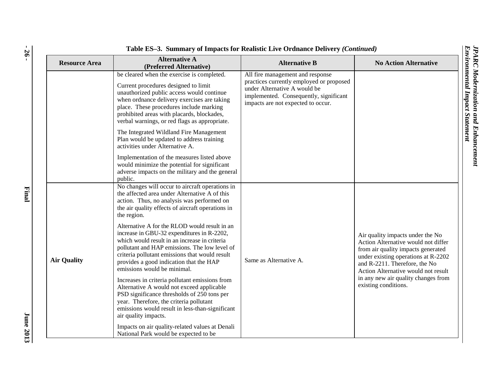| Environmental Impact Statement | $JPARC$ Modernization and Enhancement |
|--------------------------------|---------------------------------------|
|                                |                                       |

| <b>Resource Area</b> | <b>Alternative A</b><br>(Preferred Alternative)                                                                                                                                                                                                                                                                           | <b>Alternative B</b>                                                                                                                                                                         | <b>No Action Alternative</b>                                                                                                                                                                                                 |
|----------------------|---------------------------------------------------------------------------------------------------------------------------------------------------------------------------------------------------------------------------------------------------------------------------------------------------------------------------|----------------------------------------------------------------------------------------------------------------------------------------------------------------------------------------------|------------------------------------------------------------------------------------------------------------------------------------------------------------------------------------------------------------------------------|
|                      | be cleared when the exercise is completed.<br>Current procedures designed to limit<br>unauthorized public access would continue<br>when ordnance delivery exercises are taking<br>place. These procedures include marking<br>prohibited areas with placards, blockades,<br>verbal warnings, or red flags as appropriate.  | All fire management and response<br>practices currently employed or proposed<br>under Alternative A would be<br>implemented. Consequently, significant<br>impacts are not expected to occur. |                                                                                                                                                                                                                              |
|                      | The Integrated Wildland Fire Management<br>Plan would be updated to address training<br>activities under Alternative A.                                                                                                                                                                                                   |                                                                                                                                                                                              |                                                                                                                                                                                                                              |
|                      | Implementation of the measures listed above<br>would minimize the potential for significant<br>adverse impacts on the military and the general<br>public.                                                                                                                                                                 |                                                                                                                                                                                              |                                                                                                                                                                                                                              |
|                      | No changes will occur to aircraft operations in<br>the affected area under Alternative A of this<br>action. Thus, no analysis was performed on<br>the air quality effects of aircraft operations in<br>the region.                                                                                                        |                                                                                                                                                                                              |                                                                                                                                                                                                                              |
| <b>Air Quality</b>   | Alternative A for the RLOD would result in an<br>increase in GBU-32 expenditures in R-2202,<br>which would result in an increase in criteria<br>pollutant and HAP emissions. The low level of<br>criteria pollutant emissions that would result<br>provides a good indication that the HAP<br>emissions would be minimal. | Same as Alternative A.                                                                                                                                                                       | Air quality impacts under the No<br>Action Alternative would not differ<br>from air quality impacts generated<br>under existing operations at R-2202<br>and R-2211. Therefore, the No<br>Action Alternative would not result |
|                      | Increases in criteria pollutant emissions from<br>Alternative A would not exceed applicable<br>PSD significance thresholds of 250 tons per<br>year. Therefore, the criteria pollutant<br>emissions would result in less-than-significant<br>air quality impacts.                                                          |                                                                                                                                                                                              | in any new air quality changes from<br>existing conditions.                                                                                                                                                                  |
|                      | Impacts on air quality-related values at Denali<br>National Park would be expected to be                                                                                                                                                                                                                                  |                                                                                                                                                                                              |                                                                                                                                                                                                                              |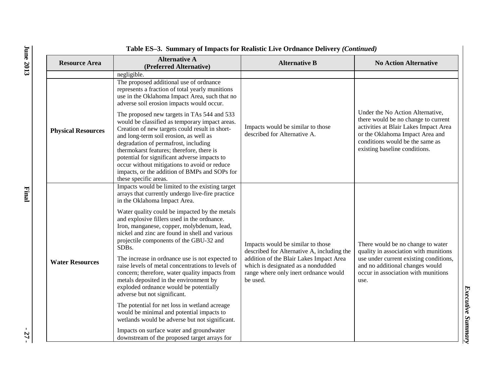|                           | галс Еэ—э. Эшппагу ог нирассятог ксанялс Егус Огинансс Denvery (Солиниси)<br><b>Alternative A</b>                                                                                                                                                                                                                                                                                                                                                                                                                                                                                                                                                                                                                                                                                                                     |                                                                                                                                                                                                                       |                                                                                                                                                                                                                         |
|---------------------------|-----------------------------------------------------------------------------------------------------------------------------------------------------------------------------------------------------------------------------------------------------------------------------------------------------------------------------------------------------------------------------------------------------------------------------------------------------------------------------------------------------------------------------------------------------------------------------------------------------------------------------------------------------------------------------------------------------------------------------------------------------------------------------------------------------------------------|-----------------------------------------------------------------------------------------------------------------------------------------------------------------------------------------------------------------------|-------------------------------------------------------------------------------------------------------------------------------------------------------------------------------------------------------------------------|
| <b>Resource Area</b>      | (Preferred Alternative)                                                                                                                                                                                                                                                                                                                                                                                                                                                                                                                                                                                                                                                                                                                                                                                               | <b>Alternative B</b>                                                                                                                                                                                                  | <b>No Action Alternative</b>                                                                                                                                                                                            |
|                           | negligible.<br>The proposed additional use of ordnance                                                                                                                                                                                                                                                                                                                                                                                                                                                                                                                                                                                                                                                                                                                                                                |                                                                                                                                                                                                                       |                                                                                                                                                                                                                         |
| <b>Physical Resources</b> | represents a fraction of total yearly munitions<br>use in the Oklahoma Impact Area, such that no<br>adverse soil erosion impacts would occur.                                                                                                                                                                                                                                                                                                                                                                                                                                                                                                                                                                                                                                                                         | Impacts would be similar to those<br>described for Alternative A.                                                                                                                                                     | Under the No Action Alternative,<br>there would be no change to current<br>activities at Blair Lakes Impact Area<br>or the Oklahoma Impact Area and<br>conditions would be the same as<br>existing baseline conditions. |
|                           | The proposed new targets in TAs 544 and 533<br>would be classified as temporary impact areas.<br>Creation of new targets could result in short-<br>and long-term soil erosion, as well as<br>degradation of permafrost, including<br>thermokarst features; therefore, there is<br>potential for significant adverse impacts to<br>occur without mitigations to avoid or reduce<br>impacts, or the addition of BMPs and SOPs for<br>these specific areas.                                                                                                                                                                                                                                                                                                                                                              |                                                                                                                                                                                                                       |                                                                                                                                                                                                                         |
| <b>Water Resources</b>    | Impacts would be limited to the existing target<br>arrays that currently undergo live-fire practice<br>in the Oklahoma Impact Area.<br>Water quality could be impacted by the metals<br>and explosive fillers used in the ordnance.<br>Iron, manganese, copper, molybdenum, lead,<br>nickel and zinc are found in shell and various<br>projectile components of the GBU-32 and<br>SDBs.<br>The increase in ordnance use is not expected to<br>raise levels of metal concentrations to levels of<br>concern; therefore, water quality impacts from<br>metals deposited in the environment by<br>exploded ordnance would be potentially<br>adverse but not significant.<br>The potential for net loss in wetland acreage<br>would be minimal and potential impacts to<br>wetlands would be adverse but not significant. | Impacts would be similar to those<br>described for Alternative A, including the<br>addition of the Blair Lakes Impact Area<br>which is designated as a nondudded<br>range where only inert ordnance would<br>be used. | There would be no change to water<br>quality in association with munitions<br>use under current existing conditions,<br>and no additional changes would<br>occur in association with munitions<br>use.                  |
|                           | Impacts on surface water and groundwater<br>downstream of the proposed target arrays for                                                                                                                                                                                                                                                                                                                                                                                                                                                                                                                                                                                                                                                                                                                              |                                                                                                                                                                                                                       |                                                                                                                                                                                                                         |

**- 27 -**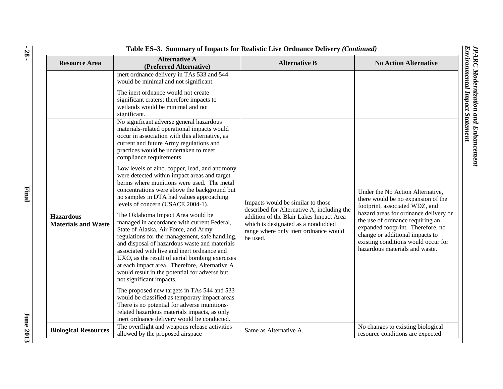| 28              |                                                | Table ES-3. Summary of Impacts for Realistic Live Ordnance Delivery (Continued)                                                                                                                                                                                                                                                                                                                                                                                                                                                                                                                                                                                                                                                             |                                                                                                                                                                                                                       |                                                                                                                                                                                                                                                                                                                                        |  |  |
|-----------------|------------------------------------------------|---------------------------------------------------------------------------------------------------------------------------------------------------------------------------------------------------------------------------------------------------------------------------------------------------------------------------------------------------------------------------------------------------------------------------------------------------------------------------------------------------------------------------------------------------------------------------------------------------------------------------------------------------------------------------------------------------------------------------------------------|-----------------------------------------------------------------------------------------------------------------------------------------------------------------------------------------------------------------------|----------------------------------------------------------------------------------------------------------------------------------------------------------------------------------------------------------------------------------------------------------------------------------------------------------------------------------------|--|--|
|                 | <b>Resource Area</b>                           | <b>Alternative A</b><br>(Preferred Alternative)                                                                                                                                                                                                                                                                                                                                                                                                                                                                                                                                                                                                                                                                                             | <b>Alternative B</b>                                                                                                                                                                                                  | <b>No Action Alternative</b>                                                                                                                                                                                                                                                                                                           |  |  |
|                 |                                                | inert ordnance delivery in TAs 533 and 544<br>would be minimal and not significant.                                                                                                                                                                                                                                                                                                                                                                                                                                                                                                                                                                                                                                                         |                                                                                                                                                                                                                       |                                                                                                                                                                                                                                                                                                                                        |  |  |
|                 |                                                | The inert ordnance would not create<br>significant craters; therefore impacts to<br>wetlands would be minimal and not<br>significant.                                                                                                                                                                                                                                                                                                                                                                                                                                                                                                                                                                                                       |                                                                                                                                                                                                                       |                                                                                                                                                                                                                                                                                                                                        |  |  |
|                 |                                                | No significant adverse general hazardous<br>materials-related operational impacts would<br>occur in association with this alternative, as<br>current and future Army regulations and<br>practices would be undertaken to meet<br>compliance requirements.                                                                                                                                                                                                                                                                                                                                                                                                                                                                                   |                                                                                                                                                                                                                       |                                                                                                                                                                                                                                                                                                                                        |  |  |
| Final           | <b>Hazardous</b><br><b>Materials and Waste</b> | Low levels of zinc, copper, lead, and antimony<br>were detected within impact areas and target<br>berms where munitions were used. The metal<br>concentrations were above the background but<br>no samples in DTA had values approaching<br>levels of concern (USACE 2004-1).<br>The Oklahoma Impact Area would be<br>managed in accordance with current Federal,<br>State of Alaska, Air Force, and Army<br>regulations for the management, safe handling,<br>and disposal of hazardous waste and materials<br>associated with live and inert ordnance and<br>UXO, as the result of aerial bombing exercises<br>at each impact area. Therefore, Alternative A<br>would result in the potential for adverse but<br>not significant impacts. | Impacts would be similar to those<br>described for Alternative A, including the<br>addition of the Blair Lakes Impact Area<br>which is designated as a nondudded<br>range where only inert ordnance would<br>be used. | Under the No Action Alternative,<br>there would be no expansion of the<br>footprint, associated WDZ, and<br>hazard areas for ordnance delivery or<br>the use of ordnance requiring an<br>expanded footprint. Therefore, no<br>change or additional impacts to<br>existing conditions would occur for<br>hazardous materials and waste. |  |  |
|                 |                                                | The proposed new targets in TAs 544 and 533<br>would be classified as temporary impact areas.<br>There is no potential for adverse munitions-<br>related hazardous materials impacts, as only<br>inert ordnance delivery would be conducted.                                                                                                                                                                                                                                                                                                                                                                                                                                                                                                |                                                                                                                                                                                                                       |                                                                                                                                                                                                                                                                                                                                        |  |  |
| <b>June 201</b> | <b>Biological Resources</b>                    | The overflight and weapons release activities<br>allowed by the proposed airspace                                                                                                                                                                                                                                                                                                                                                                                                                                                                                                                                                                                                                                                           | Same as Alternative A.                                                                                                                                                                                                | No changes to existing biological<br>resource conditions are expected                                                                                                                                                                                                                                                                  |  |  |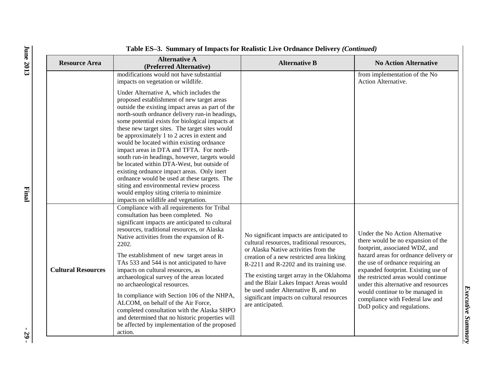| <b>Resource Area</b>      | <b>Alternative A</b><br>(Preferred Alternative)                                                                                                                                                                                                                                                                                                                                                                                                                                                                                                                                                                                                                                                                                                                     | <b>Alternative B</b>                                                                                                                                                                                                                                                                                                                                                                                                   | <b>No Action Alternative</b>                                                                                                                                                                                                                                                                                                                                                                                    |
|---------------------------|---------------------------------------------------------------------------------------------------------------------------------------------------------------------------------------------------------------------------------------------------------------------------------------------------------------------------------------------------------------------------------------------------------------------------------------------------------------------------------------------------------------------------------------------------------------------------------------------------------------------------------------------------------------------------------------------------------------------------------------------------------------------|------------------------------------------------------------------------------------------------------------------------------------------------------------------------------------------------------------------------------------------------------------------------------------------------------------------------------------------------------------------------------------------------------------------------|-----------------------------------------------------------------------------------------------------------------------------------------------------------------------------------------------------------------------------------------------------------------------------------------------------------------------------------------------------------------------------------------------------------------|
|                           | modifications would not have substantial<br>impacts on vegetation or wildlife.                                                                                                                                                                                                                                                                                                                                                                                                                                                                                                                                                                                                                                                                                      |                                                                                                                                                                                                                                                                                                                                                                                                                        | from implementation of the No<br>Action Alternative.                                                                                                                                                                                                                                                                                                                                                            |
|                           | Under Alternative A, which includes the<br>proposed establishment of new target areas<br>outside the existing impact areas as part of the<br>north-south ordnance delivery run-in headings,<br>some potential exists for biological impacts at<br>these new target sites. The target sites would<br>be approximately 1 to 2 acres in extent and<br>would be located within existing ordnance<br>impact areas in DTA and TFTA. For north-<br>south run-in headings, however, targets would<br>be located within DTA-West, but outside of<br>existing ordnance impact areas. Only inert<br>ordnance would be used at these targets. The<br>siting and environmental review process<br>would employ siting criteria to minimize<br>impacts on wildlife and vegetation. |                                                                                                                                                                                                                                                                                                                                                                                                                        |                                                                                                                                                                                                                                                                                                                                                                                                                 |
| <b>Cultural Resources</b> | Compliance with all requirements for Tribal<br>consultation has been completed. No<br>significant impacts are anticipated to cultural<br>resources, traditional resources, or Alaska<br>Native activities from the expansion of R-<br>2202.<br>The establishment of new target areas in<br>TAs 533 and 544 is not anticipated to have<br>impacts on cultural resources, as<br>archaeological survey of the areas located<br>no archaeological resources.<br>In compliance with Section 106 of the NHPA,<br>ALCOM, on behalf of the Air Force,<br>completed consultation with the Alaska SHPO<br>and determined that no historic properties will<br>be affected by implementation of the proposed<br>action.                                                         | No significant impacts are anticipated to<br>cultural resources, traditional resources,<br>or Alaska Native activities from the<br>creation of a new restricted area linking<br>R-2211 and R-2202 and its training use.<br>The existing target array in the Oklahoma<br>and the Blair Lakes Impact Areas would<br>be used under Alternative B, and no<br>significant impacts on cultural resources<br>are anticipated. | Under the No Action Alternative<br>there would be no expansion of the<br>footprint, associated WDZ, and<br>hazard areas for ordnance delivery or<br>the use of ordnance requiring an<br>expanded footprint. Existing use of<br>the restricted areas would continue<br>under this alternative and resources<br>would continue to be managed in<br>compliance with Federal law and<br>DoD policy and regulations. |

**- 29 -**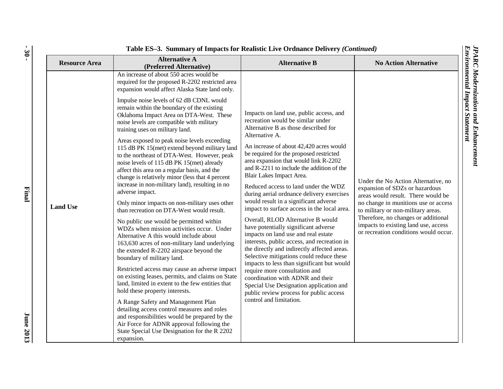| Table ES-3. Summary of Impacts for Realistic Live Ordnance Delivery (Continued)<br>$30 -$ |                      |                                                                                                                                                                                                                                                                                                                                                                                                                                                                                                                                                                                                                                                                                                                                                                                                                                                                                                                                                                                                                                                                                                                                                                                                                                                                                                                                                                                                                                                                                                                                                |                                                                                                                                                                                                                                                                                                                                                                                                                                                                                                                                                                                                                                                                                                                                                                                                                                                                                                                                                                                                                               |                                                                                                                                                                                                                                                                                                                   |
|-------------------------------------------------------------------------------------------|----------------------|------------------------------------------------------------------------------------------------------------------------------------------------------------------------------------------------------------------------------------------------------------------------------------------------------------------------------------------------------------------------------------------------------------------------------------------------------------------------------------------------------------------------------------------------------------------------------------------------------------------------------------------------------------------------------------------------------------------------------------------------------------------------------------------------------------------------------------------------------------------------------------------------------------------------------------------------------------------------------------------------------------------------------------------------------------------------------------------------------------------------------------------------------------------------------------------------------------------------------------------------------------------------------------------------------------------------------------------------------------------------------------------------------------------------------------------------------------------------------------------------------------------------------------------------|-------------------------------------------------------------------------------------------------------------------------------------------------------------------------------------------------------------------------------------------------------------------------------------------------------------------------------------------------------------------------------------------------------------------------------------------------------------------------------------------------------------------------------------------------------------------------------------------------------------------------------------------------------------------------------------------------------------------------------------------------------------------------------------------------------------------------------------------------------------------------------------------------------------------------------------------------------------------------------------------------------------------------------|-------------------------------------------------------------------------------------------------------------------------------------------------------------------------------------------------------------------------------------------------------------------------------------------------------------------|
|                                                                                           | <b>Resource Area</b> | <b>Alternative A</b><br>(Preferred Alternative)                                                                                                                                                                                                                                                                                                                                                                                                                                                                                                                                                                                                                                                                                                                                                                                                                                                                                                                                                                                                                                                                                                                                                                                                                                                                                                                                                                                                                                                                                                | <b>Alternative B</b>                                                                                                                                                                                                                                                                                                                                                                                                                                                                                                                                                                                                                                                                                                                                                                                                                                                                                                                                                                                                          | <b>No Action Alternative</b>                                                                                                                                                                                                                                                                                      |
| Final<br><b>June 2013</b>                                                                 | <b>Land Use</b>      | An increase of about 550 acres would be<br>required for the proposed R-2202 restricted area<br>expansion would affect Alaska State land only.<br>Impulse noise levels of 62 dB CDNL would<br>remain within the boundary of the existing<br>Oklahoma Impact Area on DTA-West. These<br>noise levels are compatible with military<br>training uses on military land.<br>Areas exposed to peak noise levels exceeding<br>115 dB PK 15(met) extend beyond military land<br>to the northeast of DTA-West. However, peak<br>noise levels of 115 dB PK 15(met) already<br>affect this area on a regular basis, and the<br>change is relatively minor (less that 4 percent<br>increase in non-military land), resulting in no<br>adverse impact.<br>Only minor impacts on non-military uses other<br>than recreation on DTA-West would result.<br>No public use would be permitted within<br>WDZs when mission activities occur. Under<br>Alternative A this would include about<br>163,630 acres of non-military land underlying<br>the extended R-2202 airspace beyond the<br>boundary of military land.<br>Restricted access may cause an adverse impact<br>on existing leases, permits, and claims on State<br>land, limited in extent to the few entities that<br>hold these property interests.<br>A Range Safety and Management Plan<br>detailing access control measures and roles<br>and responsibilities would be prepared by the<br>Air Force for ADNR approval following the<br>State Special Use Designation for the R 2202<br>expansion. | Impacts on land use, public access, and<br>recreation would be similar under<br>Alternative B as those described for<br>Alternative A.<br>An increase of about 42,420 acres would<br>be required for the proposed restricted<br>area expansion that would link R-2202<br>and R-2211 to include the addition of the<br>Blair Lakes Impact Area.<br>Reduced access to land under the WDZ<br>during aerial ordnance delivery exercises<br>would result in a significant adverse<br>impact to surface access in the local area.<br>Overall, RLOD Alternative B would<br>have potentially significant adverse<br>impacts on land use and real estate<br>interests, public access, and recreation in<br>the directly and indirectly affected areas.<br>Selective mitigations could reduce these<br>impacts to less than significant but would<br>require more consultation and<br>coordination with ADNR and their<br>Special Use Designation application and<br>public review process for public access<br>control and limitation. | Under the No Action Alternative, no<br>expansion of SDZs or hazardous<br>areas would result. There would be<br>no change in munitions use or access<br>to military or non-military areas.<br>Therefore, no changes or additional<br>impacts to existing land use, access<br>or recreation conditions would occur. |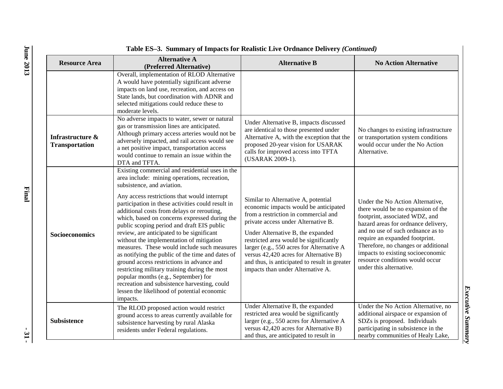| Table ES-3. Summary of Impacts for Realistic Live Ordnance Delivery (Continued) |                                                                                                                                                                                                                                                                                                                                                                                                                                                                                                                                                                                                                                                                                                                                                                                                                              |                                                                                                                                                                                                                                                                                                                                                                                                                         |                                                                                                                                                                                                                                                                                                                                                                  |
|---------------------------------------------------------------------------------|------------------------------------------------------------------------------------------------------------------------------------------------------------------------------------------------------------------------------------------------------------------------------------------------------------------------------------------------------------------------------------------------------------------------------------------------------------------------------------------------------------------------------------------------------------------------------------------------------------------------------------------------------------------------------------------------------------------------------------------------------------------------------------------------------------------------------|-------------------------------------------------------------------------------------------------------------------------------------------------------------------------------------------------------------------------------------------------------------------------------------------------------------------------------------------------------------------------------------------------------------------------|------------------------------------------------------------------------------------------------------------------------------------------------------------------------------------------------------------------------------------------------------------------------------------------------------------------------------------------------------------------|
| <b>Resource Area</b>                                                            | <b>Alternative A</b><br>(Preferred Alternative)                                                                                                                                                                                                                                                                                                                                                                                                                                                                                                                                                                                                                                                                                                                                                                              | <b>Alternative B</b>                                                                                                                                                                                                                                                                                                                                                                                                    | <b>No Action Alternative</b>                                                                                                                                                                                                                                                                                                                                     |
|                                                                                 | Overall, implementation of RLOD Alternative<br>A would have potentially significant adverse<br>impacts on land use, recreation, and access on<br>State lands, but coordination with ADNR and<br>selected mitigations could reduce these to<br>moderate levels.                                                                                                                                                                                                                                                                                                                                                                                                                                                                                                                                                               |                                                                                                                                                                                                                                                                                                                                                                                                                         |                                                                                                                                                                                                                                                                                                                                                                  |
| Infrastructure &<br><b>Transportation</b>                                       | No adverse impacts to water, sewer or natural<br>gas or transmission lines are anticipated.<br>Although primary access arteries would not be<br>adversely impacted, and rail access would see<br>a net positive impact, transportation access<br>would continue to remain an issue within the<br>DTA and TFTA.                                                                                                                                                                                                                                                                                                                                                                                                                                                                                                               | Under Alternative B, impacts discussed<br>are identical to those presented under<br>Alternative A, with the exception that the<br>proposed 20-year vision for USARAK<br>calls for improved access into TFTA<br>(USARAK 2009-1).                                                                                                                                                                                         | No changes to existing infrastructure<br>or transportation system conditions<br>would occur under the No Action<br>Alternative.                                                                                                                                                                                                                                  |
| <b>Socioeconomics</b>                                                           | Existing commercial and residential uses in the<br>area include: mining operations, recreation,<br>subsistence, and aviation.<br>Any access restrictions that would interrupt<br>participation in these activities could result in<br>additional costs from delays or rerouting,<br>which, based on concerns expressed during the<br>public scoping period and draft EIS public<br>review, are anticipated to be significant<br>without the implementation of mitigation<br>measures. These would include such measures<br>as notifying the public of the time and dates of<br>ground access restrictions in advance and<br>restricting military training during the most<br>popular months (e.g., September) for<br>recreation and subsistence harvesting, could<br>lessen the likelihood of potential economic<br>impacts. | Similar to Alternative A, potential<br>economic impacts would be anticipated<br>from a restriction in commercial and<br>private access under Alternative B.<br>Under Alternative B, the expanded<br>restricted area would be significantly<br>larger (e.g., 550 acres for Alternative A<br>versus 42,420 acres for Alternative B)<br>and thus, is anticipated to result in greater<br>impacts than under Alternative A. | Under the No Action Alternative,<br>there would be no expansion of the<br>footprint, associated WDZ, and<br>hazard areas for ordnance delivery,<br>and no use of such ordnance as to<br>require an expanded footprint.<br>Therefore, no changes or additional<br>impacts to existing socioeconomic<br>resource conditions would occur<br>under this alternative. |
| <b>Subsistence</b>                                                              | The RLOD proposed action would restrict<br>ground access to areas currently available for<br>subsistence harvesting by rural Alaska<br>residents under Federal regulations.                                                                                                                                                                                                                                                                                                                                                                                                                                                                                                                                                                                                                                                  | Under Alternative B, the expanded<br>restricted area would be significantly<br>larger (e.g., 550 acres for Alternative A<br>versus 42,420 acres for Alternative B)<br>and thus, are anticipated to result in                                                                                                                                                                                                            | Under the No Action Alternative, no<br>additional airspace or expansion of<br>SDZs is proposed. Individuals<br>participating in subsistence in the<br>nearby communities of Healy Lake,                                                                                                                                                                          |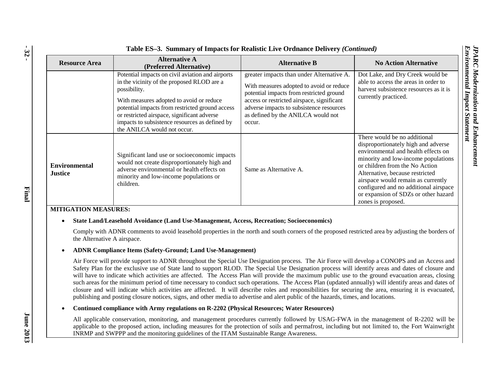|                                        | Table ES-3. Summary of Impacts for Realistic Live Ordnance Delivery (Continued)                                                                                                                                                                                                                                                               |                                                                                                                                                                                                                                                                             |                                                                                                                                                                                                                                                                                                                                                                     |
|----------------------------------------|-----------------------------------------------------------------------------------------------------------------------------------------------------------------------------------------------------------------------------------------------------------------------------------------------------------------------------------------------|-----------------------------------------------------------------------------------------------------------------------------------------------------------------------------------------------------------------------------------------------------------------------------|---------------------------------------------------------------------------------------------------------------------------------------------------------------------------------------------------------------------------------------------------------------------------------------------------------------------------------------------------------------------|
| <b>Resource Area</b>                   | <b>Alternative A</b><br>(Preferred Alternative)                                                                                                                                                                                                                                                                                               | <b>Alternative B</b>                                                                                                                                                                                                                                                        | <b>No Action Alternative</b>                                                                                                                                                                                                                                                                                                                                        |
|                                        | Potential impacts on civil aviation and airports<br>in the vicinity of the proposed RLOD are a<br>possibility.<br>With measures adopted to avoid or reduce<br>potential impacts from restricted ground access<br>or restricted airspace, significant adverse<br>impacts to subsistence resources as defined by<br>the ANILCA would not occur. | greater impacts than under Alternative A.<br>With measures adopted to avoid or reduce<br>potential impacts from restricted ground<br>access or restricted airspace, significant<br>adverse impacts to subsistence resources<br>as defined by the ANILCA would not<br>occur. | Dot Lake, and Dry Creek would be<br>able to access the areas in order to<br>harvest subsistence resources as it is<br>currently practiced.                                                                                                                                                                                                                          |
| <b>Environmental</b><br><b>Justice</b> | Significant land use or socioeconomic impacts<br>would not create disproportionately high and<br>adverse environmental or health effects on<br>minority and low-income populations or<br>children.                                                                                                                                            | Same as Alternative A.                                                                                                                                                                                                                                                      | There would be no additional<br>disproportionately high and adverse<br>environmental and health effects on<br>minority and low-income populations<br>or children from the No Action<br>Alternative, because restricted<br>airspace would remain as currently<br>configured and no additional airspace<br>or expansion of SDZs or other hazard<br>zones is proposed. |

### **MITIGATION MEASURES:**

### • **State Land/Leasehold Avoidance (Land Use-Management, Access, Recreation; Socioeconomics)**

Comply with ADNR comments to avoid leasehold properties in the north and south corners of the proposed restricted area by adjusting the borders of the Alternative A airspace.

### • **ADNR Compliance Items (Safety-Ground; Land Use-Management)**

Air Force will provide support to ADNR throughout the Special Use Designation process. The Air Force will develop a CONOPS and an Access and Safety Plan for the exclusive use of State land to support RLOD. The Special Use Designation process will identify areas and dates of closure and will have to indicate which activities are affected. The Access Plan will provide the maximum public use to the ground evacuation areas, closing such areas for the minimum period of time necessary to conduct such operations. The Access Plan (updated annually) will identify areas and dates of closure and will indicate which activities are affected. It will describe roles and responsibilities for securing the area, ensuring it is evacuated, publishing and posting closure notices, signs, and other media to advertise and alert public of the hazards, times, and locations.

### • **Continued compliance with Army regulations on R-2202 (Physical Resources; Water Resources)**

All applicable conservation, monitoring, and management procedures currently followed by USAG-FWA in the management of R-2202 will be applicable to the proposed action, including measures for the protection of soils and permafrost, including but not limited to, the Fort Wainwright INRMP and SWPPP and the monitoring guidelines of the ITAM Sustainable Range Awareness.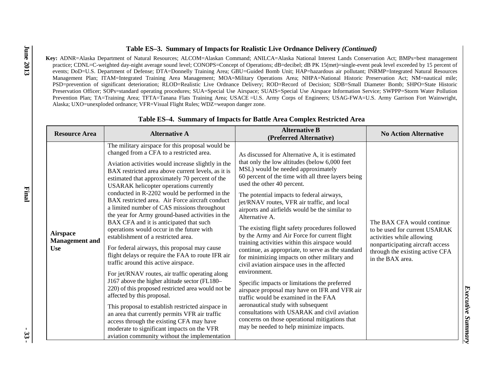**Key:** ADNR=Alaska Department of Natural Resources; ALCOM=Alaskan Command; ANILCA=Alaska National Interest Lands Conservation Act; BMPs=best management practice; CDNL=C-weighted day-night average sound level; CONOPS=Concept of Operations; dB=decibel; dB PK 15(met)=single-event peak level exceeded by 15 percent of events; DoD=U.S. Department of Defense; DTA=Donnelly Training Area; GBU=Guided Bomb Unit; HAP=hazardous air pollutant; INRMP=Integrated Natural Resources Management Plan; ITAM=Integrated Training Area Management; MOA=Military Operations Area; NHPA=National Historic Preservation Act; NM=nautical mile; PSD=prevention of significant deterioration; RLOD=Realistic Live Ordnance Delivery; ROD=Record of Decision; SDB=Small Diameter Bomb; SHPO=State Historic Preservation Officer; SOPs=standard operating procedures; SUA=Special Use Airspace; SUAIS=Special Use Airspace Information Service; SWPPP=Storm Water Pollution Prevention Plan; TA=Training Area; TFTA=Tanana Flats Training Area; USACE =U.S. Army Corps of Engineers; USAG-FWA=U.S. Army Garrison Fort Wainwright, Alaska; UXO=unexploded ordnance; VFR=Visual Flight Rules; WDZ=weapon danger zone.

| <b>Resource Area</b>                                   | <b>Alternative A</b>                                                                                                                                                                                                                                                                                                                                                                                                                                                                                                                                                                                                                                                                                                                                                                                                                                                                                                                                                                                                                                                                                                                                                                                                                      | <b>Alternative B</b><br>(Preferred Alternative)                                                                                                                                                                                                                                                                                                                                                                                                                                                                                                                                                                                                                                                                                                                                                                                                                                                                                                                                                                                                   | <b>No Action Alternative</b>                                                                                                                                                        |
|--------------------------------------------------------|-------------------------------------------------------------------------------------------------------------------------------------------------------------------------------------------------------------------------------------------------------------------------------------------------------------------------------------------------------------------------------------------------------------------------------------------------------------------------------------------------------------------------------------------------------------------------------------------------------------------------------------------------------------------------------------------------------------------------------------------------------------------------------------------------------------------------------------------------------------------------------------------------------------------------------------------------------------------------------------------------------------------------------------------------------------------------------------------------------------------------------------------------------------------------------------------------------------------------------------------|---------------------------------------------------------------------------------------------------------------------------------------------------------------------------------------------------------------------------------------------------------------------------------------------------------------------------------------------------------------------------------------------------------------------------------------------------------------------------------------------------------------------------------------------------------------------------------------------------------------------------------------------------------------------------------------------------------------------------------------------------------------------------------------------------------------------------------------------------------------------------------------------------------------------------------------------------------------------------------------------------------------------------------------------------|-------------------------------------------------------------------------------------------------------------------------------------------------------------------------------------|
| <b>Airspace</b><br><b>Management</b> and<br><b>Use</b> | The military airspace for this proposal would be<br>changed from a CFA to a restricted area.<br>Aviation activities would increase slightly in the<br>BAX restricted area above current levels, as it is<br>estimated that approximately 70 percent of the<br><b>USARAK</b> helicopter operations currently<br>conducted in R-2202 would be performed in the<br>BAX restricted area. Air Force aircraft conduct<br>a limited number of CAS missions throughout<br>the year for Army ground-based activities in the<br>BAX CFA and it is anticipated that such<br>operations would occur in the future with<br>establishment of a restricted area.<br>For federal airways, this proposal may cause<br>flight delays or require the FAA to route IFR air<br>traffic around this active airspace.<br>For jet/RNAV routes, air traffic operating along<br>J167 above the higher altitude sector (FL180-<br>220) of this proposed restricted area would not be<br>affected by this proposal.<br>This proposal to establish restricted airspace in<br>an area that currently permits VFR air traffic<br>access through the existing CFA may have<br>moderate to significant impacts on the VFR<br>aviation community without the implementation | As discussed for Alternative A, it is estimated<br>that only the low altitudes (below 6,000 feet<br>MSL) would be needed approximately<br>60 percent of the time with all three layers being<br>used the other 40 percent.<br>The potential impacts to federal airways,<br>jet/RNAV routes, VFR air traffic, and local<br>airports and airfields would be the similar to<br>Alternative A.<br>The existing flight safety procedures followed<br>by the Army and Air Force for current flight<br>training activities within this airspace would<br>continue, as appropriate, to serve as the standard<br>for minimizing impacts on other military and<br>civil aviation airspace uses in the affected<br>environment.<br>Specific impacts or limitations the preferred<br>airspace proposal may have on IFR and VFR air<br>traffic would be examined in the FAA<br>aeronautical study with subsequent<br>consultations with USARAK and civil aviation<br>concerns on those operational mitigations that<br>may be needed to help minimize impacts. | The BAX CFA would continue<br>to be used for current USARAK<br>activities while allowing<br>nonparticipating aircraft access<br>through the existing active CFA<br>in the BAX area. |

## **Table ES–4. Summary of Impacts for Battle Area Complex Restricted Area**

**- 33 -**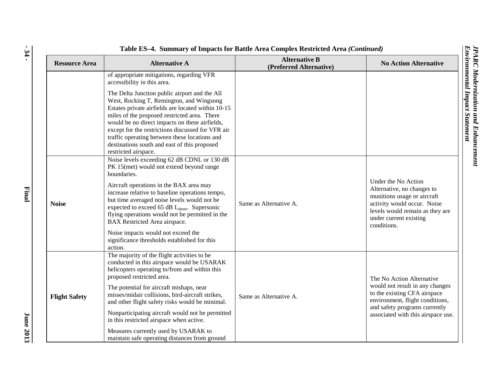| Environmental Impact Statement | JPARC Modernization and Enhancement |
|--------------------------------|-------------------------------------|
|                                |                                     |

|                  | Table ES-4. Summary of Impacts for Battle Area Complex Restricted Area (Continued) |                                                                                                                                                                                                                                                                                                                                                                                                                                 |                                                 |                                                                                                                                                                                             |
|------------------|------------------------------------------------------------------------------------|---------------------------------------------------------------------------------------------------------------------------------------------------------------------------------------------------------------------------------------------------------------------------------------------------------------------------------------------------------------------------------------------------------------------------------|-------------------------------------------------|---------------------------------------------------------------------------------------------------------------------------------------------------------------------------------------------|
| $34 -$           | <b>Resource Area</b>                                                               | <b>Alternative A</b>                                                                                                                                                                                                                                                                                                                                                                                                            | <b>Alternative B</b><br>(Preferred Alternative) | <b>No Action Alternative</b>                                                                                                                                                                |
|                  |                                                                                    | of appropriate mitigations, regarding VFR<br>accessibility in this area.                                                                                                                                                                                                                                                                                                                                                        |                                                 |                                                                                                                                                                                             |
|                  |                                                                                    | The Delta Junction public airport and the All<br>West, Rocking T, Remington, and Wingsong<br>Estates private airfields are located within 10-15<br>miles of the proposed restricted area. There<br>would be no direct impacts on these airfields,<br>except for the restrictions discussed for VFR air<br>traffic operating between these locations and<br>destinations south and east of this proposed<br>restricted airspace. |                                                 |                                                                                                                                                                                             |
|                  |                                                                                    | Noise levels exceeding 62 dB CDNL or 130 dB<br>PK 15(met) would not extend beyond range<br>boundaries.                                                                                                                                                                                                                                                                                                                          |                                                 |                                                                                                                                                                                             |
| Final            | <b>Noise</b>                                                                       | Aircraft operations in the BAX area may<br>increase relative to baseline operations tempo,<br>but time averaged noise levels would not be<br>expected to exceed 65 dB Ldnmr. Supersonic<br>flying operations would not be permitted in the<br>BAX Restricted Area airspace.                                                                                                                                                     | Same as Alternative A.                          | Under the No Action<br>Alternative, no changes to<br>munitions usage or aircraft<br>activity would occur. Noise<br>levels would remain as they are<br>under current existing<br>conditions. |
|                  |                                                                                    | Noise impacts would not exceed the<br>significance thresholds established for this<br>action.                                                                                                                                                                                                                                                                                                                                   |                                                 |                                                                                                                                                                                             |
|                  |                                                                                    | The majority of the flight activities to be<br>conducted in this airspace would be USARAK<br>helicopters operating to/from and within this<br>proposed restricted area.                                                                                                                                                                                                                                                         |                                                 | The No Action Alternative                                                                                                                                                                   |
|                  | <b>Flight Safety</b>                                                               | The potential for aircraft mishaps, near<br>misses/midair collisions, bird-aircraft strikes,<br>and other flight safety risks would be minimal.                                                                                                                                                                                                                                                                                 | Same as Alternative A.                          | would not result in any changes<br>to the existing CFA airspace<br>environment, flight conditions,                                                                                          |
|                  |                                                                                    | Nonparticipating aircraft would not be permitted<br>in this restricted airspace when active.                                                                                                                                                                                                                                                                                                                                    |                                                 | and safety programs currently<br>associated with this airspace use.                                                                                                                         |
| <b>June 2013</b> |                                                                                    | Measures currently used by USARAK to<br>maintain safe operating distances from ground                                                                                                                                                                                                                                                                                                                                           |                                                 |                                                                                                                                                                                             |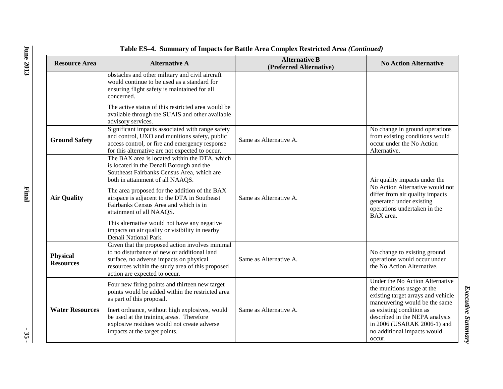| <b>Resource Area</b>                | <b>Alternative A</b>                                                                                                                                                                                                                                                                                                                                                                                                                                                         | <b>Alternative B</b><br>(Preferred Alternative) | <b>No Action Alternative</b>                                                                                                                                                                                                                                               |
|-------------------------------------|------------------------------------------------------------------------------------------------------------------------------------------------------------------------------------------------------------------------------------------------------------------------------------------------------------------------------------------------------------------------------------------------------------------------------------------------------------------------------|-------------------------------------------------|----------------------------------------------------------------------------------------------------------------------------------------------------------------------------------------------------------------------------------------------------------------------------|
|                                     | obstacles and other military and civil aircraft<br>would continue to be used as a standard for<br>ensuring flight safety is maintained for all<br>concerned.                                                                                                                                                                                                                                                                                                                 |                                                 |                                                                                                                                                                                                                                                                            |
|                                     | The active status of this restricted area would be<br>available through the SUAIS and other available<br>advisory services.                                                                                                                                                                                                                                                                                                                                                  |                                                 |                                                                                                                                                                                                                                                                            |
| <b>Ground Safety</b>                | Significant impacts associated with range safety<br>and control, UXO and munitions safety, public<br>access control, or fire and emergency response<br>for this alternative are not expected to occur.                                                                                                                                                                                                                                                                       | Same as Alternative A.                          | No change in ground operations<br>from existing conditions would<br>occur under the No Action<br>Alternative.                                                                                                                                                              |
| <b>Air Quality</b>                  | The BAX area is located within the DTA, which<br>is located in the Denali Borough and the<br>Southeast Fairbanks Census Area, which are<br>both in attainment of all NAAQS.<br>The area proposed for the addition of the BAX<br>airspace is adjacent to the DTA in Southeast<br>Fairbanks Census Area and which is in<br>attainment of all NAAQS.<br>This alternative would not have any negative<br>impacts on air quality or visibility in nearby<br>Denali National Park. | Same as Alternative A.                          | Air quality impacts under the<br>No Action Alternative would not<br>differ from air quality impacts<br>generated under existing<br>operations undertaken in the<br>BAX area.                                                                                               |
| <b>Physical</b><br><b>Resources</b> | Given that the proposed action involves minimal<br>to no disturbance of new or additional land<br>surface, no adverse impacts on physical<br>resources within the study area of this proposed<br>action are expected to occur.                                                                                                                                                                                                                                               | Same as Alternative A.                          | No change to existing ground<br>operations would occur under<br>the No Action Alternative.                                                                                                                                                                                 |
| <b>Water Resources</b>              | Four new firing points and thirteen new target<br>points would be added within the restricted area<br>as part of this proposal.<br>Inert ordnance, without high explosives, would<br>be used at the training areas. Therefore<br>explosive residues would not create adverse<br>impacts at the target points.                                                                                                                                                                | Same as Alternative A.                          | Under the No Action Alternative<br>the munitions usage at the<br>existing target arrays and vehicle<br>maneuvering would be the same<br>as existing condition as<br>described in the NEPA analysis<br>in 2006 (USARAK 2006-1) and<br>no additional impacts would<br>occur. |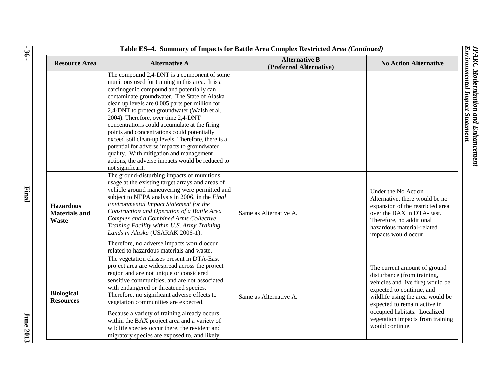| Environmental Impact Statement | $JPARC$ Modernization and Enhancement |
|--------------------------------|---------------------------------------|
|                                |                                       |

| Table ES-4. Summary of Impacts for Battle Area Complex Restricted Area (Continued) |                                                   |                                                                                                                                                                                                                                                                                                                                                                                                                                                                                                                                                                                                                                                                  |                                                 |                                                                                                                                                                                                                                                                                         |  |
|------------------------------------------------------------------------------------|---------------------------------------------------|------------------------------------------------------------------------------------------------------------------------------------------------------------------------------------------------------------------------------------------------------------------------------------------------------------------------------------------------------------------------------------------------------------------------------------------------------------------------------------------------------------------------------------------------------------------------------------------------------------------------------------------------------------------|-------------------------------------------------|-----------------------------------------------------------------------------------------------------------------------------------------------------------------------------------------------------------------------------------------------------------------------------------------|--|
| 36-                                                                                | <b>Resource Area</b>                              | <b>Alternative A</b>                                                                                                                                                                                                                                                                                                                                                                                                                                                                                                                                                                                                                                             | <b>Alternative B</b><br>(Preferred Alternative) | <b>No Action Alternative</b>                                                                                                                                                                                                                                                            |  |
|                                                                                    |                                                   | The compound 2,4-DNT is a component of some<br>munitions used for training in this area. It is a<br>carcinogenic compound and potentially can<br>contaminate groundwater. The State of Alaska<br>clean up levels are 0.005 parts per million for<br>2,4-DNT to protect groundwater (Walsh et al.<br>2004). Therefore, over time 2,4-DNT<br>concentrations could accumulate at the firing<br>points and concentrations could potentially<br>exceed soil clean-up levels. Therefore, there is a<br>potential for adverse impacts to groundwater<br>quality. With mitigation and management<br>actions, the adverse impacts would be reduced to<br>not significant. |                                                 |                                                                                                                                                                                                                                                                                         |  |
| Final                                                                              | <b>Hazardous</b><br><b>Materials and</b><br>Waste | The ground-disturbing impacts of munitions<br>usage at the existing target arrays and areas of<br>vehicle ground maneuvering were permitted and<br>subject to NEPA analysis in 2006, in the Final<br>Environmental Impact Statement for the<br>Construction and Operation of a Battle Area<br>Complex and a Combined Arms Collective<br>Training Facility within U.S. Army Training<br>Lands in Alaska (USARAK 2006-1).<br>Therefore, no adverse impacts would occur<br>related to hazardous materials and waste.                                                                                                                                                | Same as Alternative A.                          | Under the No Action<br>Alternative, there would be no<br>expansion of the restricted area<br>over the BAX in DTA-East.<br>Therefore, no additional<br>hazardous material-related<br>impacts would occur.                                                                                |  |
| <b>June 201</b>                                                                    | <b>Biological</b><br><b>Resources</b>             | The vegetation classes present in DTA-East<br>project area are widespread across the project<br>region and are not unique or considered<br>sensitive communities, and are not associated<br>with endangered or threatened species.<br>Therefore, no significant adverse effects to<br>vegetation communities are expected.<br>Because a variety of training already occurs<br>within the BAX project area and a variety of<br>wildlife species occur there, the resident and<br>migratory species are exposed to, and likely                                                                                                                                     | Same as Alternative A.                          | The current amount of ground<br>disturbance (from training,<br>vehicles and live fire) would be<br>expected to continue, and<br>wildlife using the area would be<br>expected to remain active in<br>occupied habitats. Localized<br>vegetation impacts from training<br>would continue. |  |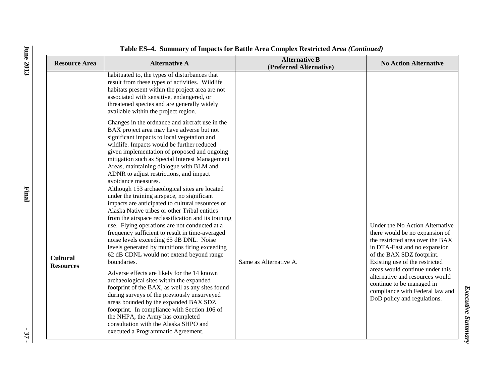| Table ES–4. Summary of Impacts for Battle Area Complex Restricted Area ( <i>Continued</i> ) |                                                                                                                                                                                                                                                                                                                                                                                                                                                                                                                                                                                                                                                                                                                                                                                                                                                                                                                                                       |                                                 |                                                                                                                                                                                                                                                                                                                                                                           |
|---------------------------------------------------------------------------------------------|-------------------------------------------------------------------------------------------------------------------------------------------------------------------------------------------------------------------------------------------------------------------------------------------------------------------------------------------------------------------------------------------------------------------------------------------------------------------------------------------------------------------------------------------------------------------------------------------------------------------------------------------------------------------------------------------------------------------------------------------------------------------------------------------------------------------------------------------------------------------------------------------------------------------------------------------------------|-------------------------------------------------|---------------------------------------------------------------------------------------------------------------------------------------------------------------------------------------------------------------------------------------------------------------------------------------------------------------------------------------------------------------------------|
| <b>Resource Area</b>                                                                        | <b>Alternative A</b>                                                                                                                                                                                                                                                                                                                                                                                                                                                                                                                                                                                                                                                                                                                                                                                                                                                                                                                                  | <b>Alternative B</b><br>(Preferred Alternative) | <b>No Action Alternative</b>                                                                                                                                                                                                                                                                                                                                              |
|                                                                                             | habituated to, the types of disturbances that<br>result from these types of activities. Wildlife<br>habitats present within the project area are not<br>associated with sensitive, endangered, or<br>threatened species and are generally widely<br>available within the project region.                                                                                                                                                                                                                                                                                                                                                                                                                                                                                                                                                                                                                                                              |                                                 |                                                                                                                                                                                                                                                                                                                                                                           |
|                                                                                             | Changes in the ordnance and aircraft use in the<br>BAX project area may have adverse but not<br>significant impacts to local vegetation and<br>wildlife. Impacts would be further reduced<br>given implementation of proposed and ongoing<br>mitigation such as Special Interest Management<br>Areas, maintaining dialogue with BLM and<br>ADNR to adjust restrictions, and impact                                                                                                                                                                                                                                                                                                                                                                                                                                                                                                                                                                    |                                                 |                                                                                                                                                                                                                                                                                                                                                                           |
| <b>Cultural</b><br><b>Resources</b>                                                         | avoidance measures.<br>Although 153 archaeological sites are located<br>under the training airspace, no significant<br>impacts are anticipated to cultural resources or<br>Alaska Native tribes or other Tribal entities<br>from the airspace reclassification and its training<br>use. Flying operations are not conducted at a<br>frequency sufficient to result in time-averaged<br>noise levels exceeding 65 dB DNL. Noise<br>levels generated by munitions firing exceeding<br>62 dB CDNL would not extend beyond range<br>boundaries.<br>Adverse effects are likely for the 14 known<br>archaeological sites within the expanded<br>footprint of the BAX, as well as any sites found<br>during surveys of the previously unsurveyed<br>areas bounded by the expanded BAX SDZ<br>footprint. In compliance with Section 106 of<br>the NHPA, the Army has completed<br>consultation with the Alaska SHPO and<br>executed a Programmatic Agreement. | Same as Alternative A.                          | Under the No Action Alternative<br>there would be no expansion of<br>the restricted area over the BAX<br>in DTA-East and no expansion<br>of the BAX SDZ footprint.<br>Existing use of the restricted<br>areas would continue under this<br>alternative and resources would<br>continue to be managed in<br>compliance with Federal law and<br>DoD policy and regulations. |

## **Table ES–4. Summary of Impacts for Battle Area Complex Restricted Area** *(Continued)*

**- 37 -**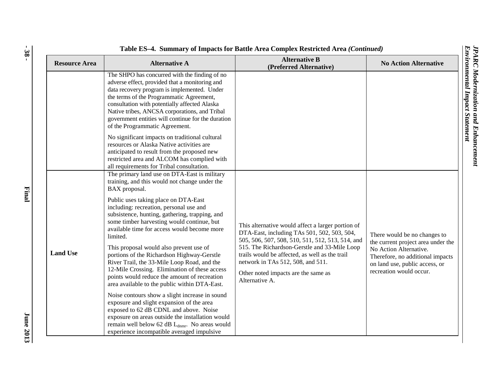| Table ES-4. Summary of Impacts for Battle Area Complex Restricted Area (Continued) |                      |                                                                                                                                                                                                                                                                                                                                                                                                                                          |                                                                                                                                                                                                      |                                                                                               |
|------------------------------------------------------------------------------------|----------------------|------------------------------------------------------------------------------------------------------------------------------------------------------------------------------------------------------------------------------------------------------------------------------------------------------------------------------------------------------------------------------------------------------------------------------------------|------------------------------------------------------------------------------------------------------------------------------------------------------------------------------------------------------|-----------------------------------------------------------------------------------------------|
| 38-                                                                                | <b>Resource Area</b> | <b>Alternative A</b>                                                                                                                                                                                                                                                                                                                                                                                                                     | <b>Alternative B</b><br>(Preferred Alternative)                                                                                                                                                      | <b>No Action Alternative</b>                                                                  |
|                                                                                    |                      | The SHPO has concurred with the finding of no<br>adverse effect, provided that a monitoring and<br>data recovery program is implemented. Under<br>the terms of the Programmatic Agreement,<br>consultation with potentially affected Alaska<br>Native tribes, ANCSA corporations, and Tribal<br>government entities will continue for the duration<br>of the Programmatic Agreement.                                                     |                                                                                                                                                                                                      |                                                                                               |
|                                                                                    |                      | No significant impacts on traditional cultural<br>resources or Alaska Native activities are<br>anticipated to result from the proposed new<br>restricted area and ALCOM has complied with<br>all requirements for Tribal consultation.                                                                                                                                                                                                   |                                                                                                                                                                                                      |                                                                                               |
| Final                                                                              |                      | The primary land use on DTA-East is military<br>training, and this would not change under the<br>BAX proposal.<br>Public uses taking place on DTA-East<br>including: recreation, personal use and<br>subsistence, hunting, gathering, trapping, and<br>some timber harvesting would continue, but<br>available time for access would become more<br>limited.<br>This proposal would also prevent use of                                  | This alternative would affect a larger portion of<br>DTA-East, including TAs 501, 502, 503, 504,<br>505, 506, 507, 508, 510, 511, 512, 513, 514, and<br>515. The Richardson-Gerstle and 33-Mile Loop | There would be no changes to<br>the current project area under the<br>No Action Alternative.  |
| June                                                                               | <b>Land Use</b>      | portions of the Richardson Highway-Gerstle<br>River Trail, the 33-Mile Loop Road, and the<br>12-Mile Crossing. Elimination of these access<br>points would reduce the amount of recreation<br>area available to the public within DTA-East.<br>Noise contours show a slight increase in sound<br>exposure and slight expansion of the area<br>exposed to 62 dB CDNL and above. Noise<br>exposure on areas outside the installation would | trails would be affected, as well as the trail<br>network in TAs 512, 508, and 511.<br>Other noted impacts are the same as<br>Alternative A.                                                         | Therefore, no additional impacts<br>on land use, public access, or<br>recreation would occur. |
| 201                                                                                |                      | remain well below 62 dB L <sub>dnmr</sub> . No areas would<br>experience incompatible averaged impulsive                                                                                                                                                                                                                                                                                                                                 |                                                                                                                                                                                                      |                                                                                               |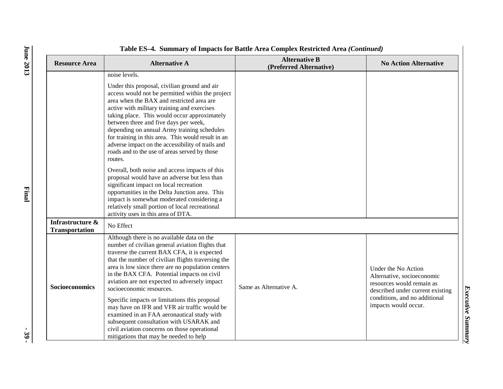| Table ES-4. Summary of Impacts for Battle Area Complex Restricted Area (Continued) |                                                                                                                                                                                                                                                                                                                                                                                                                                                                                                                   |                                                 |                              |
|------------------------------------------------------------------------------------|-------------------------------------------------------------------------------------------------------------------------------------------------------------------------------------------------------------------------------------------------------------------------------------------------------------------------------------------------------------------------------------------------------------------------------------------------------------------------------------------------------------------|-------------------------------------------------|------------------------------|
| <b>Resource Area</b>                                                               | <b>Alternative A</b>                                                                                                                                                                                                                                                                                                                                                                                                                                                                                              | <b>Alternative B</b><br>(Preferred Alternative) | <b>No Action Alternative</b> |
|                                                                                    | noise levels.<br>Under this proposal, civilian ground and air<br>access would not be permitted within the project<br>area when the BAX and restricted area are<br>active with military training and exercises<br>taking place. This would occur approximately<br>between three and five days per week,<br>depending on annual Army training schedules<br>for training in this area. This would result in an<br>adverse impact on the accessibility of trails and<br>roads and to the use of areas served by those |                                                 |                              |
|                                                                                    | routes.<br>Overall, both noise and access impacts of this<br>proposal would have an adverse but less than<br>significant impact on local recreation<br>opportunities in the Delta Junction area. This<br>impact is somewhat moderated considering a<br>relatively small portion of local recreational<br>activity uses in this area of DTA.                                                                                                                                                                       |                                                 |                              |
| Infrastructure $\&$<br><b>Transportation</b>                                       | No Effect                                                                                                                                                                                                                                                                                                                                                                                                                                                                                                         |                                                 |                              |
|                                                                                    | Although there is no available data on the<br>number of civilian general aviation flights that                                                                                                                                                                                                                                                                                                                                                                                                                    |                                                 |                              |

**Socioeconomics** traverse the current BAX CFA, it is expected that the number of civilian flights traversing the area is low since there are no population centers in the BAX CFA. Potential impacts on civil aviation are not expected to adversely impact socioeconomic resources. Specific impacts or limitations this proposal may have on IFR and VFR air traffic would be examined in an FAA aeronautical study with subsequent consultation with USARAK and civil aviation concerns on those operational mitigations that may be needed to help Same as Alternative A. Under the No Action Alternative, socioeconomic resources would remain as described under current existing conditions, and no additional impacts would occur.

*Executive Summary*

**Executive Summary**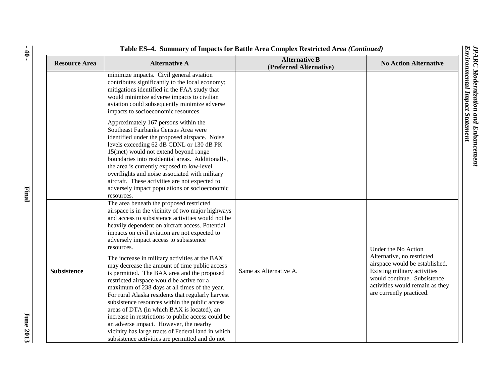| <b>Environmental Impact Statement</b> | JPARC Modernization and Enhancement |
|---------------------------------------|-------------------------------------|
|                                       |                                     |

|                  |                      |                                                                                                                                                                                                                                                                                                                                                                                                                                                                                                                                                                                                                                                                                                                                                                                                                                                                                                                              | Table ES-4. Summary of Impacts for Battle Area Complex Restricted Area (Continued) |                                                                                                                                                                                                                   |
|------------------|----------------------|------------------------------------------------------------------------------------------------------------------------------------------------------------------------------------------------------------------------------------------------------------------------------------------------------------------------------------------------------------------------------------------------------------------------------------------------------------------------------------------------------------------------------------------------------------------------------------------------------------------------------------------------------------------------------------------------------------------------------------------------------------------------------------------------------------------------------------------------------------------------------------------------------------------------------|------------------------------------------------------------------------------------|-------------------------------------------------------------------------------------------------------------------------------------------------------------------------------------------------------------------|
| $40 -$           | <b>Resource Area</b> | <b>Alternative A</b>                                                                                                                                                                                                                                                                                                                                                                                                                                                                                                                                                                                                                                                                                                                                                                                                                                                                                                         | <b>Alternative B</b><br>(Preferred Alternative)                                    | <b>No Action Alternative</b>                                                                                                                                                                                      |
| Final            |                      | minimize impacts. Civil general aviation<br>contributes significantly to the local economy;<br>mitigations identified in the FAA study that<br>would minimize adverse impacts to civilian<br>aviation could subsequently minimize adverse<br>impacts to socioeconomic resources.<br>Approximately 167 persons within the<br>Southeast Fairbanks Census Area were<br>identified under the proposed airspace. Noise<br>levels exceeding 62 dB CDNL or 130 dB PK<br>15(met) would not extend beyond range<br>boundaries into residential areas. Additionally,<br>the area is currently exposed to low-level<br>overflights and noise associated with military<br>aircraft. These activities are not expected to<br>adversely impact populations or socioeconomic<br>resources.                                                                                                                                                  |                                                                                    |                                                                                                                                                                                                                   |
| <b>June 2013</b> | <b>Subsistence</b>   | The area beneath the proposed restricted<br>airspace is in the vicinity of two major highways<br>and access to subsistence activities would not be<br>heavily dependent on aircraft access. Potential<br>impacts on civil aviation are not expected to<br>adversely impact access to subsistence<br>resources.<br>The increase in military activities at the BAX<br>may decrease the amount of time public access<br>is permitted. The BAX area and the proposed<br>restricted airspace would be active for a<br>maximum of 238 days at all times of the year.<br>For rural Alaska residents that regularly harvest<br>subsistence resources within the public access<br>areas of DTA (in which BAX is located), an<br>increase in restrictions to public access could be<br>an adverse impact. However, the nearby<br>vicinity has large tracts of Federal land in which<br>subsistence activities are permitted and do not | Same as Alternative A.                                                             | Under the No Action<br>Alternative, no restricted<br>airspace would be established.<br>Existing military activities<br>would continue. Subsistence<br>activities would remain as they<br>are currently practiced. |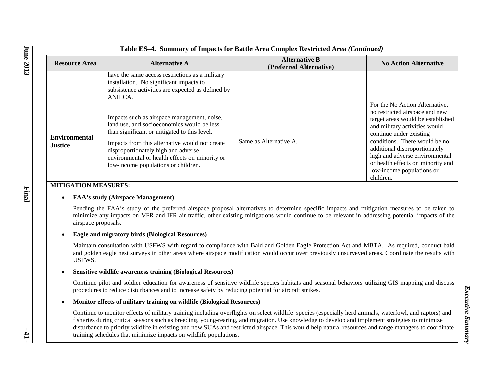| Table ES-4. Summary of Impacts for Battle Area Complex Restricted Area (Continuea) |                                                                                                                                                                                                                                                                                                                             |                                                 |                                                                                                                                                                                                                                                                                                                                                      |  |
|------------------------------------------------------------------------------------|-----------------------------------------------------------------------------------------------------------------------------------------------------------------------------------------------------------------------------------------------------------------------------------------------------------------------------|-------------------------------------------------|------------------------------------------------------------------------------------------------------------------------------------------------------------------------------------------------------------------------------------------------------------------------------------------------------------------------------------------------------|--|
| <b>Resource Area</b>                                                               | <b>Alternative A</b>                                                                                                                                                                                                                                                                                                        | <b>Alternative B</b><br>(Preferred Alternative) | <b>No Action Alternative</b>                                                                                                                                                                                                                                                                                                                         |  |
|                                                                                    | have the same access restrictions as a military<br>installation. No significant impacts to<br>subsistence activities are expected as defined by<br>ANILCA.                                                                                                                                                                  |                                                 |                                                                                                                                                                                                                                                                                                                                                      |  |
| <b>Environmental</b><br><b>Justice</b>                                             | Impacts such as airspace management, noise,<br>land use, and socioeconomics would be less<br>than significant or mitigated to this level.<br>Impacts from this alternative would not create<br>disproportionately high and adverse<br>environmental or health effects on minority or<br>low-income populations or children. | Same as Alternative A.                          | For the No Action Alternative,<br>no restricted airspace and new<br>target areas would be established<br>and military activities would<br>continue under existing<br>conditions. There would be no<br>additional disproportionately<br>high and adverse environmental<br>or health effects on minority and<br>low-income populations or<br>children. |  |

# **Table ES–4. Summary of Impacts for Battle Area Complex Restricted Area** *(Continued)*

## **MITIGATION MEASURES:**

### • **FAA's study (Airspace Management)**

Pending the FAA's study of the preferred airspace proposal alternatives to determine specific impacts and mitigation measures to be taken to minimize any impacts on VFR and IFR air traffic, other existing mitigations would continue to be relevant in addressing potential impacts of the airspace proposals.

### • **Eagle and migratory birds (Biological Resources)**

Maintain consultation with USFWS with regard to compliance with Bald and Golden Eagle Protection Act and MBTA. As required, conduct bald and golden eagle nest surveys in other areas where airspace modification would occur over previously unsurveyed areas. Coordinate the results with USFWS.

### • **Sensitive wildlife awareness training (Biological Resources)**

Continue pilot and soldier education for awareness of sensitive wildlife species habitats and seasonal behaviors utilizing GIS mapping and discuss procedures to reduce disturbances and to increase safety by reducing potential for aircraft strikes.

## • **Monitor effects of military training on wildlife (Biological Resources)**

Continue to monitor effects of military training including overflights on select wildlife species (especially herd animals, waterfowl, and raptors) and fisheries during critical seasons such as breeding, young-rearing, and migration. Use knowledge to develop and implement strategies to minimize disturbance to priority wildlife in existing and new SUAs and restricted airspace. This would help natural resources and range managers to coordinate training schedules that minimize impacts on wildlife populations.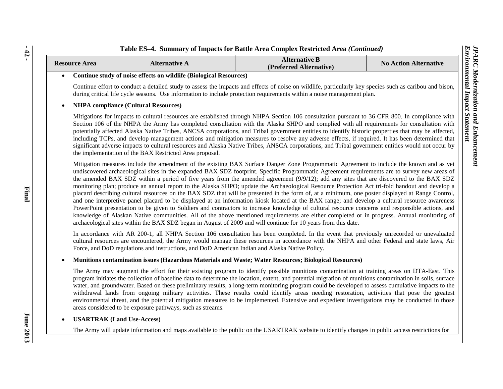# **Table ES–4. Summary of Impacts for Battle Area Complex Restricted Area** *(Continued)*

| <b>Resource Area</b> | <b>Alternative A</b> | <b>Alternative B</b><br>(Preferred Alternative) | <b>No Action Alternative</b> |
|----------------------|----------------------|-------------------------------------------------|------------------------------|
|----------------------|----------------------|-------------------------------------------------|------------------------------|

### • **Continue study of noise effects on wildlife (Biological Resources)**

Continue effort to conduct a detailed study to assess the impacts and effects of noise on wildlife, particularly key species such as caribou and bison, during critical life cycle seasons. Use information to include protection requirements within a noise management plan.

### • **NHPA compliance (Cultural Resources)**

Mitigations for impacts to cultural resources are established through NHPA Section 106 consultation pursuant to 36 CFR 800. In compliance with Section 106 of the NHPA the Army has completed consultation with the Alaska SHPO and complied with all requirements for consultation with potentially affected Alaska Native Tribes, ANCSA corporations, and Tribal government entities to identify historic properties that may be affected, including TCPs, and develop management actions and mitigation measures to resolve any adverse effects, if required. It has been determined that significant adverse impacts to cultural resources and Alaska Native Tribes, ANSCA corporations, and Tribal government entities would not occur by the implementation of the BAX Restricted Area proposal.

Mitigation measures include the amendment of the existing BAX Surface Danger Zone Programmatic Agreement to include the known and as yet undiscovered archaeological sites in the expanded BAX SDZ footprint. Specific Programmatic Agreement requirements are to survey new areas of the amended BAX SDZ within a period of five years from the amended agreement (9/9/12); add any sites that are discovered to the BAX SDZ monitoring plan; produce an annual report to the Alaska SHPO; update the Archaeological Resource Protection Act tri-fold handout and develop a placard describing cultural resources on the BAX SDZ that will be presented in the form of, at a minimum, one poster displayed at Range Control, and one interpretive panel placard to be displayed at an information kiosk located at the BAX range; and develop a cultural resource awareness PowerPoint presentation to be given to Soldiers and contractors to increase knowledge of cultural resource concerns and responsible actions, and knowledge of Alaskan Native communities. All of the above mentioned requirements are either completed or in progress. Annual monitoring of archaeological sites within the BAX SDZ began in August of 2009 and will continue for 10 years from this date.

In accordance with AR 200-1, all NHPA Section 106 consultation has been completed. In the event that previously unrecorded or unevaluated cultural resources are encountered, the Army would manage these resources in accordance with the NHPA and other Federal and state laws, Air Force, and DoD regulations and instructions, and DoD American Indian and Alaska Native Policy.

### • **Munitions contamination issues (Hazardous Materials and Waste; Water Resources; Biological Resources)**

The Army may augment the effort for their existing program to identify possible munitions contamination at training areas on DTA-East. This program initiates the collection of baseline data to determine the location, extent, and potential migration of munitions contamination in soils, surface water, and groundwater. Based on these preliminary results, a long-term monitoring program could be developed to assess cumulative impacts to the withdrawal lands from ongoing military activities. These results could identify areas needing restoration, activities that pose the greatest environmental threat, and the potential mitigation measures to be implemented. Extensive and expedient investigations may be conducted in those areas considered to be exposure pathways, such as streams.

## • **USARTRAK (Land Use-Access)**

The Army will update information and maps available to the public on the USARTRAK website to identify changes in public access restrictions for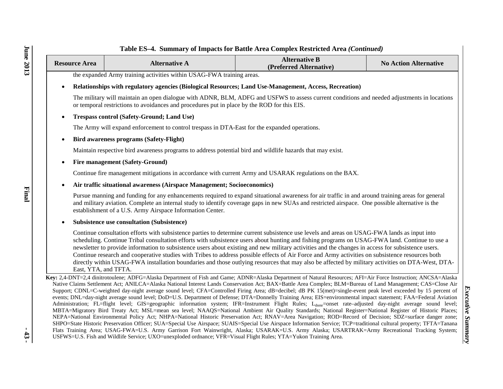|                      | Table ES–4. Summary of Impacts for Battle Area Complex Restricted Area ( <i>Continued</i> )                                                                                                                                                                                                                                                                                                                                                                                                                                                                                                                                                                                                                                                                                          |                                                                                                            |                                                                                                                                                                        |                              |  |  |
|----------------------|--------------------------------------------------------------------------------------------------------------------------------------------------------------------------------------------------------------------------------------------------------------------------------------------------------------------------------------------------------------------------------------------------------------------------------------------------------------------------------------------------------------------------------------------------------------------------------------------------------------------------------------------------------------------------------------------------------------------------------------------------------------------------------------|------------------------------------------------------------------------------------------------------------|------------------------------------------------------------------------------------------------------------------------------------------------------------------------|------------------------------|--|--|
| <b>Resource Area</b> |                                                                                                                                                                                                                                                                                                                                                                                                                                                                                                                                                                                                                                                                                                                                                                                      | <b>Alternative A</b>                                                                                       | <b>Alternative B</b><br>(Preferred Alternative)                                                                                                                        | <b>No Action Alternative</b> |  |  |
|                      | the expanded Army training activities within USAG-FWA training areas.                                                                                                                                                                                                                                                                                                                                                                                                                                                                                                                                                                                                                                                                                                                |                                                                                                            |                                                                                                                                                                        |                              |  |  |
|                      |                                                                                                                                                                                                                                                                                                                                                                                                                                                                                                                                                                                                                                                                                                                                                                                      | Relationships with regulatory agencies (Biological Resources; Land Use-Management, Access, Recreation)     |                                                                                                                                                                        |                              |  |  |
|                      |                                                                                                                                                                                                                                                                                                                                                                                                                                                                                                                                                                                                                                                                                                                                                                                      | or temporal restrictions to avoidances and procedures put in place by the ROD for this EIS.                | The military will maintain an open dialogue with ADNR, BLM, ADFG and USFWS to assess current conditions and needed adjustments in locations                            |                              |  |  |
| $\bullet$            |                                                                                                                                                                                                                                                                                                                                                                                                                                                                                                                                                                                                                                                                                                                                                                                      | <b>Trespass control (Safety-Ground; Land Use)</b>                                                          |                                                                                                                                                                        |                              |  |  |
|                      |                                                                                                                                                                                                                                                                                                                                                                                                                                                                                                                                                                                                                                                                                                                                                                                      | The Army will expand enforcement to control trespass in DTA-East for the expanded operations.              |                                                                                                                                                                        |                              |  |  |
| $\bullet$            |                                                                                                                                                                                                                                                                                                                                                                                                                                                                                                                                                                                                                                                                                                                                                                                      | <b>Bird awareness programs (Safety-Flight)</b>                                                             |                                                                                                                                                                        |                              |  |  |
|                      |                                                                                                                                                                                                                                                                                                                                                                                                                                                                                                                                                                                                                                                                                                                                                                                      | Maintain respective bird awareness programs to address potential bird and wildlife hazards that may exist. |                                                                                                                                                                        |                              |  |  |
|                      |                                                                                                                                                                                                                                                                                                                                                                                                                                                                                                                                                                                                                                                                                                                                                                                      | <b>Fire management (Safety-Ground)</b>                                                                     |                                                                                                                                                                        |                              |  |  |
|                      | Continue fire management mitigations in accordance with current Army and USARAK regulations on the BAX.                                                                                                                                                                                                                                                                                                                                                                                                                                                                                                                                                                                                                                                                              |                                                                                                            |                                                                                                                                                                        |                              |  |  |
|                      | Air traffic situational awareness (Airspace Management; Socioeconomics)                                                                                                                                                                                                                                                                                                                                                                                                                                                                                                                                                                                                                                                                                                              |                                                                                                            |                                                                                                                                                                        |                              |  |  |
|                      | Pursue manning and funding for any enhancements required to expand situational awareness for air traffic in and around training areas for general<br>and military aviation. Complete an internal study to identify coverage gaps in new SUAs and restricted airspace. One possible alternative is the<br>establishment of a U.S. Army Airspace Information Center.                                                                                                                                                                                                                                                                                                                                                                                                                   |                                                                                                            |                                                                                                                                                                        |                              |  |  |
| $\bullet$            |                                                                                                                                                                                                                                                                                                                                                                                                                                                                                                                                                                                                                                                                                                                                                                                      | <b>Subsistence use consultation (Subsistence)</b>                                                          |                                                                                                                                                                        |                              |  |  |
|                      | Continue consultation efforts with subsistence parties to determine current subsistence use levels and areas on USAG-FWA lands as input into<br>scheduling. Continue Tribal consultation efforts with subsistence users about hunting and fishing programs on USAG-FWA land. Continue to use a<br>newsletter to provide information to subsistence users about existing and new military activities and the changes in access for subsistence users.<br>Continue research and cooperative studies with Tribes to address possible effects of Air Force and Army activities on subsistence resources both<br>directly within USAG-FWA installation boundaries and those outlying resources that may also be affected by military activities on DTA-West, DTA-<br>East, YTA, and TFTA. |                                                                                                            |                                                                                                                                                                        |                              |  |  |
|                      | Key: 2,4-DNT=2,4 dinitrotoulene; ADFG=Alaska Department of Fish and Game; ADNR=Alaska Department of Natural Resources; AFI=Air Force Instruction; ANCSA=Alaska<br>Native Claims Settlement Act; ANILCA=Alaska National Interest Lands Conservation Act; BAX=Battle Area Complex; BLM=Bureau of Land Management; CAS=Close Air                                                                                                                                                                                                                                                                                                                                                                                                                                                        |                                                                                                            |                                                                                                                                                                        |                              |  |  |
|                      |                                                                                                                                                                                                                                                                                                                                                                                                                                                                                                                                                                                                                                                                                                                                                                                      |                                                                                                            | Support; CDNL=C-weighted day-night average sound level; CFA=Controlled Firing Area; dB=decibel; dB PK 15(met)=single-event peak level exceeded by 15 percent of        |                              |  |  |
|                      |                                                                                                                                                                                                                                                                                                                                                                                                                                                                                                                                                                                                                                                                                                                                                                                      |                                                                                                            | events; DNL=day-night average sound level; DoD=U.S. Department of Defense; DTA=Donnelly Training Area; EIS=environmental impact statement; FAA=Federal Aviation        |                              |  |  |
|                      |                                                                                                                                                                                                                                                                                                                                                                                                                                                                                                                                                                                                                                                                                                                                                                                      |                                                                                                            | Administration; FL=flight level; GIS=geographic information system; IFR=Instrument Flight Rules; L <sub>dnmr</sub> =onset rate-adjusted day-night average sound level; |                              |  |  |
|                      | MBTA=Migratory Bird Treaty Act; MSL=mean sea level; NAAQS=National Ambient Air Quality Standards; National Register=National Register of Historic Places;<br>NEPA=National Environmental Policy Act; NHPA=National Historic Preservation Act; RNAV=Area Navigation; ROD=Record of Decision; SDZ=surface danger zone;                                                                                                                                                                                                                                                                                                                                                                                                                                                                 |                                                                                                            |                                                                                                                                                                        |                              |  |  |
|                      | SHPO=State Historic Preservation Officer; SUA=Special Use Airspace; SUAIS=Special Use Airspace Information Service; TCP=traditional cultural property; TFTA=Tanana                                                                                                                                                                                                                                                                                                                                                                                                                                                                                                                                                                                                                   |                                                                                                            |                                                                                                                                                                        |                              |  |  |

USFWS=U.S. Fish and Wildlife Service; UXO=unexploded ordnance; VFR=Visual Flight Rules; YTA=Yukon Training Area.

# **Table ES–4. Summary of Impacts for Battle Area Complex Restricted Area** *(Continued)*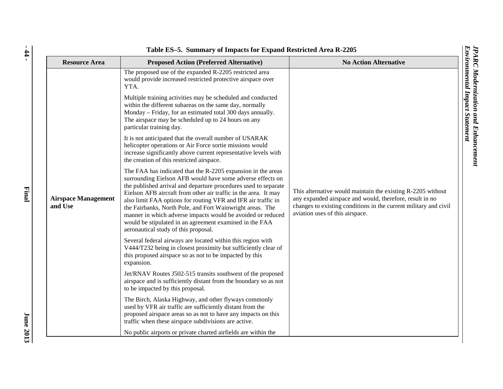| Table ES-5. Summary of Impacts for Expand Restricted Area R-2205 |                                                                                                                                                                                                                                                                                                                                                                                                                                                                                                                                                                  |                                                                                                                                                                                                                                |  |
|------------------------------------------------------------------|------------------------------------------------------------------------------------------------------------------------------------------------------------------------------------------------------------------------------------------------------------------------------------------------------------------------------------------------------------------------------------------------------------------------------------------------------------------------------------------------------------------------------------------------------------------|--------------------------------------------------------------------------------------------------------------------------------------------------------------------------------------------------------------------------------|--|
| <b>Resource Area</b>                                             | <b>Proposed Action (Preferred Alternative)</b>                                                                                                                                                                                                                                                                                                                                                                                                                                                                                                                   | <b>No Action Alternative</b>                                                                                                                                                                                                   |  |
|                                                                  | The proposed use of the expanded R-2205 restricted area<br>would provide increased restricted protective airspace over<br>YTA.                                                                                                                                                                                                                                                                                                                                                                                                                                   |                                                                                                                                                                                                                                |  |
|                                                                  | Multiple training activities may be scheduled and conducted<br>within the different subareas on the same day, normally<br>Monday – Friday, for an estimated total 300 days annually.<br>The airspace may be scheduled up to 24 hours on any<br>particular training day.                                                                                                                                                                                                                                                                                          |                                                                                                                                                                                                                                |  |
|                                                                  | It is not anticipated that the overall number of USARAK<br>helicopter operations or Air Force sortie missions would<br>increase significantly above current representative levels with<br>the creation of this restricted airspace.                                                                                                                                                                                                                                                                                                                              |                                                                                                                                                                                                                                |  |
| <b>Airspace Management</b><br>and Use                            | The FAA has indicated that the R-2205 expansion in the areas<br>surrounding Eielson AFB would have some adverse effects on<br>the published arrival and departure procedures used to separate<br>Eielson AFB aircraft from other air traffic in the area. It may<br>also limit FAA options for routing VFR and IFR air traffic in<br>the Fairbanks, North Pole, and Fort Wainwright areas. The<br>manner in which adverse impacts would be avoided or reduced<br>would be stipulated in an agreement examined in the FAA<br>aeronautical study of this proposal. | This alternative would maintain the existing R-2205 without<br>any expanded airspace and would, therefore, result in no<br>changes to existing conditions in the current military and civil<br>aviation uses of this airspace. |  |
|                                                                  | Several federal airways are located within this region with<br>V444/T232 being in closest proximity but sufficiently clear of<br>this proposed airspace so as not to be impacted by this<br>expansion.                                                                                                                                                                                                                                                                                                                                                           |                                                                                                                                                                                                                                |  |
|                                                                  | Jet/RNAV Routes J502-515 transits southwest of the proposed<br>airspace and is sufficiently distant from the boundary so as not<br>to be impacted by this proposal.                                                                                                                                                                                                                                                                                                                                                                                              |                                                                                                                                                                                                                                |  |
|                                                                  | The Birch, Alaska Highway, and other flyways commonly<br>used by VFR air traffic are sufficiently distant from the<br>proposed airspace areas so as not to have any impacts on this<br>traffic when these airspace subdivisions are active.                                                                                                                                                                                                                                                                                                                      |                                                                                                                                                                                                                                |  |
|                                                                  | No public airports or private charted airfields are within the                                                                                                                                                                                                                                                                                                                                                                                                                                                                                                   |                                                                                                                                                                                                                                |  |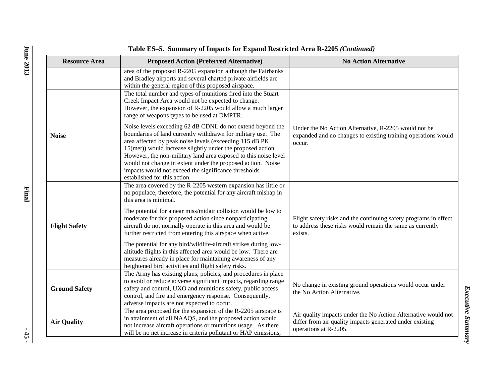| Table ES-5. Summary of Impacts for Expand Restricted Area R-2205 (Continued) |                                                                                                                                                                                                                                                                                                                                                                                                                                                                                |                                                                                                                                                    |  |
|------------------------------------------------------------------------------|--------------------------------------------------------------------------------------------------------------------------------------------------------------------------------------------------------------------------------------------------------------------------------------------------------------------------------------------------------------------------------------------------------------------------------------------------------------------------------|----------------------------------------------------------------------------------------------------------------------------------------------------|--|
| <b>Resource Area</b>                                                         | <b>Proposed Action (Preferred Alternative)</b>                                                                                                                                                                                                                                                                                                                                                                                                                                 | <b>No Action Alternative</b>                                                                                                                       |  |
|                                                                              | area of the proposed R-2205 expansion although the Fairbanks<br>and Bradley airports and several charted private airfields are<br>within the general region of this proposed airspace.<br>The total number and types of munitions fired into the Stuart<br>Creek Impact Area would not be expected to change.<br>However, the expansion of R-2205 would allow a much larger<br>range of weapons types to be used at DMPTR.                                                     |                                                                                                                                                    |  |
| <b>Noise</b>                                                                 | Noise levels exceeding 62 dB CDNL do not extend beyond the<br>boundaries of land currently withdrawn for military use. The<br>area affected by peak noise levels (exceeding 115 dB PK<br>15(met)) would increase slightly under the proposed action.<br>However, the non-military land area exposed to this noise level<br>would not change in extent under the proposed action. Noise<br>impacts would not exceed the significance thresholds<br>established for this action. | Under the No Action Alternative, R-2205 would not be<br>expanded and no changes to existing training operations would<br>occur.                    |  |
|                                                                              | The area covered by the R-2205 western expansion has little or<br>no populace, therefore, the potential for any aircraft mishap in<br>this area is minimal.                                                                                                                                                                                                                                                                                                                    |                                                                                                                                                    |  |
| <b>Flight Safety</b>                                                         | The potential for a near miss/midair collision would be low to<br>moderate for this proposed action since nonparticipating<br>aircraft do not normally operate in this area and would be<br>further restricted from entering this airspace when active.                                                                                                                                                                                                                        | Flight safety risks and the continuing safety programs in effect<br>to address these risks would remain the same as currently<br>exists.           |  |
|                                                                              | The potential for any bird/wildlife-aircraft strikes during low-<br>altitude flights in this affected area would be low. There are<br>measures already in place for maintaining awareness of any<br>heightened bird activities and flight safety risks.                                                                                                                                                                                                                        |                                                                                                                                                    |  |
| <b>Ground Safety</b>                                                         | The Army has existing plans, policies, and procedures in place<br>to avoid or reduce adverse significant impacts, regarding range<br>safety and control, UXO and munitions safety, public access<br>control, and fire and emergency response. Consequently,<br>adverse impacts are not expected to occur.                                                                                                                                                                      | No change in existing ground operations would occur under<br>the No Action Alternative.                                                            |  |
| <b>Air Quality</b>                                                           | The area proposed for the expansion of the R-2205 airspace is<br>in attainment of all NAAQS, and the proposed action would<br>not increase aircraft operations or munitions usage. As there<br>will be no net increase in criteria pollutant or HAP emissions,                                                                                                                                                                                                                 | Air quality impacts under the No Action Alternative would not<br>differ from air quality impacts generated under existing<br>operations at R-2205. |  |

**June 2013 June 2013**

**Final**

**- 45 -**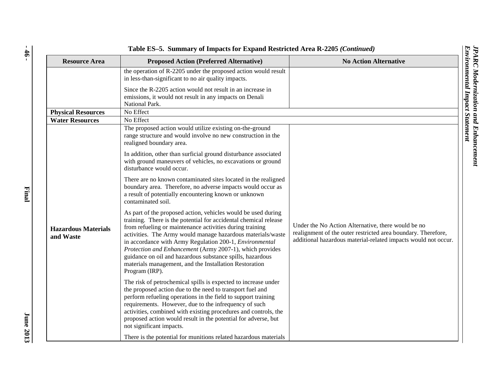| Table ES-5. Summary of Impacts for Expand Restricted Area R-2205 (Continued)<br>$\sharp$ |                                         |                                                                                                                                                                                                                                                                                                                                                                                                                                                                                                                              |                                                                                                                                                                                       |
|------------------------------------------------------------------------------------------|-----------------------------------------|------------------------------------------------------------------------------------------------------------------------------------------------------------------------------------------------------------------------------------------------------------------------------------------------------------------------------------------------------------------------------------------------------------------------------------------------------------------------------------------------------------------------------|---------------------------------------------------------------------------------------------------------------------------------------------------------------------------------------|
|                                                                                          | <b>Resource Area</b>                    | <b>Proposed Action (Preferred Alternative)</b>                                                                                                                                                                                                                                                                                                                                                                                                                                                                               | <b>No Action Alternative</b>                                                                                                                                                          |
|                                                                                          |                                         | the operation of R-2205 under the proposed action would result<br>in less-than-significant to no air quality impacts.                                                                                                                                                                                                                                                                                                                                                                                                        |                                                                                                                                                                                       |
|                                                                                          |                                         | Since the R-2205 action would not result in an increase in<br>emissions, it would not result in any impacts on Denali<br>National Park.                                                                                                                                                                                                                                                                                                                                                                                      |                                                                                                                                                                                       |
|                                                                                          | <b>Physical Resources</b>               | No Effect                                                                                                                                                                                                                                                                                                                                                                                                                                                                                                                    |                                                                                                                                                                                       |
|                                                                                          | <b>Water Resources</b>                  | No Effect                                                                                                                                                                                                                                                                                                                                                                                                                                                                                                                    |                                                                                                                                                                                       |
|                                                                                          |                                         | The proposed action would utilize existing on-the-ground<br>range structure and would involve no new construction in the<br>realigned boundary area.                                                                                                                                                                                                                                                                                                                                                                         |                                                                                                                                                                                       |
|                                                                                          |                                         | In addition, other than surficial ground disturbance associated<br>with ground maneuvers of vehicles, no excavations or ground<br>disturbance would occur.                                                                                                                                                                                                                                                                                                                                                                   |                                                                                                                                                                                       |
| Final                                                                                    |                                         | There are no known contaminated sites located in the realigned<br>boundary area. Therefore, no adverse impacts would occur as<br>a result of potentially encountering known or unknown<br>contaminated soil.                                                                                                                                                                                                                                                                                                                 |                                                                                                                                                                                       |
|                                                                                          | <b>Hazardous Materials</b><br>and Waste | As part of the proposed action, vehicles would be used during<br>training. There is the potential for accidental chemical release<br>from refueling or maintenance activities during training<br>activities. The Army would manage hazardous materials/waste<br>in accordance with Army Regulation 200-1, Environmental<br>Protection and Enhancement (Army 2007-1), which provides<br>guidance on oil and hazardous substance spills, hazardous<br>materials management, and the Installation Restoration<br>Program (IRP). | Under the No Action Alternative, there would be no<br>realignment of the outer restricted area boundary. Therefore,<br>additional hazardous material-related impacts would not occur. |
| June 201                                                                                 |                                         | The risk of petrochemical spills is expected to increase under<br>the proposed action due to the need to transport fuel and<br>perform refueling operations in the field to support training<br>requirements. However, due to the infrequency of such<br>activities, combined with existing procedures and controls, the<br>proposed action would result in the potential for adverse, but<br>not significant impacts.                                                                                                       |                                                                                                                                                                                       |
|                                                                                          |                                         | There is the potential for munitions related hazardous materials                                                                                                                                                                                                                                                                                                                                                                                                                                                             |                                                                                                                                                                                       |

L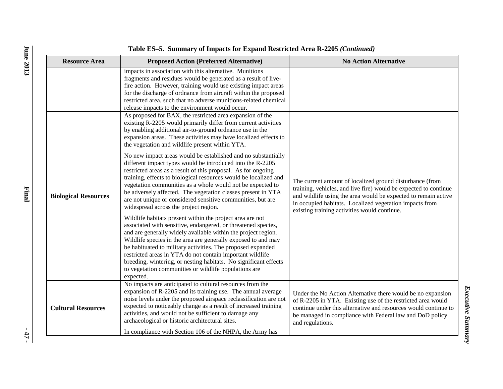| Table ES-5. Summary of Impacts for Expand Restricted Area R-2205 (Continued) |                                                                                                                                                                                                                                                                                                                                                                                                                                                                                                                                    |                                                                                                                                                                                                                                                                                                           |  |
|------------------------------------------------------------------------------|------------------------------------------------------------------------------------------------------------------------------------------------------------------------------------------------------------------------------------------------------------------------------------------------------------------------------------------------------------------------------------------------------------------------------------------------------------------------------------------------------------------------------------|-----------------------------------------------------------------------------------------------------------------------------------------------------------------------------------------------------------------------------------------------------------------------------------------------------------|--|
| <b>Resource Area</b>                                                         | <b>Proposed Action (Preferred Alternative)</b>                                                                                                                                                                                                                                                                                                                                                                                                                                                                                     | <b>No Action Alternative</b>                                                                                                                                                                                                                                                                              |  |
|                                                                              | impacts in association with this alternative. Munitions<br>fragments and residues would be generated as a result of live-<br>fire action. However, training would use existing impact areas<br>for the discharge of ordnance from aircraft within the proposed<br>restricted area, such that no adverse munitions-related chemical<br>release impacts to the environment would occur.                                                                                                                                              |                                                                                                                                                                                                                                                                                                           |  |
|                                                                              | As proposed for BAX, the restricted area expansion of the<br>existing R-2205 would primarily differ from current activities<br>by enabling additional air-to-ground ordnance use in the<br>expansion areas. These activities may have localized effects to<br>the vegetation and wildlife present within YTA.                                                                                                                                                                                                                      |                                                                                                                                                                                                                                                                                                           |  |
| <b>Biological Resources</b>                                                  | No new impact areas would be established and no substantially<br>different impact types would be introduced into the R-2205<br>restricted areas as a result of this proposal. As for ongoing<br>training, effects to biological resources would be localized and<br>vegetation communities as a whole would not be expected to<br>be adversely affected. The vegetation classes present in YTA<br>are not unique or considered sensitive communities, but are<br>widespread across the project region.                             | The current amount of localized ground disturbance (from<br>training, vehicles, and live fire) would be expected to continue<br>and wildlife using the area would be expected to remain active<br>in occupied habitats. Localized vegetation impacts from<br>existing training activities would continue. |  |
|                                                                              | Wildlife habitats present within the project area are not<br>associated with sensitive, endangered, or threatened species,<br>and are generally widely available within the project region.<br>Wildlife species in the area are generally exposed to and may<br>be habituated to military activities. The proposed expanded<br>restricted areas in YTA do not contain important wildlife<br>breeding, wintering, or nesting habitats. No significant effects<br>to vegetation communities or wildlife populations are<br>expected. |                                                                                                                                                                                                                                                                                                           |  |
| <b>Cultural Resources</b>                                                    | No impacts are anticipated to cultural resources from the<br>expansion of R-2205 and its training use. The annual average<br>noise levels under the proposed airspace reclassification are not<br>expected to noticeably change as a result of increased training<br>activities, and would not be sufficient to damage any<br>archaeological or historic architectural sites.<br>In compliance with Section 106 of the NHPA, the Army has                                                                                          | Under the No Action Alternative there would be no expansion<br>of R-2205 in YTA. Existing use of the restricted area would<br>continue under this alternative and resources would continue to<br>be managed in compliance with Federal law and DoD policy<br>and regulations.                             |  |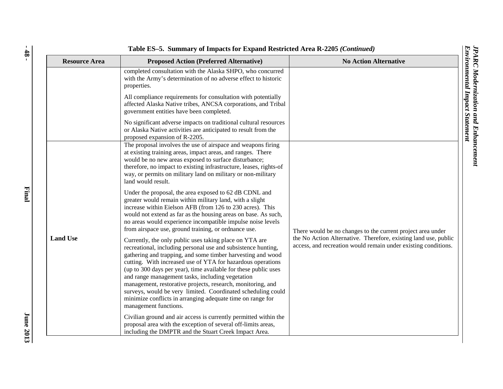| Environmental Impact Statement | JPARC Modernization and Enhancement |
|--------------------------------|-------------------------------------|
|                                |                                     |

| <b>Resource Area</b> | <b>Proposed Action (Preferred Alternative)</b>                                                                                                                                                                                                                                                                                                                                                                                                                                                                                                                                                      | <b>No Action Alternative</b>                                                                                                      |
|----------------------|-----------------------------------------------------------------------------------------------------------------------------------------------------------------------------------------------------------------------------------------------------------------------------------------------------------------------------------------------------------------------------------------------------------------------------------------------------------------------------------------------------------------------------------------------------------------------------------------------------|-----------------------------------------------------------------------------------------------------------------------------------|
|                      | completed consultation with the Alaska SHPO, who concurred<br>with the Army's determination of no adverse effect to historic<br>properties.                                                                                                                                                                                                                                                                                                                                                                                                                                                         |                                                                                                                                   |
|                      | All compliance requirements for consultation with potentially<br>affected Alaska Native tribes, ANCSA corporations, and Tribal<br>government entities have been completed.                                                                                                                                                                                                                                                                                                                                                                                                                          |                                                                                                                                   |
|                      | No significant adverse impacts on traditional cultural resources<br>or Alaska Native activities are anticipated to result from the<br>proposed expansion of R-2205.                                                                                                                                                                                                                                                                                                                                                                                                                                 |                                                                                                                                   |
|                      | The proposal involves the use of airspace and weapons firing<br>at existing training areas, impact areas, and ranges. There<br>would be no new areas exposed to surface disturbance;<br>therefore, no impact to existing infrastructure, leases, rights-of<br>way, or permits on military land on military or non-military<br>land would result.                                                                                                                                                                                                                                                    |                                                                                                                                   |
|                      | Under the proposal, the area exposed to 62 dB CDNL and<br>greater would remain within military land, with a slight<br>increase within Eielson AFB (from 126 to 230 acres). This<br>would not extend as far as the housing areas on base. As such,<br>no areas would experience incompatible impulse noise levels<br>from airspace use, ground training, or ordnance use.                                                                                                                                                                                                                            | There would be no changes to the current project area under                                                                       |
| <b>Land Use</b>      | Currently, the only public uses taking place on YTA are<br>recreational, including personal use and subsistence hunting,<br>gathering and trapping, and some timber harvesting and wood<br>cutting. With increased use of YTA for hazardous operations<br>(up to 300 days per year), time available for these public uses<br>and range management tasks, including vegetation<br>management, restorative projects, research, monitoring, and<br>surveys, would be very limited. Coordinated scheduling could<br>minimize conflicts in arranging adequate time on range for<br>management functions. | the No Action Alternative. Therefore, existing land use, public<br>access, and recreation would remain under existing conditions. |
|                      | Civilian ground and air access is currently permitted within the<br>proposal area with the exception of several off-limits areas,<br>including the DMPTR and the Stuart Creek Impact Area.                                                                                                                                                                                                                                                                                                                                                                                                          |                                                                                                                                   |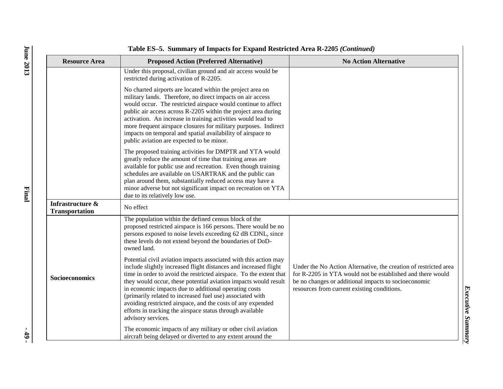| Table ES-5. Summary of Impacts for Expand Restricted Area R-2205 (Continued) |                                                                                                                                                                                                                                                                                                                                                                                                                                                                                                                                                       |                                                                                                                                                                                                                                       |  |
|------------------------------------------------------------------------------|-------------------------------------------------------------------------------------------------------------------------------------------------------------------------------------------------------------------------------------------------------------------------------------------------------------------------------------------------------------------------------------------------------------------------------------------------------------------------------------------------------------------------------------------------------|---------------------------------------------------------------------------------------------------------------------------------------------------------------------------------------------------------------------------------------|--|
| <b>Resource Area</b>                                                         | <b>Proposed Action (Preferred Alternative)</b>                                                                                                                                                                                                                                                                                                                                                                                                                                                                                                        | <b>No Action Alternative</b>                                                                                                                                                                                                          |  |
|                                                                              | Under this proposal, civilian ground and air access would be<br>restricted during activation of R-2205.                                                                                                                                                                                                                                                                                                                                                                                                                                               |                                                                                                                                                                                                                                       |  |
|                                                                              | No charted airports are located within the project area on<br>military lands. Therefore, no direct impacts on air access<br>would occur. The restricted airspace would continue to affect<br>public air access across R-2205 within the project area during<br>activation. An increase in training activities would lead to<br>more frequent airspace closures for military purposes. Indirect<br>impacts on temporal and spatial availability of airspace to<br>public aviation are expected to be minor.                                            |                                                                                                                                                                                                                                       |  |
|                                                                              | The proposed training activities for DMPTR and YTA would<br>greatly reduce the amount of time that training areas are<br>available for public use and recreation. Even though training<br>schedules are available on USARTRAK and the public can<br>plan around them, substantially reduced access may have a<br>minor adverse but not significant impact on recreation on YTA<br>due to its relatively low use.                                                                                                                                      |                                                                                                                                                                                                                                       |  |
| Infrastructure &<br><b>Transportation</b>                                    | No effect                                                                                                                                                                                                                                                                                                                                                                                                                                                                                                                                             |                                                                                                                                                                                                                                       |  |
|                                                                              | The population within the defined census block of the<br>proposed restricted airspace is 166 persons. There would be no<br>persons exposed to noise levels exceeding 62 dB CDNL, since<br>these levels do not extend beyond the boundaries of DoD-<br>owned land.                                                                                                                                                                                                                                                                                     |                                                                                                                                                                                                                                       |  |
| Socioeconomics                                                               | Potential civil aviation impacts associated with this action may<br>include slightly increased flight distances and increased flight<br>time in order to avoid the restricted airspace. To the extent that<br>they would occur, these potential aviation impacts would result<br>in economic impacts due to additional operating costs<br>(primarily related to increased fuel use) associated with<br>avoiding restricted airspace, and the costs of any expended<br>efforts in tracking the airspace status through available<br>advisory services. | Under the No Action Alternative, the creation of restricted area<br>for R-2205 in YTA would not be established and there would<br>be no changes or additional impacts to socioeconomic<br>resources from current existing conditions. |  |
|                                                                              | The economic impacts of any military or other civil aviation<br>aircraft being delayed or diverted to any extent around the                                                                                                                                                                                                                                                                                                                                                                                                                           |                                                                                                                                                                                                                                       |  |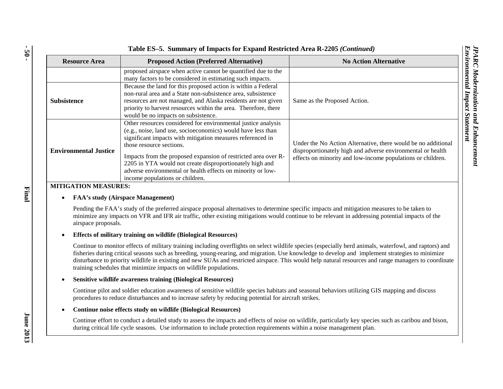| <b>Resource Area</b>         | <b>Proposed Action (Preferred Alternative)</b>                                                                                                                                                                                                                                                                                                                                                                                                          | <b>No Action Alternative</b>                                                                                                                                                                |
|------------------------------|---------------------------------------------------------------------------------------------------------------------------------------------------------------------------------------------------------------------------------------------------------------------------------------------------------------------------------------------------------------------------------------------------------------------------------------------------------|---------------------------------------------------------------------------------------------------------------------------------------------------------------------------------------------|
|                              | proposed airspace when active cannot be quantified due to the<br>many factors to be considered in estimating such impacts.                                                                                                                                                                                                                                                                                                                              |                                                                                                                                                                                             |
| <b>Subsistence</b>           | Because the land for this proposed action is within a Federal<br>non-rural area and a State non-subsistence area, subsistence<br>resources are not managed, and Alaska residents are not given<br>priority to harvest resources within the area. Therefore, there<br>would be no impacts on subsistence.                                                                                                                                                | Same as the Proposed Action.                                                                                                                                                                |
| <b>Environmental Justice</b> | Other resources considered for environmental justice analysis<br>(e.g., noise, land use, socioeconomics) would have less than<br>significant impacts with mitigation measures referenced in<br>those resource sections.<br>Impacts from the proposed expansion of restricted area over R-<br>2205 in YTA would not create disproportionately high and<br>adverse environmental or health effects on minority or low-<br>income populations or children. | Under the No Action Alternative, there would be no additional<br>disproportionately high and adverse environmental or health<br>effects on minority and low-income populations or children. |

### **MITIGATION MEASURES:**

### • **FAA's study (Airspace Management)**

Pending the FAA's study of the preferred airspace proposal alternatives to determine specific impacts and mitigation measures to be taken to minimize any impacts on VFR and IFR air traffic, other existing mitigations would continue to be relevant in addressing potential impacts of the airspace proposals.

### • **Effects of military training on wildlife (Biological Resources)**

Continue to monitor effects of military training including overflights on select wildlife species (especially herd animals, waterfowl, and raptors) and fisheries during critical seasons such as breeding, young-rearing, and migration. Use knowledge to develop and implement strategies to minimize disturbance to priority wildlife in existing and new SUAs and restricted airspace. This would help natural resources and range managers to coordinate training schedules that minimize impacts on wildlife populations.

### • **Sensitive wildlife awareness training (Biological Resources)**

Continue pilot and soldier education awareness of sensitive wildlife species habitats and seasonal behaviors utilizing GIS mapping and discuss procedures to reduce disturbances and to increase safety by reducing potential for aircraft strikes.

### • **Continue noise effects study on wildlife (Biological Resources)**

Continue effort to conduct a detailed study to assess the impacts and effects of noise on wildlife, particularly key species such as caribou and bison, during critical life cycle seasons. Use information to include protection requirements within a noise management plan.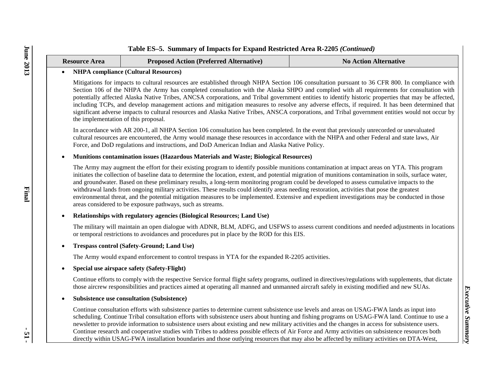## **Table ES–5. Summary of Impacts for Expand Restricted Area R-2205** *(Continued)*

| <b>Resource Area</b> | <b>Proposed Action (Preferred Alternative)</b> | <b>No Action Alternative</b> |
|----------------------|------------------------------------------------|------------------------------|
|                      |                                                |                              |

### • **NHPA compliance (Cultural Resources)**

Mitigations for impacts to cultural resources are established through NHPA Section 106 consultation pursuant to 36 CFR 800. In compliance with Section 106 of the NHPA the Army has completed consultation with the Alaska SHPO and complied with all requirements for consultation with potentially affected Alaska Native Tribes, ANCSA corporations, and Tribal government entities to identify historic properties that may be affected, including TCPs, and develop management actions and mitigation measures to resolve any adverse effects, if required. It has been determined that significant adverse impacts to cultural resources and Alaska Native Tribes, ANSCA corporations, and Tribal government entities would not occur by the implementation of this proposal.

In accordance with AR 200-1, all NHPA Section 106 consultation has been completed. In the event that previously unrecorded or unevaluated cultural resources are encountered, the Army would manage these resources in accordance with the NHPA and other Federal and state laws, Air Force, and DoD regulations and instructions, and DoD American Indian and Alaska Native Policy.

### • **Munitions contamination issues (Hazardous Materials and Waste; Biological Resources)**

The Army may augment the effort for their existing program to identify possible munitions contamination at impact areas on YTA. This program initiates the collection of baseline data to determine the location, extent, and potential migration of munitions contamination in soils, surface water, and groundwater. Based on these preliminary results, a long-term monitoring program could be developed to assess cumulative impacts to the withdrawal lands from ongoing military activities. These results could identify areas needing restoration, activities that pose the greatest environmental threat, and the potential mitigation measures to be implemented. Extensive and expedient investigations may be conducted in those areas considered to be exposure pathways, such as streams.

### • **Relationships with regulatory agencies (Biological Resources; Land Use)**

The military will maintain an open dialogue with ADNR, BLM, ADFG, and USFWS to assess current conditions and needed adjustments in locations or temporal restrictions to avoidances and procedures put in place by the ROD for this EIS.

### • **Trespass control (Safety-Ground; Land Use)**

The Army would expand enforcement to control trespass in YTA for the expanded R-2205 activities.

### • **Special use airspace safety (Safety-Flight)**

Continue efforts to comply with the respective Service formal flight safety programs, outlined in directives/regulations with supplements, that dictate those aircrew responsibilities and practices aimed at operating all manned and unmanned aircraft safely in existing modified and new SUAs.

### • **Subsistence use consultation (Subsistence)**

Continue consultation efforts with subsistence parties to determine current subsistence use levels and areas on USAG-FWA lands as input into scheduling. Continue Tribal consultation efforts with subsistence users about hunting and fishing programs on USAG-FWA land. Continue to use a newsletter to provide information to subsistence users about existing and new military activities and the changes in access for subsistence users. Continue research and cooperative studies with Tribes to address possible effects of Air Force and Army activities on subsistence resources both directly within USAG-FWA installation boundaries and those outlying resources that may also be affected by military activities on DTA-West,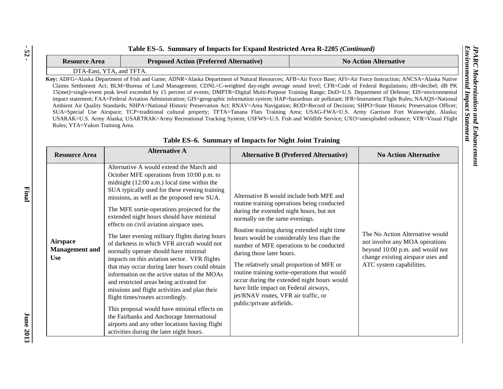# Table ES–5. Summary of Impacts for Expand Restricted Area R-2205 *(Continued)*<br>
Perspected Article 2nd Article 2nd Article 2nd Article 2nd Article 2nd Article 2nd Article 2nd Article 2nd Article 2nd Article 2nd Article 2nd

| <b>Resource Area</b>     | <b>Proposed Action (Preferred Alternative)</b> |  | <b>No Action Alternative</b> |  |  |                                                                                                                                                                                                                                                                                                                                            |  |  |
|--------------------------|------------------------------------------------|--|------------------------------|--|--|--------------------------------------------------------------------------------------------------------------------------------------------------------------------------------------------------------------------------------------------------------------------------------------------------------------------------------------------|--|--|
| DTA-East, YTA, and TFTA. |                                                |  |                              |  |  |                                                                                                                                                                                                                                                                                                                                            |  |  |
|                          |                                                |  |                              |  |  | $\overline{1}$ , the contract of the contract $\overline{1}$ , $\overline{1}$ , $\overline{1}$ , $\overline{1}$ , $\overline{1}$ , $\overline{1}$ , $\overline{1}$ , $\overline{1}$ , $\overline{1}$ , $\overline{1}$ , $\overline{1}$ , $\overline{1}$ , $\overline{1}$ , $\overline{1}$ , $\overline{1}$ , $\overline{1}$ , $\overline{$ |  |  |

**Key:** ADFG=Alaska Department of Fish and Game; ADNR=Alaska Department of Natural Resources; AFB=Air Force Base; AFI=Air Force Instruction; ANCSA=Alaska Native Claims Settlement Act; BLM=Bureau of Land Management; CDNL=C-weighted day-night average sound level; CFR=Code of Federal Regulations; dB=decibel; dB PK 15(met)=single-event peak level exceeded by 15 percent of events; DMPTR=Digital Multi-Purpose Training Range; DoD=U.S. Department of Defense; EIS=environmental impact statement; FAA=Federal Aviation Administration; GIS=geographic information system; HAP=hazardous air pollutant; IFR=Instrument Flight Rules; NAAQS=National Ambient Air Quality Standards; NHPA=National Historic Preservation Act; RNAV=Area Navigation; ROD=Record of Decision; SHPO=State Historic Preservation Officer; SUA=Special Use Airspace; TCP=traditional cultural property; TFTA=Tanana Flats Training Area; USAG-FWA=U.S. Army Garrison Fort Wainwright, Alaska; USARAK=U.S. Army Alaska; USARTRAK=Army Recreational Tracking System; USFWS=U.S. Fish and Wildlife Service; UXO=unexploded ordnance; VFR=Visual Flight Rules; YTA=Yukon Training Area.

| <b>Resource Area</b>                                   | <b>Alternative A</b>                                                                                                                                                                                                                                                                                                                                                                                                                                                                                                                                                                                                                                                                                                                                                                                                                                                                                                                                                                              | <b>Alternative B (Preferred Alternative)</b>                                                                                                                                                                                                                                                                                                                                                                                                                                                                                                                                                           | <b>No Action Alternative</b>                                                                                                                                          |
|--------------------------------------------------------|---------------------------------------------------------------------------------------------------------------------------------------------------------------------------------------------------------------------------------------------------------------------------------------------------------------------------------------------------------------------------------------------------------------------------------------------------------------------------------------------------------------------------------------------------------------------------------------------------------------------------------------------------------------------------------------------------------------------------------------------------------------------------------------------------------------------------------------------------------------------------------------------------------------------------------------------------------------------------------------------------|--------------------------------------------------------------------------------------------------------------------------------------------------------------------------------------------------------------------------------------------------------------------------------------------------------------------------------------------------------------------------------------------------------------------------------------------------------------------------------------------------------------------------------------------------------------------------------------------------------|-----------------------------------------------------------------------------------------------------------------------------------------------------------------------|
| <b>Airspace</b><br><b>Management</b> and<br><b>Use</b> | Alternative A would extend the March and<br>October MFE operations from 10:00 p.m. to<br>midnight (12:00 a.m.) local time within the<br>SUA typically used for these evening training<br>missions, as well as the proposed new SUA.<br>The MFE sortie-operations projected for the<br>extended night hours should have minimal<br>effects on civil aviation airspace uses.<br>The later evening military flights during hours<br>of darkness in which VFR aircraft would not<br>normally operate should have minimal<br>impacts on this aviation sector. VFR flights<br>that may occur during later hours could obtain<br>information on the active status of the MOAs<br>and restricted areas being activated for<br>missions and flight activities and plan their<br>flight times/routes accordingly.<br>This proposal would have minimal effects on<br>the Fairbanks and Anchorage International<br>airports and any other locations having flight<br>activities during the later night hours. | Alternative B would include both MFE and<br>routine training operations being conducted<br>during the extended night hours, but not<br>normally on the same evenings.<br>Routine training during extended night time<br>hours would be considerably less than the<br>number of MFE operations to be conducted<br>during those later hours.<br>The relatively small proportion of MFE or<br>routine training sortie-operations that would<br>occur during the extended night hours would<br>have little impact on Federal airways,<br>jet/RNAV routes, VFR air traffic, or<br>public/private airfields. | The No Action Alternative would<br>not involve any MOA operations<br>beyond 10:00 p.m. and would not<br>change existing airspace uses and<br>ATC system capabilities. |

# **Table ES–6. Summary of Impacts for Night Joint Training**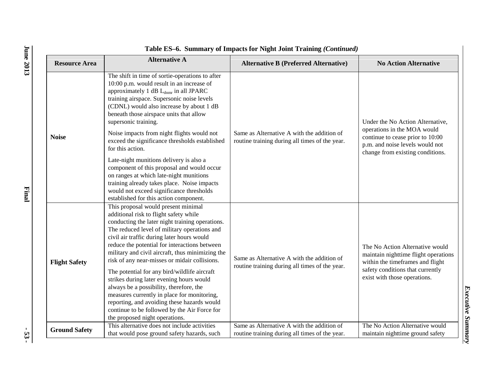| <b>Resource Area</b> | <b>Alternative A</b>                                                                                                                                                                                                                                                                                                                                                                                                                                                                                                                                                                                                                                                                                        | <b>Alternative B (Preferred Alternative)</b>                                                 | <b>No Action Alternative</b>                                                                                                                                                    |  |
|----------------------|-------------------------------------------------------------------------------------------------------------------------------------------------------------------------------------------------------------------------------------------------------------------------------------------------------------------------------------------------------------------------------------------------------------------------------------------------------------------------------------------------------------------------------------------------------------------------------------------------------------------------------------------------------------------------------------------------------------|----------------------------------------------------------------------------------------------|---------------------------------------------------------------------------------------------------------------------------------------------------------------------------------|--|
| <b>Noise</b>         | The shift in time of sortie-operations to after<br>10:00 p.m. would result in an increase of<br>approximately 1 dB L <sub>dnmr</sub> in all JPARC<br>training airspace. Supersonic noise levels<br>(CDNL) would also increase by about 1 dB<br>beneath those airspace units that allow<br>supersonic training.<br>Noise impacts from night flights would not                                                                                                                                                                                                                                                                                                                                                | Same as Alternative A with the addition of                                                   | Under the No Action Alternative,<br>operations in the MOA would<br>continue to cease prior to 10:00                                                                             |  |
|                      | exceed the significance thresholds established<br>for this action.                                                                                                                                                                                                                                                                                                                                                                                                                                                                                                                                                                                                                                          | routine training during all times of the year.                                               | p.m. and noise levels would not<br>change from existing conditions.                                                                                                             |  |
|                      | Late-night munitions delivery is also a<br>component of this proposal and would occur<br>on ranges at which late-night munitions<br>training already takes place. Noise impacts<br>would not exceed significance thresholds<br>established for this action component.                                                                                                                                                                                                                                                                                                                                                                                                                                       |                                                                                              |                                                                                                                                                                                 |  |
| <b>Flight Safety</b> | This proposal would present minimal<br>additional risk to flight safety while<br>conducting the later night training operations.<br>The reduced level of military operations and<br>civil air traffic during later hours would<br>reduce the potential for interactions between<br>military and civil aircraft, thus minimizing the<br>risk of any near-misses or midair collisions.<br>The potential for any bird/wildlife aircraft<br>strikes during later evening hours would<br>always be a possibility, therefore, the<br>measures currently in place for monitoring,<br>reporting, and avoiding these hazards would<br>continue to be followed by the Air Force for<br>the proposed night operations. | Same as Alternative A with the addition of<br>routine training during all times of the year. | The No Action Alternative would<br>maintain nighttime flight operations<br>within the timeframes and flight<br>safety conditions that currently<br>exist with those operations. |  |
| <b>Ground Safety</b> | This alternative does not include activities<br>that would pose ground safety hazards, such                                                                                                                                                                                                                                                                                                                                                                                                                                                                                                                                                                                                                 | Same as Alternative A with the addition of<br>routine training during all times of the year. | The No Action Alternative would<br>maintain nighttime ground safety                                                                                                             |  |

# **Table ES–6. Summary of Impacts for Night Joint Training** *(Continued)*

**- 53 -**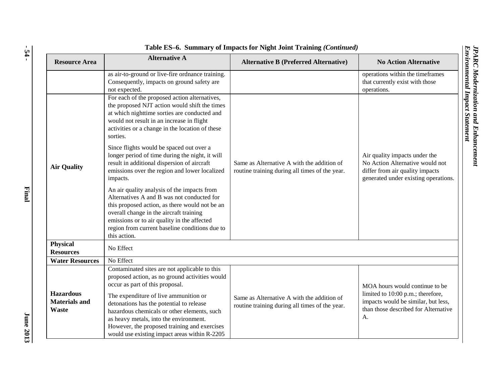|          |                                                          | Table ES-6. Summary of Impacts for Night Joint Training (Continued)                                                                                                                                                                                                                                                                                                                                               |                                                                                              |                                                                                                                                                          |  |  |  |
|----------|----------------------------------------------------------|-------------------------------------------------------------------------------------------------------------------------------------------------------------------------------------------------------------------------------------------------------------------------------------------------------------------------------------------------------------------------------------------------------------------|----------------------------------------------------------------------------------------------|----------------------------------------------------------------------------------------------------------------------------------------------------------|--|--|--|
| 54-      | <b>Resource Area</b>                                     | <b>Alternative A</b>                                                                                                                                                                                                                                                                                                                                                                                              | <b>Alternative B (Preferred Alternative)</b>                                                 | <b>No Action Alternative</b>                                                                                                                             |  |  |  |
|          |                                                          | as air-to-ground or live-fire ordnance training.<br>Consequently, impacts on ground safety are<br>not expected.                                                                                                                                                                                                                                                                                                   |                                                                                              | operations within the timeframes<br>that currently exist with those<br>operations.                                                                       |  |  |  |
|          |                                                          | For each of the proposed action alternatives,<br>the proposed NJT action would shift the times<br>at which nighttime sorties are conducted and<br>would not result in an increase in flight<br>activities or a change in the location of these<br>sorties.                                                                                                                                                        |                                                                                              |                                                                                                                                                          |  |  |  |
| Final    | <b>Air Quality</b><br>impacts.                           | Since flights would be spaced out over a<br>longer period of time during the night, it will<br>result in additional dispersion of aircraft<br>emissions over the region and lower localized                                                                                                                                                                                                                       | Same as Alternative A with the addition of<br>routine training during all times of the year. | Air quality impacts under the<br>No Action Alternative would not<br>differ from air quality impacts<br>generated under existing operations.              |  |  |  |
|          |                                                          | An air quality analysis of the impacts from<br>Alternatives A and B was not conducted for<br>this proposed action, as there would not be an<br>overall change in the aircraft training<br>emissions or to air quality in the affected<br>region from current baseline conditions due to<br>this action.                                                                                                           |                                                                                              |                                                                                                                                                          |  |  |  |
|          | Physical<br><b>Resources</b>                             | No Effect                                                                                                                                                                                                                                                                                                                                                                                                         |                                                                                              |                                                                                                                                                          |  |  |  |
|          | <b>Water Resources</b>                                   | No Effect                                                                                                                                                                                                                                                                                                                                                                                                         |                                                                                              |                                                                                                                                                          |  |  |  |
| June 201 | <b>Hazardous</b><br><b>Materials and</b><br><b>Waste</b> | Contaminated sites are not applicable to this<br>proposed action, as no ground activities would<br>occur as part of this proposal.<br>The expenditure of live ammunition or<br>detonations has the potential to release<br>hazardous chemicals or other elements, such<br>as heavy metals, into the environment.<br>However, the proposed training and exercises<br>would use existing impact areas within R-2205 | Same as Alternative A with the addition of<br>routine training during all times of the year. | MOA hours would continue to be<br>limited to 10:00 p.m.; therefore,<br>impacts would be similar, but less,<br>than those described for Alternative<br>A. |  |  |  |

*Environmental Impact Statement*

*JPARC Modernization and Enhancement*

JPARC Modernization and Enhancement<br>Environmental Impact Statement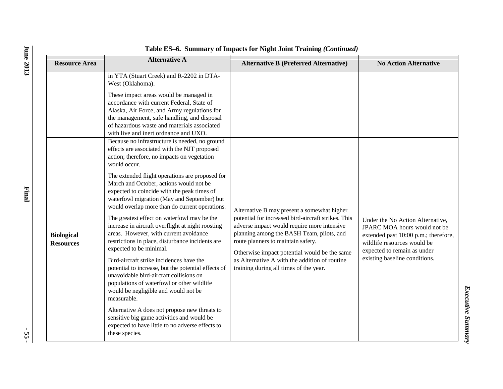| <b>Resource Area</b>                  | <b>Alternative A</b>                                                                                                                                                                                                                                                                                                                                                                                                                                                                                                                                                                                                                                                                                                                                                                                                                                                                                                                                                                                                                                                                                      | <b>Alternative B (Preferred Alternative)</b>                                                                                                                                                                                                                                                                                                                                    | <b>No Action Alternative</b>                                                                                                                                                                            |
|---------------------------------------|-----------------------------------------------------------------------------------------------------------------------------------------------------------------------------------------------------------------------------------------------------------------------------------------------------------------------------------------------------------------------------------------------------------------------------------------------------------------------------------------------------------------------------------------------------------------------------------------------------------------------------------------------------------------------------------------------------------------------------------------------------------------------------------------------------------------------------------------------------------------------------------------------------------------------------------------------------------------------------------------------------------------------------------------------------------------------------------------------------------|---------------------------------------------------------------------------------------------------------------------------------------------------------------------------------------------------------------------------------------------------------------------------------------------------------------------------------------------------------------------------------|---------------------------------------------------------------------------------------------------------------------------------------------------------------------------------------------------------|
|                                       | in YTA (Stuart Creek) and R-2202 in DTA-<br>West (Oklahoma).<br>These impact areas would be managed in<br>accordance with current Federal, State of<br>Alaska, Air Force, and Army regulations for<br>the management, safe handling, and disposal<br>of hazardous waste and materials associated                                                                                                                                                                                                                                                                                                                                                                                                                                                                                                                                                                                                                                                                                                                                                                                                          |                                                                                                                                                                                                                                                                                                                                                                                 |                                                                                                                                                                                                         |
| <b>Biological</b><br><b>Resources</b> | with live and inert ordnance and UXO.<br>Because no infrastructure is needed, no ground<br>effects are associated with the NJT proposed<br>action; therefore, no impacts on vegetation<br>would occur.<br>The extended flight operations are proposed for<br>March and October, actions would not be<br>expected to coincide with the peak times of<br>waterfowl migration (May and September) but<br>would overlap more than do current operations.<br>The greatest effect on waterfowl may be the<br>increase in aircraft overflight at night roosting<br>areas. However, with current avoidance<br>restrictions in place, disturbance incidents are<br>expected to be minimal.<br>Bird-aircraft strike incidences have the<br>potential to increase, but the potential effects of<br>unavoidable bird-aircraft collisions on<br>populations of waterfowl or other wildlife<br>would be negligible and would not be<br>measurable.<br>Alternative A does not propose new threats to<br>sensitive big game activities and would be<br>expected to have little to no adverse effects to<br>these species. | Alternative B may present a somewhat higher<br>potential for increased bird-aircraft strikes. This<br>adverse impact would require more intensive<br>planning among the BASH Team, pilots, and<br>route planners to maintain safety.<br>Otherwise impact potential would be the same<br>as Alternative A with the addition of routine<br>training during all times of the year. | Under the No Action Alternative,<br>JPARC MOA hours would not be<br>extended past 10:00 p.m.; therefore,<br>wildlife resources would be<br>expected to remain as under<br>existing baseline conditions. |

## **Table ES–6. Summary of Impacts for Night Joint Training** *(Continued)*

-<br>55<br>-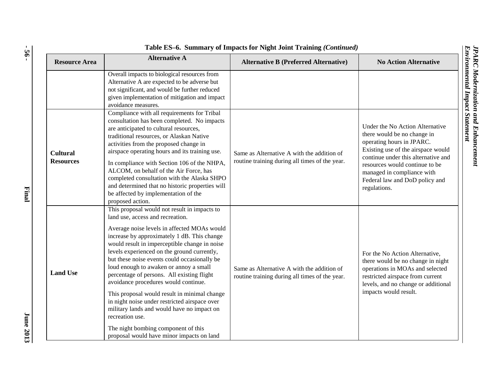|          | Table ES-6. Summary of Impacts for Night Joint Training (Continued) |                                                                                                                                                                                                                                                                                                                                                                                                                                                                                                                                                                                                                                                                                                                      |                                                                                              |                                                                                                                                                                                                                                                                                            |  |  |
|----------|---------------------------------------------------------------------|----------------------------------------------------------------------------------------------------------------------------------------------------------------------------------------------------------------------------------------------------------------------------------------------------------------------------------------------------------------------------------------------------------------------------------------------------------------------------------------------------------------------------------------------------------------------------------------------------------------------------------------------------------------------------------------------------------------------|----------------------------------------------------------------------------------------------|--------------------------------------------------------------------------------------------------------------------------------------------------------------------------------------------------------------------------------------------------------------------------------------------|--|--|
| -99      | <b>Resource Area</b>                                                | <b>Alternative A</b>                                                                                                                                                                                                                                                                                                                                                                                                                                                                                                                                                                                                                                                                                                 | <b>Alternative B (Preferred Alternative)</b>                                                 | <b>No Action Alternative</b>                                                                                                                                                                                                                                                               |  |  |
|          |                                                                     | Overall impacts to biological resources from<br>Alternative A are expected to be adverse but<br>not significant, and would be further reduced<br>given implementation of mitigation and impact<br>avoidance measures.                                                                                                                                                                                                                                                                                                                                                                                                                                                                                                |                                                                                              |                                                                                                                                                                                                                                                                                            |  |  |
| Final    | <b>Cultural</b><br><b>Resources</b>                                 | Compliance with all requirements for Tribal<br>consultation has been completed. No impacts<br>are anticipated to cultural resources,<br>traditional resources, or Alaskan Native<br>activities from the proposed change in<br>airspace operating hours and its training use.<br>In compliance with Section 106 of the NHPA,<br>ALCOM, on behalf of the Air Force, has<br>completed consultation with the Alaska SHPO<br>and determined that no historic properties will<br>be affected by implementation of the<br>proposed action.                                                                                                                                                                                  | Same as Alternative A with the addition of<br>routine training during all times of the year. | Under the No Action Alternative<br>there would be no change in<br>operating hours in JPARC.<br>Existing use of the airspace would<br>continue under this alternative and<br>resources would continue to be<br>managed in compliance with<br>Federal law and DoD policy and<br>regulations. |  |  |
| June 201 | <b>Land Use</b>                                                     | This proposal would not result in impacts to<br>land use, access and recreation.<br>Average noise levels in affected MOAs would<br>increase by approximately 1 dB. This change<br>would result in imperceptible change in noise<br>levels experienced on the ground currently,<br>but these noise events could occasionally be<br>loud enough to awaken or annoy a small<br>percentage of persons. All existing flight<br>avoidance procedures would continue.<br>This proposal would result in minimal change<br>in night noise under restricted airspace over<br>military lands and would have no impact on<br>recreation use.<br>The night bombing component of this<br>proposal would have minor impacts on land | Same as Alternative A with the addition of<br>routine training during all times of the year. | For the No Action Alternative,<br>there would be no change in night<br>operations in MOAs and selected<br>restricted airspace from current<br>levels, and no change or additional<br>impacts would result.                                                                                 |  |  |

*Environmental Impact Statement*

*JPARC Modernization and Enhancement*

JPARC Modernization and Enhancement<br>Environmental Impact Statement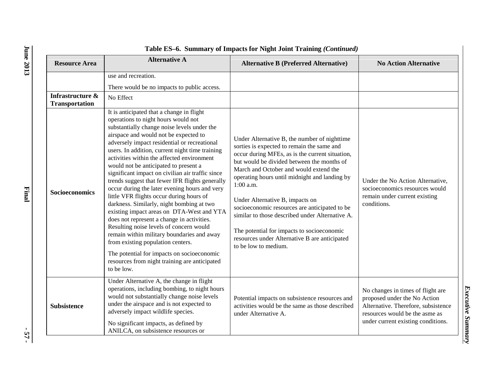| <b>Resource Area</b>                                        | <b>Alternative A</b>                                                                                                                                                                                                                                                                                                                                                                                                                                                                                                                                                                                                                                                                                                                                                                                                                                                                                                                                                                                                                         | <b>Alternative B (Preferred Alternative)</b>                                                                                                                                                                                                                                                                                                                                                                                                                                                                                                                        | <b>No Action Alternative</b>                                                                                                                                                     |
|-------------------------------------------------------------|----------------------------------------------------------------------------------------------------------------------------------------------------------------------------------------------------------------------------------------------------------------------------------------------------------------------------------------------------------------------------------------------------------------------------------------------------------------------------------------------------------------------------------------------------------------------------------------------------------------------------------------------------------------------------------------------------------------------------------------------------------------------------------------------------------------------------------------------------------------------------------------------------------------------------------------------------------------------------------------------------------------------------------------------|---------------------------------------------------------------------------------------------------------------------------------------------------------------------------------------------------------------------------------------------------------------------------------------------------------------------------------------------------------------------------------------------------------------------------------------------------------------------------------------------------------------------------------------------------------------------|----------------------------------------------------------------------------------------------------------------------------------------------------------------------------------|
| Infrastructure &<br><b>Transportation</b><br>Socioeconomics | use and recreation.<br>There would be no impacts to public access.<br>No Effect<br>It is anticipated that a change in flight<br>operations to night hours would not<br>substantially change noise levels under the<br>airspace and would not be expected to<br>adversely impact residential or recreational<br>users. In addition, current night time training<br>activities within the affected environment<br>would not be anticipated to present a<br>significant impact on civilian air traffic since<br>trends suggest that fewer IFR flights generally<br>occur during the later evening hours and very<br>little VFR flights occur during hours of<br>darkness. Similarly, night bombing at two<br>existing impact areas on DTA-West and YTA<br>does not represent a change in activities.<br>Resulting noise levels of concern would<br>remain within military boundaries and away<br>from existing population centers.<br>The potential for impacts on socioeconomic<br>resources from night training are anticipated<br>to be low. | Under Alternative B, the number of nighttime<br>sorties is expected to remain the same and<br>occur during MFEs, as is the current situation,<br>but would be divided between the months of<br>March and October and would extend the<br>operating hours until midnight and landing by<br>$1:00$ a.m.<br>Under Alternative B, impacts on<br>socioeconomic resources are anticipated to be<br>similar to those described under Alternative A.<br>The potential for impacts to socioeconomic<br>resources under Alternative B are anticipated<br>to be low to medium. | Under the No Action Alternative,<br>socioeconomics resources would<br>remain under current existing<br>conditions.                                                               |
| <b>Subsistence</b>                                          | Under Alternative A, the change in flight<br>operations, including bombing, to night hours<br>would not substantially change noise levels<br>under the airspace and is not expected to<br>adversely impact wildlife species.<br>No significant impacts, as defined by<br>ANILCA, on subsistence resources or                                                                                                                                                                                                                                                                                                                                                                                                                                                                                                                                                                                                                                                                                                                                 | Potential impacts on subsistence resources and<br>activities would be the same as those described<br>under Alternative A.                                                                                                                                                                                                                                                                                                                                                                                                                                           | No changes in times of flight are<br>proposed under the No Action<br>Alternative. Therefore, subsistence<br>resources would be the asme as<br>under current existing conditions. |

# **Table ES–6. Summary of Impacts for Night Joint Training** *(Continued)*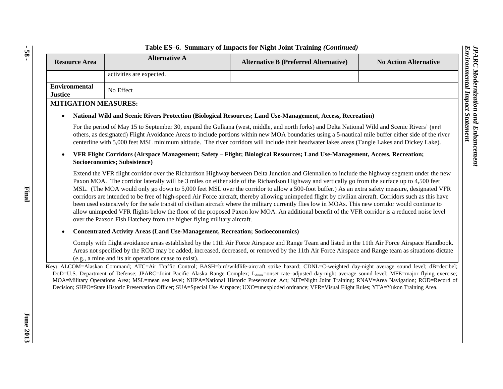|  |  |  |  | Table ES-6. Summary of Impacts for Night Joint Training (Continued) |
|--|--|--|--|---------------------------------------------------------------------|
|--|--|--|--|---------------------------------------------------------------------|

| <b>Resource Area</b>                                                                                                                                                                                                                                                                                                                                                                                                                                                                                                                                                                                                                                                                                                                                                                                                                                                                                                                                                                                                                                                                                                                                                     | <b>Alternative A</b>                                                                 | <b>Alternative B (Preferred Alternative)</b>                                                                                                                                                                                                                                                                                                                                                                                                         | <b>No Action Alternative</b> |  |
|--------------------------------------------------------------------------------------------------------------------------------------------------------------------------------------------------------------------------------------------------------------------------------------------------------------------------------------------------------------------------------------------------------------------------------------------------------------------------------------------------------------------------------------------------------------------------------------------------------------------------------------------------------------------------------------------------------------------------------------------------------------------------------------------------------------------------------------------------------------------------------------------------------------------------------------------------------------------------------------------------------------------------------------------------------------------------------------------------------------------------------------------------------------------------|--------------------------------------------------------------------------------------|------------------------------------------------------------------------------------------------------------------------------------------------------------------------------------------------------------------------------------------------------------------------------------------------------------------------------------------------------------------------------------------------------------------------------------------------------|------------------------------|--|
|                                                                                                                                                                                                                                                                                                                                                                                                                                                                                                                                                                                                                                                                                                                                                                                                                                                                                                                                                                                                                                                                                                                                                                          | activities are expected.                                                             |                                                                                                                                                                                                                                                                                                                                                                                                                                                      |                              |  |
| <b>Environmental</b><br><b>Justice</b>                                                                                                                                                                                                                                                                                                                                                                                                                                                                                                                                                                                                                                                                                                                                                                                                                                                                                                                                                                                                                                                                                                                                   | No Effect                                                                            |                                                                                                                                                                                                                                                                                                                                                                                                                                                      |                              |  |
| <b>MITIGATION MEASURES:</b>                                                                                                                                                                                                                                                                                                                                                                                                                                                                                                                                                                                                                                                                                                                                                                                                                                                                                                                                                                                                                                                                                                                                              |                                                                                      |                                                                                                                                                                                                                                                                                                                                                                                                                                                      |                              |  |
| $\bullet$                                                                                                                                                                                                                                                                                                                                                                                                                                                                                                                                                                                                                                                                                                                                                                                                                                                                                                                                                                                                                                                                                                                                                                |                                                                                      | National Wild and Scenic Rivers Protection (Biological Resources; Land Use-Management, Access, Recreation)                                                                                                                                                                                                                                                                                                                                           |                              |  |
|                                                                                                                                                                                                                                                                                                                                                                                                                                                                                                                                                                                                                                                                                                                                                                                                                                                                                                                                                                                                                                                                                                                                                                          |                                                                                      | For the period of May 15 to September 30, expand the Gulkana (west, middle, and north forks) and Delta National Wild and Scenic Rivers' (and<br>others, as designated) Flight Avoidance Areas to include portions within new MOA boundaries using a 5-nautical mile buffer either side of the river<br>centerline with 5,000 feet MSL minimum altitude. The river corridors will include their headwater lakes areas (Tangle Lakes and Dickey Lake). |                              |  |
| VFR Flight Corridors (Airspace Management; Safety - Flight; Biological Resources; Land Use-Management, Access, Recreation;<br>$\bullet$<br>Socioeconomics; Subsistence)<br>Extend the VFR flight corridor over the Richardson Highway between Delta Junction and Glennallen to include the highway segment under the new<br>Paxon MOA. The corridor laterally will be 3 miles on either side of the Richardson Highway and vertically go from the surface up to 4,500 feet<br>MSL. (The MOA would only go down to 5,000 feet MSL over the corridor to allow a 500-foot buffer.) As an extra safety measure, designated VFR<br>corridors are intended to be free of high-speed Air Force aircraft, thereby allowing unimpeded flight by civilian aircraft. Corridors such as this have<br>been used extensively for the safe transit of civilian aircraft where the military currently flies low in MOAs. This new corridor would continue to<br>allow unimpeded VFR flights below the floor of the proposed Paxon low MOA. An additional benefit of the VFR corridor is a reduced noise level<br>over the Paxson Fish Hatchery from the higher flying military aircraft. |                                                                                      |                                                                                                                                                                                                                                                                                                                                                                                                                                                      |                              |  |
|                                                                                                                                                                                                                                                                                                                                                                                                                                                                                                                                                                                                                                                                                                                                                                                                                                                                                                                                                                                                                                                                                                                                                                          |                                                                                      |                                                                                                                                                                                                                                                                                                                                                                                                                                                      |                              |  |
| $\bullet$                                                                                                                                                                                                                                                                                                                                                                                                                                                                                                                                                                                                                                                                                                                                                                                                                                                                                                                                                                                                                                                                                                                                                                | <b>Concentrated Activity Areas (Land Use-Management, Recreation; Socioeconomics)</b> |                                                                                                                                                                                                                                                                                                                                                                                                                                                      |                              |  |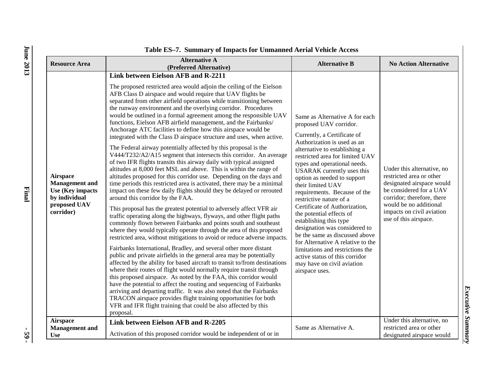| Table ES-7. Summary of Impacts for Unmanned Aerial Vehicle Access                                          |                                                                                                                                                                                                                                                                                                                                                                                                                                                                                                                                                                                                                                                                                                                                                                                                                                                                                                                                                                                                                                                                                                                                                                                                                                                                                                                                                                                                                                                                                                                                                                                                                                                                                                                                                                                                                                                                                                                                                                                                                                                                                                                                                                                                       |                                                                                                                                                                                                                                                                                                                                                                                                                                                                                                                                                                                                                                                                                              |                                                                                                                                                                                                                              |  |
|------------------------------------------------------------------------------------------------------------|-------------------------------------------------------------------------------------------------------------------------------------------------------------------------------------------------------------------------------------------------------------------------------------------------------------------------------------------------------------------------------------------------------------------------------------------------------------------------------------------------------------------------------------------------------------------------------------------------------------------------------------------------------------------------------------------------------------------------------------------------------------------------------------------------------------------------------------------------------------------------------------------------------------------------------------------------------------------------------------------------------------------------------------------------------------------------------------------------------------------------------------------------------------------------------------------------------------------------------------------------------------------------------------------------------------------------------------------------------------------------------------------------------------------------------------------------------------------------------------------------------------------------------------------------------------------------------------------------------------------------------------------------------------------------------------------------------------------------------------------------------------------------------------------------------------------------------------------------------------------------------------------------------------------------------------------------------------------------------------------------------------------------------------------------------------------------------------------------------------------------------------------------------------------------------------------------------|----------------------------------------------------------------------------------------------------------------------------------------------------------------------------------------------------------------------------------------------------------------------------------------------------------------------------------------------------------------------------------------------------------------------------------------------------------------------------------------------------------------------------------------------------------------------------------------------------------------------------------------------------------------------------------------------|------------------------------------------------------------------------------------------------------------------------------------------------------------------------------------------------------------------------------|--|
| <b>Resource Area</b>                                                                                       | <b>Alternative A</b><br>(Preferred Alternative)                                                                                                                                                                                                                                                                                                                                                                                                                                                                                                                                                                                                                                                                                                                                                                                                                                                                                                                                                                                                                                                                                                                                                                                                                                                                                                                                                                                                                                                                                                                                                                                                                                                                                                                                                                                                                                                                                                                                                                                                                                                                                                                                                       | <b>Alternative B</b>                                                                                                                                                                                                                                                                                                                                                                                                                                                                                                                                                                                                                                                                         | <b>No Action Alternative</b>                                                                                                                                                                                                 |  |
| <b>Airspace</b><br><b>Management</b> and<br>Use (Key impacts<br>by individual<br>proposed UAV<br>corridor) | Link between Eielson AFB and R-2211<br>The proposed restricted area would adjoin the ceiling of the Eielson<br>AFB Class D airspace and would require that UAV flights be<br>separated from other airfield operations while transitioning between<br>the runway environment and the overlying corridor. Procedures<br>would be outlined in a formal agreement among the responsible UAV<br>functions, Eielson AFB airfield management, and the Fairbanks/<br>Anchorage ATC facilities to define how this airspace would be<br>integrated with the Class D airspace structure and uses, when active.<br>The Federal airway potentially affected by this proposal is the<br>V444/T232/A2/A15 segment that intersects this corridor. An average<br>of two IFR flights transits this airway daily with typical assigned<br>altitudes at 8,000 feet MSL and above. This is within the range of<br>altitudes proposed for this corridor use. Depending on the days and<br>time periods this restricted area is activated, there may be a minimal<br>impact on these few daily flights should they be delayed or rerouted<br>around this corridor by the FAA.<br>This proposal has the greatest potential to adversely affect VFR air<br>traffic operating along the highways, flyways, and other flight paths<br>commonly flown between Fairbanks and points south and southeast<br>where they would typically operate through the area of this proposed<br>restricted area, without mitigations to avoid or reduce adverse impacts.<br>Fairbanks International, Bradley, and several other more distant<br>public and private airfields in the general area may be potentially<br>affected by the ability for based aircraft to transit to/from destinations<br>where their routes of flight would normally require transit through<br>this proposed airspace. As noted by the FAA, this corridor would<br>have the potential to affect the routing and sequencing of Fairbanks<br>arriving and departing traffic. It was also noted that the Fairbanks<br>TRACON airspace provides flight training opportunities for both<br>VFR and IFR flight training that could be also affected by this<br>proposal. | Same as Alternative A for each<br>proposed UAV corridor.<br>Currently, a Certificate of<br>Authorization is used as an<br>alternative to establishing a<br>restricted area for limited UAV<br>types and operational needs.<br>USARAK currently uses this<br>option as needed to support<br>their limited UAV<br>requirements. Because of the<br>restrictive nature of a<br>Certificate of Authorization,<br>the potential effects of<br>establishing this type<br>designation was considered to<br>be the same as discussed above<br>for Alternative A relative to the<br>limitations and restrictions the<br>active status of this corridor<br>may have on civil aviation<br>airspace uses. | Under this alternative, no<br>restricted area or other<br>designated airspace would<br>be considered for a UAV<br>corridor; therefore, there<br>would be no additional<br>impacts on civil aviation<br>use of this airspace. |  |
| <b>Airspace</b><br><b>Management</b> and<br><b>Use</b>                                                     | Link between Eielson AFB and R-2205<br>Activation of this proposed corridor would be independent of or in                                                                                                                                                                                                                                                                                                                                                                                                                                                                                                                                                                                                                                                                                                                                                                                                                                                                                                                                                                                                                                                                                                                                                                                                                                                                                                                                                                                                                                                                                                                                                                                                                                                                                                                                                                                                                                                                                                                                                                                                                                                                                             | Same as Alternative A.                                                                                                                                                                                                                                                                                                                                                                                                                                                                                                                                                                                                                                                                       | Under this alternative, no<br>restricted area or other<br>designated airspace would                                                                                                                                          |  |

# **June 2013 June 2013**

**- 59 -**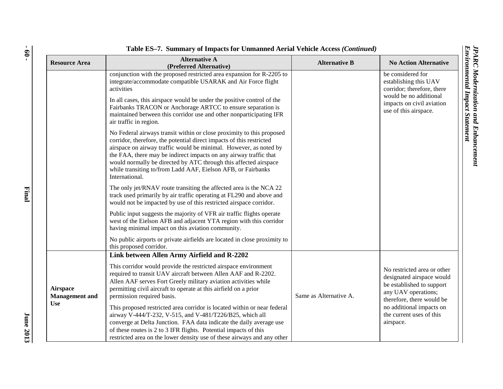| Table ES-7. Summary of Impacts for Unmanned Aerial Vehicle Access (Continued) |                                          |                                                                                                                                                                                                                                                                                                                                                                                                                                               |                        |                                                                                                                                                          |
|-------------------------------------------------------------------------------|------------------------------------------|-----------------------------------------------------------------------------------------------------------------------------------------------------------------------------------------------------------------------------------------------------------------------------------------------------------------------------------------------------------------------------------------------------------------------------------------------|------------------------|----------------------------------------------------------------------------------------------------------------------------------------------------------|
| $\ddot{\bullet}$                                                              | <b>Resource Area</b>                     | <b>Alternative A</b><br>(Preferred Alternative)                                                                                                                                                                                                                                                                                                                                                                                               | <b>Alternative B</b>   | <b>No Action Alternative</b>                                                                                                                             |
|                                                                               |                                          | conjunction with the proposed restricted area expansion for R-2205 to<br>integrate/accommodate compatible USARAK and Air Force flight<br>activities<br>In all cases, this airspace would be under the positive control of the<br>Fairbanks TRACON or Anchorage ARTCC to ensure separation is<br>maintained between this corridor use and other nonparticipating IFR<br>air traffic in region.                                                 |                        | be considered for<br>establishing this UAV<br>corridor; therefore, there<br>would be no additional<br>impacts on civil aviation<br>use of this airspace. |
|                                                                               |                                          | No Federal airways transit within or close proximity to this proposed<br>corridor, therefore, the potential direct impacts of this restricted<br>airspace on airway traffic would be minimal. However, as noted by<br>the FAA, there may be indirect impacts on any airway traffic that<br>would normally be directed by ATC through this affected airspace<br>while transiting to/from Ladd AAF, Eielson AFB, or Fairbanks<br>International. |                        |                                                                                                                                                          |
| Final                                                                         |                                          | The only jet/RNAV route transiting the affected area is the NCA 22<br>track used primarily by air traffic operating at FL290 and above and<br>would not be impacted by use of this restricted airspace corridor.                                                                                                                                                                                                                              |                        |                                                                                                                                                          |
|                                                                               |                                          | Public input suggests the majority of VFR air traffic flights operate<br>west of the Eielson AFB and adjacent YTA region with this corridor<br>having minimal impact on this aviation community.                                                                                                                                                                                                                                              |                        |                                                                                                                                                          |
|                                                                               |                                          | No public airports or private airfields are located in close proximity to<br>this proposed corridor.                                                                                                                                                                                                                                                                                                                                          |                        |                                                                                                                                                          |
|                                                                               |                                          | Link between Allen Army Airfield and R-2202                                                                                                                                                                                                                                                                                                                                                                                                   |                        |                                                                                                                                                          |
|                                                                               | <b>Airspace</b><br><b>Management</b> and | This corridor would provide the restricted airspace environment<br>required to transit UAV aircraft between Allen AAF and R-2202.<br>Allen AAF serves Fort Greely military aviation activities while<br>permitting civil aircraft to operate at this airfield on a prior<br>permission required basis.                                                                                                                                        | Same as Alternative A. | No restricted area or other<br>designated airspace would<br>be established to support<br>any UAV operations;<br>therefore, there would be                |
| <b>June 201</b>                                                               | <b>Use</b>                               | This proposed restricted area corridor is located within or near federal<br>airway V-444/T-232, V-515, and V-481/T226/B25, which all<br>converge at Delta Junction. FAA data indicate the daily average use<br>of these routes is 2 to 3 IFR flights. Potential impacts of this<br>restricted area on the lower density use of these airways and any other                                                                                    |                        | no additional impacts on<br>the current uses of this<br>airspace.                                                                                        |

*JPARC Modernization and Enhancement*

JPARC Modernization and Enhancement<br>Environmental Impact Statement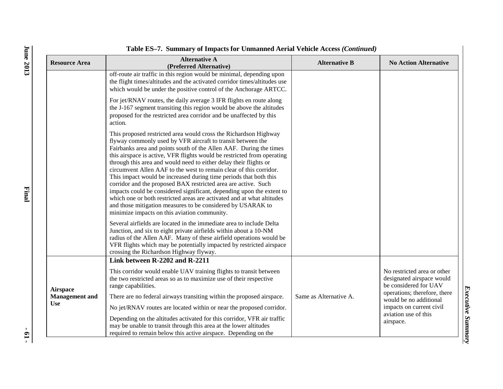| Table ES-7. Summary of Impacts for Unmanned Aerial Vehicle Access (Continued) |                                                                                                                                                                                                                                                                                                                                                                                                                                                                                                                                                                                                                                                                                                                                                                                                                                      |                        |                                                                                    |  |
|-------------------------------------------------------------------------------|--------------------------------------------------------------------------------------------------------------------------------------------------------------------------------------------------------------------------------------------------------------------------------------------------------------------------------------------------------------------------------------------------------------------------------------------------------------------------------------------------------------------------------------------------------------------------------------------------------------------------------------------------------------------------------------------------------------------------------------------------------------------------------------------------------------------------------------|------------------------|------------------------------------------------------------------------------------|--|
| <b>Resource Area</b>                                                          | <b>Alternative A</b><br>(Preferred Alternative)                                                                                                                                                                                                                                                                                                                                                                                                                                                                                                                                                                                                                                                                                                                                                                                      | <b>Alternative B</b>   | <b>No Action Alternative</b>                                                       |  |
|                                                                               | off-route air traffic in this region would be minimal, depending upon<br>the flight times/altitudes and the activated corridor times/altitudes use<br>which would be under the positive control of the Anchorage ARTCC.                                                                                                                                                                                                                                                                                                                                                                                                                                                                                                                                                                                                              |                        |                                                                                    |  |
|                                                                               | For jet/RNAV routes, the daily average 3 IFR flights en route along<br>the J-167 segment transiting this region would be above the altitudes<br>proposed for the restricted area corridor and be unaffected by this<br>action.                                                                                                                                                                                                                                                                                                                                                                                                                                                                                                                                                                                                       |                        |                                                                                    |  |
|                                                                               | This proposed restricted area would cross the Richardson Highway<br>flyway commonly used by VFR aircraft to transit between the<br>Fairbanks area and points south of the Allen AAF. During the times<br>this airspace is active, VFR flights would be restricted from operating<br>through this area and would need to either delay their flights or<br>circumvent Allen AAF to the west to remain clear of this corridor.<br>This impact would be increased during time periods that both this<br>corridor and the proposed BAX restricted area are active. Such<br>impacts could be considered significant, depending upon the extent to<br>which one or both restricted areas are activated and at what altitudes<br>and those mitigation measures to be considered by USARAK to<br>minimize impacts on this aviation community. |                        |                                                                                    |  |
|                                                                               | Several airfields are located in the immediate area to include Delta<br>Junction, and six to eight private airfields within about a 10-NM<br>radius of the Allen AAF. Many of these airfield operations would be<br>VFR flights which may be potentially impacted by restricted airspace<br>crossing the Richardson Highway flyway.                                                                                                                                                                                                                                                                                                                                                                                                                                                                                                  |                        |                                                                                    |  |
|                                                                               | Link between R-2202 and R-2211<br>This corridor would enable UAV training flights to transit between                                                                                                                                                                                                                                                                                                                                                                                                                                                                                                                                                                                                                                                                                                                                 |                        | No restricted area or other                                                        |  |
| <b>Airspace</b>                                                               | the two restricted areas so as to maximize use of their respective<br>range capabilities.                                                                                                                                                                                                                                                                                                                                                                                                                                                                                                                                                                                                                                                                                                                                            |                        | designated airspace would<br>be considered for UAV<br>operations; therefore, there |  |
| <b>Management</b> and<br><b>Use</b>                                           | There are no federal airways transiting within the proposed airspace.<br>No jet/RNAV routes are located within or near the proposed corridor.                                                                                                                                                                                                                                                                                                                                                                                                                                                                                                                                                                                                                                                                                        | Same as Alternative A. | would be no additional<br>impacts on current civil                                 |  |
|                                                                               | Depending on the altitudes activated for this corridor, VFR air traffic<br>may be unable to transit through this area at the lower altitudes<br>required to remain below this active airspace. Depending on the                                                                                                                                                                                                                                                                                                                                                                                                                                                                                                                                                                                                                      |                        | aviation use of this<br>airspace.                                                  |  |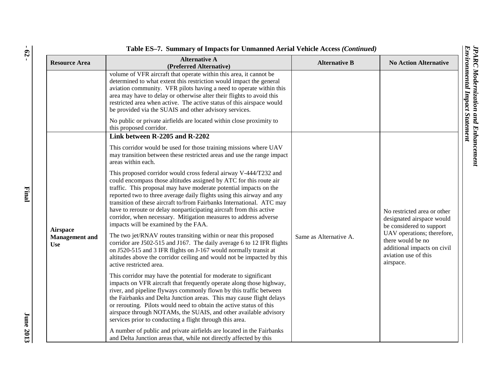| Environmental Impact Statement | JPARC Modernization and Enhancement |
|--------------------------------|-------------------------------------|
|                                |                                     |

| $\mathfrak{L}$   |                                                        | Table ES-7. Summary of Impacts for Unmanned Aerial Vehicle Access (Continued)                                                                                                                                                                                                                                                                                                                                                                                                                                                                    |                        |                                                                                                                     |  |  |
|------------------|--------------------------------------------------------|--------------------------------------------------------------------------------------------------------------------------------------------------------------------------------------------------------------------------------------------------------------------------------------------------------------------------------------------------------------------------------------------------------------------------------------------------------------------------------------------------------------------------------------------------|------------------------|---------------------------------------------------------------------------------------------------------------------|--|--|
|                  | <b>Resource Area</b>                                   | <b>Alternative A</b><br>(Preferred Alternative)                                                                                                                                                                                                                                                                                                                                                                                                                                                                                                  | <b>Alternative B</b>   | <b>No Action Alternative</b>                                                                                        |  |  |
|                  |                                                        | volume of VFR aircraft that operate within this area, it cannot be<br>determined to what extent this restriction would impact the general<br>aviation community. VFR pilots having a need to operate within this<br>area may have to delay or otherwise alter their flights to avoid this<br>restricted area when active. The active status of this airspace would<br>be provided via the SUAIS and other advisory services.<br>No public or private airfields are located within close proximity to<br>this proposed corridor.                  |                        |                                                                                                                     |  |  |
|                  |                                                        | Link between R-2205 and R-2202                                                                                                                                                                                                                                                                                                                                                                                                                                                                                                                   |                        |                                                                                                                     |  |  |
|                  |                                                        | This corridor would be used for those training missions where UAV<br>may transition between these restricted areas and use the range impact<br>areas within each.                                                                                                                                                                                                                                                                                                                                                                                |                        |                                                                                                                     |  |  |
| Final            |                                                        | This proposed corridor would cross federal airway V-444/T232 and<br>could encompass those altitudes assigned by ATC for this route air<br>traffic. This proposal may have moderate potential impacts on the<br>reported two to three average daily flights using this airway and any<br>transition of these aircraft to/from Fairbanks International. ATC may<br>have to reroute or delay nonparticipating aircraft from this active<br>corridor, when necessary. Mitigation measures to address adverse<br>impacts will be examined by the FAA. |                        | No restricted area or other<br>designated airspace would<br>be considered to support                                |  |  |
|                  | <b>Airspace</b><br><b>Management</b> and<br><b>Use</b> | The two jet/RNAV routes transiting within or near this proposed<br>corridor are J502-515 and J167. The daily average 6 to 12 IFR flights<br>on J520-515 and 3 IFR flights on J-167 would normally transit at<br>altitudes above the corridor ceiling and would not be impacted by this<br>active restricted area.                                                                                                                                                                                                                                | Same as Alternative A. | UAV operations; therefore,<br>there would be no<br>additional impacts on civil<br>aviation use of this<br>airspace. |  |  |
|                  |                                                        | This corridor may have the potential for moderate to significant<br>impacts on VFR aircraft that frequently operate along those highway,<br>river, and pipeline flyways commonly flown by this traffic between<br>the Fairbanks and Delta Junction areas. This may cause flight delays<br>or rerouting. Pilots would need to obtain the active status of this<br>airspace through NOTAMs, the SUAIS, and other available advisory<br>services prior to conducting a flight through this area.                                                    |                        |                                                                                                                     |  |  |
| <b>June 2013</b> |                                                        | A number of public and private airfields are located in the Fairbanks<br>and Delta Junction areas that, while not directly affected by this                                                                                                                                                                                                                                                                                                                                                                                                      |                        |                                                                                                                     |  |  |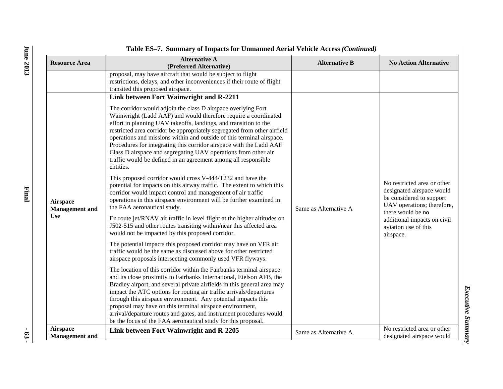| Table ES-7. Summary of Impacts for Unmanned Aerial Vehicle Access (Continued) |                                                                                                                                                                                                                                                                                                                                                                                                                                                                                                                                                                                   |                        |                                                                                                                                         |  |
|-------------------------------------------------------------------------------|-----------------------------------------------------------------------------------------------------------------------------------------------------------------------------------------------------------------------------------------------------------------------------------------------------------------------------------------------------------------------------------------------------------------------------------------------------------------------------------------------------------------------------------------------------------------------------------|------------------------|-----------------------------------------------------------------------------------------------------------------------------------------|--|
| <b>Resource Area</b>                                                          | <b>Alternative A</b><br>(Preferred Alternative)                                                                                                                                                                                                                                                                                                                                                                                                                                                                                                                                   | <b>Alternative B</b>   | <b>No Action Alternative</b>                                                                                                            |  |
|                                                                               | proposal, may have aircraft that would be subject to flight<br>restrictions, delays, and other inconveniences if their route of flight<br>transited this proposed airspace.                                                                                                                                                                                                                                                                                                                                                                                                       |                        |                                                                                                                                         |  |
|                                                                               | Link between Fort Wainwright and R-2211                                                                                                                                                                                                                                                                                                                                                                                                                                                                                                                                           |                        |                                                                                                                                         |  |
|                                                                               | The corridor would adjoin the class D airspace overlying Fort<br>Wainwright (Ladd AAF) and would therefore require a coordinated<br>effort in planning UAV takeoffs, landings, and transition to the<br>restricted area corridor be appropriately segregated from other airfield<br>operations and missions within and outside of this terminal airspace.<br>Procedures for integrating this corridor airspace with the Ladd AAF<br>Class D airspace and segregating UAV operations from other air<br>traffic would be defined in an agreement among all responsible<br>entities. | Same as Alternative A  |                                                                                                                                         |  |
| <b>Airspace</b><br><b>Management</b> and                                      | This proposed corridor would cross V-444/T232 and have the<br>potential for impacts on this airway traffic. The extent to which this<br>corridor would impact control and management of air traffic<br>operations in this airspace environment will be further examined in<br>the FAA aeronautical study.                                                                                                                                                                                                                                                                         |                        | No restricted area or other<br>designated airspace would<br>be considered to support<br>UAV operations; therefore,<br>there would be no |  |
| <b>Use</b>                                                                    | En route jet/RNAV air traffic in level flight at the higher altitudes on<br>J502-515 and other routes transiting within/near this affected area<br>would not be impacted by this proposed corridor.                                                                                                                                                                                                                                                                                                                                                                               |                        | additional impacts on civil<br>aviation use of this<br>airspace.                                                                        |  |
|                                                                               | The potential impacts this proposed corridor may have on VFR air<br>traffic would be the same as discussed above for other restricted<br>airspace proposals intersecting commonly used VFR flyways.                                                                                                                                                                                                                                                                                                                                                                               |                        |                                                                                                                                         |  |
|                                                                               | The location of this corridor within the Fairbanks terminal airspace<br>and its close proximity to Fairbanks International, Eielson AFB, the<br>Bradley airport, and several private airfields in this general area may<br>impact the ATC options for routing air traffic arrivals/departures<br>through this airspace environment. Any potential impacts this<br>proposal may have on this terminal airspace environment,<br>arrival/departure routes and gates, and instrument procedures would<br>be the focus of the FAA aeronautical study for this proposal.                |                        |                                                                                                                                         |  |
| <b>Airspace</b><br><b>Management</b> and                                      | Link between Fort Wainwright and R-2205                                                                                                                                                                                                                                                                                                                                                                                                                                                                                                                                           | Same as Alternative A. | No restricted area or other<br>designated airspace would                                                                                |  |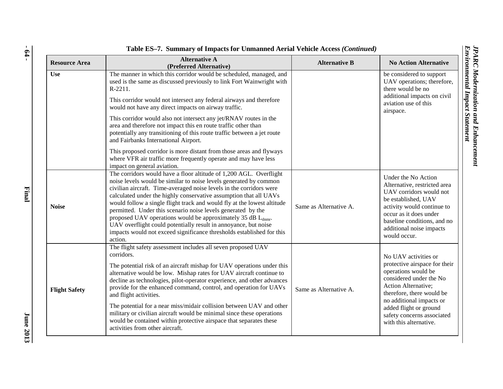| <b>Resource Area</b> | <b>Alternative A</b><br>(Preferred Alternative)                                                                                                                                                                                                                                                                                                                                                                                                                                                                                                                                                                                                                   | <b>Alternative B</b>   | <b>No Action Alternative</b>                                                                                                                                                                                                                                              |
|----------------------|-------------------------------------------------------------------------------------------------------------------------------------------------------------------------------------------------------------------------------------------------------------------------------------------------------------------------------------------------------------------------------------------------------------------------------------------------------------------------------------------------------------------------------------------------------------------------------------------------------------------------------------------------------------------|------------------------|---------------------------------------------------------------------------------------------------------------------------------------------------------------------------------------------------------------------------------------------------------------------------|
| <b>Use</b>           | The manner in which this corridor would be scheduled, managed, and<br>used is the same as discussed previously to link Fort Wainwright with<br>R-2211.<br>This corridor would not intersect any federal airways and therefore<br>would not have any direct impacts on airway traffic.<br>This corridor would also not intersect any jet/RNAV routes in the<br>area and therefore not impact this en route traffic other than<br>potentially any transitioning of this route traffic between a jet route<br>and Fairbanks International Airport.                                                                                                                   |                        | be considered to support<br>UAV operations; therefore,<br>there would be no<br>additional impacts on civil<br>aviation use of this<br>airspace.                                                                                                                           |
|                      | This proposed corridor is more distant from those areas and flyways<br>where VFR air traffic more frequently operate and may have less<br>impact on general aviation.                                                                                                                                                                                                                                                                                                                                                                                                                                                                                             |                        |                                                                                                                                                                                                                                                                           |
| <b>Noise</b>         | The corridors would have a floor altitude of 1,200 AGL. Overflight<br>noise levels would be similar to noise levels generated by common<br>civilian aircraft. Time-averaged noise levels in the corridors were<br>calculated under the highly conservative assumption that all UAVs<br>would follow a single flight track and would fly at the lowest altitude<br>permitted. Under this scenario noise levels generated by the<br>proposed UAV operations would be approximately 35 dB L <sub>dnmr</sub> .<br>UAV overflight could potentially result in annoyance, but noise<br>impacts would not exceed significance thresholds established for this<br>action. | Same as Alternative A. | Under the No Action<br>Alternative, restricted area<br>UAV corridors would not<br>be established, UAV<br>activity would continue to<br>occur as it does under<br>baseline conditions, and no<br>additional noise impacts<br>would occur.                                  |
| <b>Flight Safety</b> | The flight safety assessment includes all seven proposed UAV<br>corridors.<br>The potential risk of an aircraft mishap for UAV operations under this<br>alternative would be low. Mishap rates for UAV aircraft continue to<br>decline as technologies, pilot-operator experience, and other advances<br>provide for the enhanced command, control, and operation for UAVs<br>and flight activities.<br>The potential for a near miss/midair collision between UAV and other<br>military or civilian aircraft would be minimal since these operations<br>would be contained within protective airspace that separates these                                       | Same as Alternative A. | No UAV activities or<br>protective airspace for their<br>operations would be<br>considered under the No<br>Action Alternative;<br>therefore, there would be<br>no additional impacts or<br>added flight or ground<br>safety concerns associated<br>with this alternative. |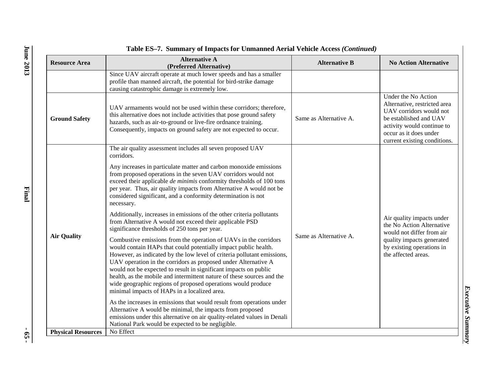| <b>Resource Area</b> | <b>Alternative A</b><br>(Preferred Alternative)                                                                                                                                                                                                                                                                                                                                                                                                                                                                                                | <b>Alternative B</b>   | <b>No Action Alternative</b>                                                                                                                                                                     |
|----------------------|------------------------------------------------------------------------------------------------------------------------------------------------------------------------------------------------------------------------------------------------------------------------------------------------------------------------------------------------------------------------------------------------------------------------------------------------------------------------------------------------------------------------------------------------|------------------------|--------------------------------------------------------------------------------------------------------------------------------------------------------------------------------------------------|
|                      | Since UAV aircraft operate at much lower speeds and has a smaller<br>profile than manned aircraft, the potential for bird-strike damage<br>causing catastrophic damage is extremely low.                                                                                                                                                                                                                                                                                                                                                       |                        |                                                                                                                                                                                                  |
| <b>Ground Safety</b> | UAV armaments would not be used within these corridors; therefore,<br>this alternative does not include activities that pose ground safety<br>hazards, such as air-to-ground or live-fire ordnance training.<br>Consequently, impacts on ground safety are not expected to occur.                                                                                                                                                                                                                                                              | Same as Alternative A. | Under the No Action<br>Alternative, restricted area<br>UAV corridors would not<br>be established and UAV<br>activity would continue to<br>occur as it does under<br>current existing conditions. |
|                      | The air quality assessment includes all seven proposed UAV<br>corridors.<br>Any increases in particulate matter and carbon monoxide emissions<br>from proposed operations in the seven UAV corridors would not<br>exceed their applicable <i>de minimis</i> conformity thresholds of 100 tons                                                                                                                                                                                                                                                  |                        |                                                                                                                                                                                                  |
|                      | per year. Thus, air quality impacts from Alternative A would not be<br>considered significant, and a conformity determination is not<br>necessary.<br>Additionally, increases in emissions of the other criteria pollutants                                                                                                                                                                                                                                                                                                                    |                        | Air quality impacts under                                                                                                                                                                        |
|                      | from Alternative A would not exceed their applicable PSD<br>significance thresholds of 250 tons per year.                                                                                                                                                                                                                                                                                                                                                                                                                                      | Same as Alternative A. | the No Action Alternative<br>would not differ from air                                                                                                                                           |
| <b>Air Quality</b>   | Combustive emissions from the operation of UAVs in the corridors<br>would contain HAPs that could potentially impact public health.<br>However, as indicated by the low level of criteria pollutant emissions,<br>UAV operation in the corridors as proposed under Alternative A<br>would not be expected to result in significant impacts on public<br>health, as the mobile and intermittent nature of these sources and the<br>wide geographic regions of proposed operations would produce<br>minimal impacts of HAPs in a localized area. |                        | quality impacts generated<br>by existing operations in<br>the affected areas.                                                                                                                    |
|                      | As the increases in emissions that would result from operations under<br>Alternative A would be minimal, the impacts from proposed<br>emissions under this alternative on air quality-related values in Denali<br>National Park would be expected to be negligible.                                                                                                                                                                                                                                                                            |                        |                                                                                                                                                                                                  |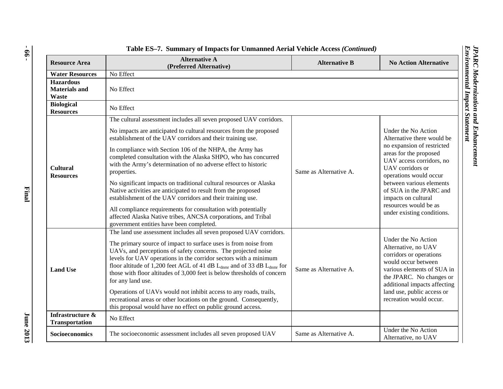|                 |                                                   | Table ES-7. Summary of Impacts for Unmanned Aerial Vehicle Access (Continued)                                                                                                                                                                                                                                                                                                                                                                                                |                        |                                                                                                                                                                                                                                                                     |  |
|-----------------|---------------------------------------------------|------------------------------------------------------------------------------------------------------------------------------------------------------------------------------------------------------------------------------------------------------------------------------------------------------------------------------------------------------------------------------------------------------------------------------------------------------------------------------|------------------------|---------------------------------------------------------------------------------------------------------------------------------------------------------------------------------------------------------------------------------------------------------------------|--|
| - 99            | <b>Resource Area</b>                              | <b>Alternative A</b><br>(Preferred Alternative)                                                                                                                                                                                                                                                                                                                                                                                                                              | <b>Alternative B</b>   | <b>No Action Alternative</b>                                                                                                                                                                                                                                        |  |
|                 | <b>Water Resources</b>                            | No Effect                                                                                                                                                                                                                                                                                                                                                                                                                                                                    |                        |                                                                                                                                                                                                                                                                     |  |
|                 | <b>Hazardous</b><br><b>Materials and</b><br>Waste | No Effect                                                                                                                                                                                                                                                                                                                                                                                                                                                                    |                        |                                                                                                                                                                                                                                                                     |  |
|                 | <b>Biological</b><br><b>Resources</b>             | No Effect                                                                                                                                                                                                                                                                                                                                                                                                                                                                    |                        |                                                                                                                                                                                                                                                                     |  |
|                 |                                                   | The cultural assessment includes all seven proposed UAV corridors.                                                                                                                                                                                                                                                                                                                                                                                                           |                        |                                                                                                                                                                                                                                                                     |  |
|                 |                                                   | No impacts are anticipated to cultural resources from the proposed<br>establishment of the UAV corridors and their training use.                                                                                                                                                                                                                                                                                                                                             |                        | Under the No Action<br>Alternative there would be                                                                                                                                                                                                                   |  |
|                 | <b>Cultural</b><br><b>Resources</b>               | In compliance with Section 106 of the NHPA, the Army has<br>completed consultation with the Alaska SHPO, who has concurred<br>with the Army's determination of no adverse effect to historic<br>properties.                                                                                                                                                                                                                                                                  | Same as Alternative A. | no expansion of restricted<br>areas for the proposed<br>UAV access corridors, no<br>UAV corridors or<br>operations would occur<br>between various elements<br>of SUA in the JPARC and<br>impacts on cultural<br>resources would be as<br>under existing conditions. |  |
| Final           |                                                   | No significant impacts on traditional cultural resources or Alaska<br>Native activities are anticipated to result from the proposed<br>establishment of the UAV corridors and their training use.                                                                                                                                                                                                                                                                            |                        |                                                                                                                                                                                                                                                                     |  |
|                 |                                                   | All compliance requirements for consultation with potentially<br>affected Alaska Native tribes, ANCSA corporations, and Tribal<br>government entities have been completed.                                                                                                                                                                                                                                                                                                   |                        |                                                                                                                                                                                                                                                                     |  |
|                 | <b>Land Use</b>                                   | The land use assessment includes all seven proposed UAV corridors.<br>The primary source of impact to surface uses is from noise from<br>UAVs, and perceptions of safety concerns. The projected noise<br>levels for UAV operations in the corridor sectors with a minimum<br>floor altitude of 1,200 feet AGL of 41 dB L <sub>dnmr</sub> and of 33 dB L <sub>dnmr</sub> for<br>those with floor altitudes of 3,000 feet is below thresholds of concern<br>for any land use. | Same as Alternative A. | Under the No Action<br>Alternative, no UAV<br>corridors or operations<br>would occur between<br>various elements of SUA in<br>the JPARC. No changes or<br>additional impacts affecting                                                                              |  |
|                 |                                                   | Operations of UAVs would not inhibit access to any roads, trails,<br>recreational areas or other locations on the ground. Consequently,<br>this proposal would have no effect on public ground access.                                                                                                                                                                                                                                                                       |                        | land use, public access or<br>recreation would occur.                                                                                                                                                                                                               |  |
|                 | Infrastructure &<br><b>Transportation</b>         | No Effect                                                                                                                                                                                                                                                                                                                                                                                                                                                                    |                        |                                                                                                                                                                                                                                                                     |  |
| <b>June 201</b> | <b>Socioeconomics</b>                             | The socioeconomic assessment includes all seven proposed UAV                                                                                                                                                                                                                                                                                                                                                                                                                 | Same as Alternative A. | Under the No Action<br>Alternative, no UAV                                                                                                                                                                                                                          |  |

*JPARC Modernization and Enhancement*

JPARC Modernization and Enhancement<br>Environmental Impact Statement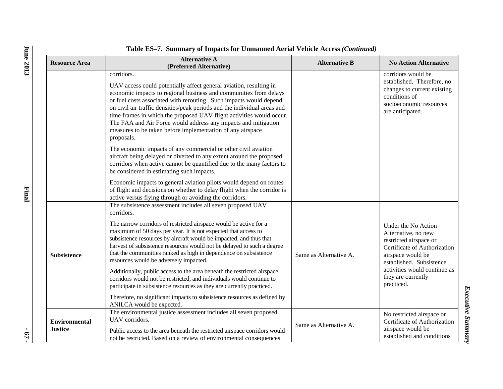| radic ES=7. Summary or impacts for Uninaniicu Acriar veniere Access (C <i>ontinueu)</i><br><b>Alternative A</b> |                                                                                                                                                                                                                                                                                                                                                                                                                                                                                                                                                                                                                                                                                                                                                                                                                    |                        |                                                                                                                                                                                                                           |  |
|-----------------------------------------------------------------------------------------------------------------|--------------------------------------------------------------------------------------------------------------------------------------------------------------------------------------------------------------------------------------------------------------------------------------------------------------------------------------------------------------------------------------------------------------------------------------------------------------------------------------------------------------------------------------------------------------------------------------------------------------------------------------------------------------------------------------------------------------------------------------------------------------------------------------------------------------------|------------------------|---------------------------------------------------------------------------------------------------------------------------------------------------------------------------------------------------------------------------|--|
| <b>Resource Area</b>                                                                                            | (Preferred Alternative)                                                                                                                                                                                                                                                                                                                                                                                                                                                                                                                                                                                                                                                                                                                                                                                            | <b>Alternative B</b>   | <b>No Action Alternative</b>                                                                                                                                                                                              |  |
|                                                                                                                 | corridors.<br>UAV access could potentially affect general aviation, resulting in<br>economic impacts to regional business and communities from delays<br>or fuel costs associated with rerouting. Such impacts would depend<br>on civil air traffic densities/peak periods and the individual areas and<br>time frames in which the proposed UAV flight activities would occur.<br>The FAA and Air Force would address any impacts and mitigation<br>measures to be taken before implementation of any airspace<br>proposals.                                                                                                                                                                                                                                                                                      |                        | corridors would be<br>established. Therefore, no<br>changes to current existing<br>conditions of<br>socioeconomic resources<br>are anticipated.                                                                           |  |
|                                                                                                                 | The economic impacts of any commercial or other civil aviation<br>aircraft being delayed or diverted to any extent around the proposed<br>corridors when active cannot be quantified due to the many factors to<br>be considered in estimating such impacts.                                                                                                                                                                                                                                                                                                                                                                                                                                                                                                                                                       |                        |                                                                                                                                                                                                                           |  |
|                                                                                                                 | Economic impacts to general aviation pilots would depend on routes<br>of flight and decisions on whether to delay flight when the corridor is<br>active versus flying through or avoiding the corridors.                                                                                                                                                                                                                                                                                                                                                                                                                                                                                                                                                                                                           |                        |                                                                                                                                                                                                                           |  |
| <b>Subsistence</b>                                                                                              | The subsistence assessment includes all seven proposed UAV<br>corridors.<br>The narrow corridors of restricted airspace would be active for a<br>maximum of 50 days per year. It is not expected that access to<br>subsistence resources by aircraft would be impacted, and thus that<br>harvest of subsistence resources would not be delayed to such a degree<br>that the communities ranked as high in dependence on subsistence<br>resources would be adversely impacted.<br>Additionally, public access to the area beneath the restricted airspace<br>corridors would not be restricted, and individuals would continue to<br>participate in subsistence resources as they are currently practiced.<br>Therefore, no significant impacts to subsistence resources as defined by<br>ANILCA would be expected. | Same as Alternative A. | Under the No Action<br>Alternative, no new<br>restricted airspace or<br>Certificate of Authorization<br>airspace would be<br>established. Subsistence<br>activities would continue as<br>they are currently<br>practiced. |  |
| <b>Environmental</b><br><b>Justice</b>                                                                          | The environmental justice assessment includes all seven proposed<br>UAV corridors.<br>Public access to the area beneath the restricted airspace corridors would<br>not be restricted. Based on a review of environmental consequences                                                                                                                                                                                                                                                                                                                                                                                                                                                                                                                                                                              | Same as Alternative A. | No restricted airspace or<br>Certificate of Authorization<br>airspace would be<br>established and conditions                                                                                                              |  |

# **Table ES–7. Summary of Impacts for Unmanned Aerial Vehicle Access** *(Continued)*

**- 67 -**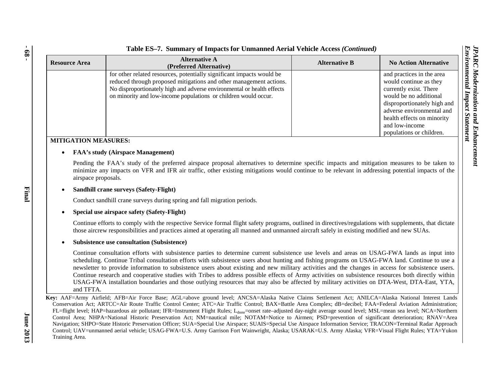| Table ES-7. Summary of Impacts for Unmanned Aerial Vehicle Access (Continued) |                                                                                                                                                                                                                       |                      |                                                                               |  |
|-------------------------------------------------------------------------------|-----------------------------------------------------------------------------------------------------------------------------------------------------------------------------------------------------------------------|----------------------|-------------------------------------------------------------------------------|--|
| <b>Resource Area</b>                                                          | <b>Alternative A</b><br>(Preferred Alternative)                                                                                                                                                                       | <b>Alternative B</b> | <b>No Action Alternative</b>                                                  |  |
|                                                                               | for other related resources, potentially significant impacts would be<br>reduced through proposed mitigations and other management actions.<br>No disproportionately high and adverse environmental or health effects |                      | and practices in the area<br>would continue as they<br>currently exist. There |  |
|                                                                               | on minority and low-income populations or children would occur.                                                                                                                                                       |                      | would be no additional<br>disproportionately high and                         |  |
|                                                                               |                                                                                                                                                                                                                       |                      | adverse environmental and<br>health effects on minority                       |  |
|                                                                               |                                                                                                                                                                                                                       |                      | and low-income<br>populations or children.                                    |  |

Environmental Impact Statement

*JPARC Modernization and Enhancement*

JPARC Modernization and Enhancement

#### **MITIGATION MEASURES:**

#### • **FAA's study (Airspace Management)**

Pending the FAA's study of the preferred airspace proposal alternatives to determine specific impacts and mitigation measures to be taken to minimize any impacts on VFR and IFR air traffic, other existing mitigations would continue to be relevant in addressing potential impacts of the airspace proposals.

#### • **Sandhill crane surveys (Safety-Flight)**

Conduct sandhill crane surveys during spring and fall migration periods.

#### • **Special use airspace safety (Safety-Flight)**

Continue efforts to comply with the respective Service formal flight safety programs, outlined in directives/regulations with supplements, that dictate those aircrew responsibilities and practices aimed at operating all manned and unmanned aircraft safely in existing modified and new SUAs.

#### • **Subsistence use consultation (Subsistence)**

Continue consultation efforts with subsistence parties to determine current subsistence use levels and areas on USAG-FWA lands as input into scheduling. Continue Tribal consultation efforts with subsistence users about hunting and fishing programs on USAG-FWA land. Continue to use a newsletter to provide information to subsistence users about existing and new military activities and the changes in access for subsistence users. Continue research and cooperative studies with Tribes to address possible effects of Army activities on subsistence resources both directly within USAG-FWA installation boundaries and those outlying resources that may also be affected by military activities on DTA-West, DTA-East, YTA, and TFTA.

**Key:** AAF=Army Airfield; AFB=Air Force Base; AGL=above ground level; ANCSA=Alaska Native Claims Settlement Act; ANILCA=Alaska National Interest Lands Conservation Act; ARTCC=Air Route Traffic Control Center; ATC=Air Traffic Control; BAX=Battle Area Complex; dB=decibel; FAA=Federal Aviation Administration; FL=flight level; HAP=hazardous air pollutant; IFR=Instrument Flight Rules; L<sub>dnmr</sub>=onset rate–adjusted day-night average sound level; MSL=mean sea level; NCA=Northern Control Area; NHPA=National Historic Preservation Act; NM=nautical mile; NOTAM=Notice to Airmen; PSD=prevention of significant deterioration; RNAV=Area Navigation; SHPO=State Historic Preservation Officer; SUA=Special Use Airspace; SUAIS=Special Use Airspace Information Service; TRACON=Terminal Radar Approach Control; UAV=unmanned aerial vehicle; USAG-FWA=U.S. Army Garrison Fort Wainwright, Alaska; USARAK=U.S. Army Alaska; VFR=Visual Flight Rules; YTA=Yukon Training Area.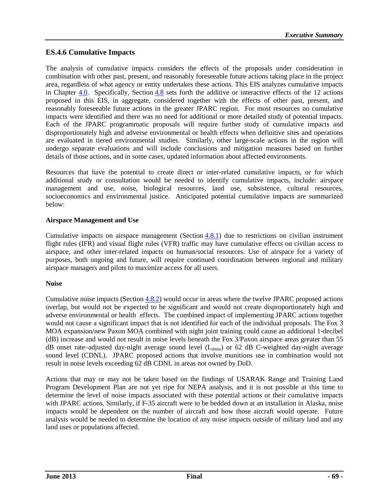# **ES.4.6 Cumulative Impacts**

The analysis of cumulative impacts considers the effects of the proposals under consideration in combination with other past, present, and reasonably foreseeable future actions taking place in the project area, regardless of what agency or entity undertakes these actions. This EIS analyzes cumulative impacts in Chapter 4.0. Specifically, Section 4.8 sets forth the additive or interactive effects of the 12 actions proposed in this EIS, in aggregate, considered together with the effects of other past, present, and reasonably foreseeable future actions in the greater JPARC region. For most resources no cumulative impacts were identified and there was no need for additional or more detailed study of potential impacts. Each of the JPARC programmatic proposals will require further study of cumulative impacts and disproportionately high and adverse environmental or health effects when definitive sites and operations are evaluated in tiered environmental studies. Similarly, other large-scale actions in the region will undergo separate evaluations and will include conclusions and mitigation measures based on further details of those actions, and in some cases, updated information about affected environments.

Resources that have the potential to create direct or inter-related cumulative impacts, or for which additional study or consultation would be needed to identify cumulative impacts, include: airspace management and use, noise, biological resources, land use, subsistence, cultural resources, socioeconomics and environmental justice. Anticipated potential cumulative impacts are summarized below:

# **Airspace Management and Use**

Cumulative impacts on airspace management (Section 4.8.1) due to restrictions on civilian instrument flight rules (IFR) and visual flight rules (VFR) traffic may have cumulative effects on civilian access to airspace, and other inter-related impacts on human/social resources. Use of airspace for a variety of purposes, both ongoing and future, will require continued coordination between regional and military airspace managers and pilots to maximize access for all users.

### **Noise**

Cumulative noise impacts (Section  $4.8.2$ ) would occur in areas where the twelve JPARC proposed actions overlap, but would not be expected to be significant and would not create disproportionately high and adverse environmental or health effects. The combined impact of implementing JPARC actions together would not cause a significant impact that is not identified for each of the individual proposals. The Fox 3 MOA expansion/new Paxon MOA combined with night joint training could cause an additional 1-decibel (dB) increase and would not result in noise levels beneath the Fox 3/Paxon airspace areas greater than 55 dB onset rate-adjusted day-night average sound level (L<sub>dnmr</sub>) or 62 dB C-weighted day-night average sound level (CDNL). JPARC proposed actions that involve munitions use in combination would not result in noise levels exceeding 62 dB CDNL in areas not owned by DoD.

Actions that may or may not be taken based on the findings of USARAK Range and Training Land Program Development Plan are not yet ripe for NEPA analysis, and it is not possible at this time to determine the level of noise impacts associated with these potential actions or their cumulative impacts with JPARC actions. Similarly, if F-35 aircraft were to be bedded down at an installation in Alaska, noise impacts would be dependent on the number of aircraft and how those aircraft would operate. Future analysis would be needed to determine the location of any noise impacts outside of military land and any land uses or populations affected.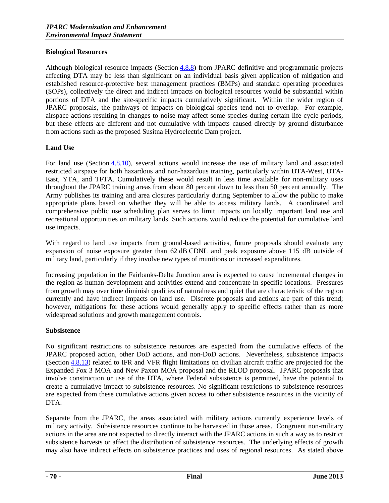#### **Biological Resources**

Although biological resource impacts (Section 4.8.8) from JPARC definitive and programmatic projects affecting DTA may be less than significant on an individual basis given application of mitigation and established resource-protective best management practices (BMPs) and standard operating procedures (SOPs), collectively the direct and indirect impacts on biological resources would be substantial within portions of DTA and the site-specific impacts cumulatively significant. Within the wider region of JPARC proposals, the pathways of impacts on biological species tend not to overlap. For example, airspace actions resulting in changes to noise may affect some species during certain life cycle periods, but these effects are different and not cumulative with impacts caused directly by ground disturbance from actions such as the proposed Susitna Hydroelectric Dam project.

#### **Land Use**

For land use (Section 4.8.10), several actions would increase the use of military land and associated restricted airspace for both hazardous and non-hazardous training, particularly within DTA-West, DTA-East, YTA, and TFTA. Cumulatively these would result in less time available for non-military uses throughout the JPARC training areas from about 80 percent down to less than 50 percent annually. The Army publishes its training and area closures particularly during September to allow the public to make appropriate plans based on whether they will be able to access military lands. A coordinated and comprehensive public use scheduling plan serves to limit impacts on locally important land use and recreational opportunities on military lands. Such actions would reduce the potential for cumulative land use impacts.

With regard to land use impacts from ground-based activities, future proposals should evaluate any expansion of noise exposure greater than 62 dB CDNL and peak exposure above 115 dB outside of military land, particularly if they involve new types of munitions or increased expenditures.

Increasing population in the Fairbanks-Delta Junction area is expected to cause incremental changes in the region as human development and activities extend and concentrate in specific locations. Pressures from growth may over time diminish qualities of naturalness and quiet that are characteristic of the region currently and have indirect impacts on land use. Discrete proposals and actions are part of this trend; however, mitigations for these actions would generally apply to specific effects rather than as more widespread solutions and growth management controls.

#### **Subsistence**

No significant restrictions to subsistence resources are expected from the cumulative effects of the JPARC proposed action, other DoD actions, and non-DoD actions. Nevertheless, subsistence impacts (Section 4.8.13) related to IFR and VFR flight limitations on civilian aircraft traffic are projected for the Expanded Fox 3 MOA and New Paxon MOA proposal and the RLOD proposal. JPARC proposals that involve construction or use of the DTA, where Federal subsistence is permitted, have the potential to create a cumulative impact to subsistence resources. No significant restrictions to subsistence resources are expected from these cumulative actions given access to other subsistence resources in the vicinity of DTA.

Separate from the JPARC, the areas associated with military actions currently experience levels of military activity. Subsistence resources continue to be harvested in those areas. Congruent non-military actions in the area are not expected to directly interact with the JPARC actions in such a way as to restrict subsistence harvests or affect the distribution of subsistence resources. The underlying effects of growth may also have indirect effects on subsistence practices and uses of regional resources. As stated above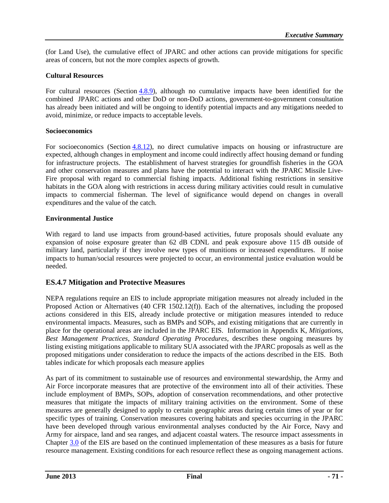(for Land Use), the cumulative effect of JPARC and other actions can provide mitigations for specific areas of concern, but not the more complex aspects of growth.

#### **Cultural Resources**

For cultural resources (Section 4.8.9), although no cumulative impacts have been identified for the combined JPARC actions and other DoD or non-DoD actions, government-to-government consultation has already been initiated and will be ongoing to identify potential impacts and any mitigations needed to avoid, minimize, or reduce impacts to acceptable levels.

#### **Socioeconomics**

For socioeconomics (Section  $4.8.12$ ), no direct cumulative impacts on housing or infrastructure are expected, although changes in employment and income could indirectly affect housing demand or funding for infrastructure projects. The establishment of harvest strategies for groundfish fisheries in the GOA and other conservation measures and plans have the potential to interact with the JPARC Missile Live-Fire proposal with regard to commercial fishing impacts. Additional fishing restrictions in sensitive habitats in the GOA along with restrictions in access during military activities could result in cumulative impacts to commercial fisherman. The level of significance would depend on changes in overall expenditures and the value of the catch.

### **Environmental Justice**

With regard to land use impacts from ground-based activities, future proposals should evaluate any expansion of noise exposure greater than 62 dB CDNL and peak exposure above 115 dB outside of military land, particularly if they involve new types of munitions or increased expenditures. If noise impacts to human/social resources were projected to occur, an environmental justice evaluation would be needed.

### **ES.4.7 Mitigation and Protective Measures**

NEPA regulations require an EIS to include appropriate mitigation measures not already included in the Proposed Action or Alternatives (40 CFR 1502.12(f)). Each of the alternatives, including the proposed actions considered in this EIS, already include protective or mitigation measures intended to reduce environmental impacts. Measures, such as BMPs and SOPs, and existing mitigations that are currently in place for the operational areas are included in the JPARC EIS. Information in Appendix K, *Mitigations, Best Management Practices, Standard Operating Procedures*, describes these ongoing measures by listing existing mitigations applicable to military SUA associated with the JPARC proposals as well as the proposed mitigations under consideration to reduce the impacts of the actions described in the EIS. Both tables indicate for which proposals each measure applies

As part of its commitment to sustainable use of resources and environmental stewardship, the Army and Air Force incorporate measures that are protective of the environment into all of their activities. These include employment of BMPs, SOPs, adoption of conservation recommendations, and other protective measures that mitigate the impacts of military training activities on the environment. Some of these measures are generally designed to apply to certain geographic areas during certain times of year or for specific types of training. Conservation measures covering habitats and species occurring in the JPARC have been developed through various environmental analyses conducted by the Air Force, Navy and Army for airspace, land and sea ranges, and adjacent coastal waters. The resource impact assessments in Chapter 3.0 of the EIS are based on the continued implementation of these measures as a basis for future resource management. Existing conditions for each resource reflect these as ongoing management actions.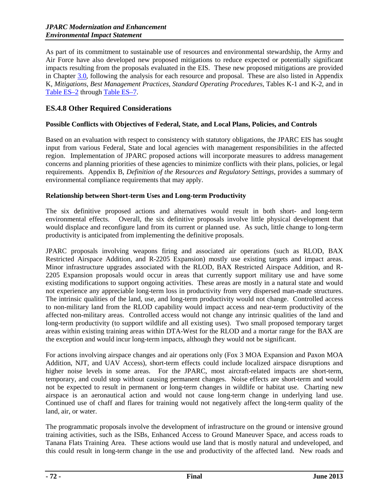As part of its commitment to sustainable use of resources and environmental stewardship, the Army and Air Force have also developed new proposed mitigations to reduce expected or potentially significant impacts resulting from the proposals evaluated in the EIS. These new proposed mitigations are provided in Chapter 3.0, following the analysis for each resource and proposal. These are also listed in Appendix K, *Mitigations, Best Management Practices, Standard Operating Procedures*, Tables K-1 and K-2, and in Table ES–2 through Table ES–7.

# **ES.4.8 Other Required Considerations**

### **Possible Conflicts with Objectives of Federal, State, and Local Plans, Policies, and Controls**

Based on an evaluation with respect to consistency with statutory obligations, the JPARC EIS has sought input from various Federal, State and local agencies with management responsibilities in the affected region. Implementation of JPARC proposed actions will incorporate measures to address management concerns and planning priorities of these agencies to minimize conflicts with their plans, policies, or legal requirements. Appendix B, *Definition of the Resources and Regulatory Settings*, provides a summary of environmental compliance requirements that may apply.

#### **Relationship between Short-term Uses and Long-term Productivity**

The six definitive proposed actions and alternatives would result in both short- and long-term environmental effects. Overall, the six definitive proposals involve little physical development that would displace and reconfigure land from its current or planned use. As such, little change to long-term productivity is anticipated from implementing the definitive proposals.

JPARC proposals involving weapons firing and associated air operations (such as RLOD, BAX Restricted Airspace Addition, and R-2205 Expansion) mostly use existing targets and impact areas. Minor infrastructure upgrades associated with the RLOD, BAX Restricted Airspace Addition, and R-2205 Expansion proposals would occur in areas that currently support military use and have some existing modifications to support ongoing activities. These areas are mostly in a natural state and would not experience any appreciable long-term loss in productivity from very dispersed man-made structures. The intrinsic qualities of the land, use, and long-term productivity would not change. Controlled access to non-military land from the RLOD capability would impact access and near-term productivity of the affected non-military areas. Controlled access would not change any intrinsic qualities of the land and long-term productivity (to support wildlife and all existing uses). Two small proposed temporary target areas within existing training areas within DTA-West for the RLOD and a mortar range for the BAX are the exception and would incur long-term impacts, although they would not be significant.

For actions involving airspace changes and air operations only (Fox 3 MOA Expansion and Paxon MOA Addition, NJT, and UAV Access), short-term effects could include localized airspace disruptions and higher noise levels in some areas. For the JPARC, most aircraft-related impacts are short-term, temporary, and could stop without causing permanent changes. Noise effects are short-term and would not be expected to result in permanent or long-term changes in wildlife or habitat use. Charting new airspace is an aeronautical action and would not cause long-term change in underlying land use. Continued use of chaff and flares for training would not negatively affect the long-term quality of the land, air, or water.

The programmatic proposals involve the development of infrastructure on the ground or intensive ground training activities, such as the ISBs, Enhanced Access to Ground Maneuver Space, and access roads to Tanana Flats Training Area. These actions would use land that is mostly natural and undeveloped, and this could result in long-term change in the use and productivity of the affected land. New roads and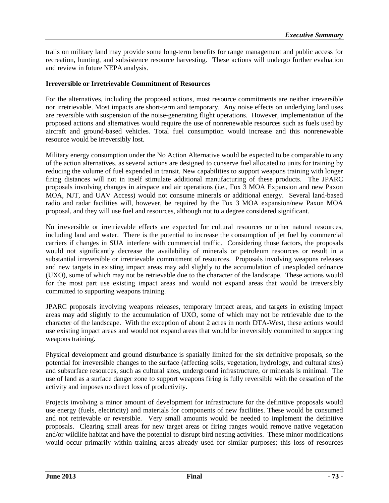trails on military land may provide some long-term benefits for range management and public access for recreation, hunting, and subsistence resource harvesting. These actions will undergo further evaluation and review in future NEPA analysis.

#### **Irreversible or Irretrievable Commitment of Resources**

For the alternatives, including the proposed actions, most resource commitments are neither irreversible nor irretrievable. Most impacts are short-term and temporary. Any noise effects on underlying land uses are reversible with suspension of the noise-generating flight operations. However, implementation of the proposed actions and alternatives would require the use of nonrenewable resources such as fuels used by aircraft and ground-based vehicles. Total fuel consumption would increase and this nonrenewable resource would be irreversibly lost.

Military energy consumption under the No Action Alternative would be expected to be comparable to any of the action alternatives, as several actions are designed to conserve fuel allocated to units for training by reducing the volume of fuel expended in transit. New capabilities to support weapons training with longer firing distances will not in itself stimulate additional manufacturing of these products. The JPARC proposals involving changes in airspace and air operations (i.e., Fox 3 MOA Expansion and new Paxon MOA, NJT, and UAV Access) would not consume minerals or additional energy. Several land-based radio and radar facilities will, however, be required by the Fox 3 MOA expansion/new Paxon MOA proposal, and they will use fuel and resources, although not to a degree considered significant.

No irreversible or irretrievable effects are expected for cultural resources or other natural resources, including land and water. There is the potential to increase the consumption of jet fuel by commercial carriers if changes in SUA interfere with commercial traffic. Considering those factors, the proposals would not significantly decrease the availability of minerals or petroleum resources or result in a substantial irreversible or irretrievable commitment of resources. Proposals involving weapons releases and new targets in existing impact areas may add slightly to the accumulation of unexploded ordnance (UXO), some of which may not be retrievable due to the character of the landscape. These actions would for the most part use existing impact areas and would not expand areas that would be irreversibly committed to supporting weapons training.

JPARC proposals involving weapons releases, temporary impact areas, and targets in existing impact areas may add slightly to the accumulation of UXO, some of which may not be retrievable due to the character of the landscape. With the exception of about 2 acres in north DTA-West, these actions would use existing impact areas and would not expand areas that would be irreversibly committed to supporting weapons training**.** 

Physical development and ground disturbance is spatially limited for the six definitive proposals, so the potential for irreversible changes to the surface (affecting soils, vegetation, hydrology, and cultural sites) and subsurface resources, such as cultural sites, underground infrastructure, or minerals is minimal. The use of land as a surface danger zone to support weapons firing is fully reversible with the cessation of the activity and imposes no direct loss of productivity.

Projects involving a minor amount of development for infrastructure for the definitive proposals would use energy (fuels, electricity) and materials for components of new facilities. These would be consumed and not retrievable or reversible. Very small amounts would be needed to implement the definitive proposals. Clearing small areas for new target areas or firing ranges would remove native vegetation and/or wildlife habitat and have the potential to disrupt bird nesting activities. These minor modifications would occur primarily within training areas already used for similar purposes; this loss of resources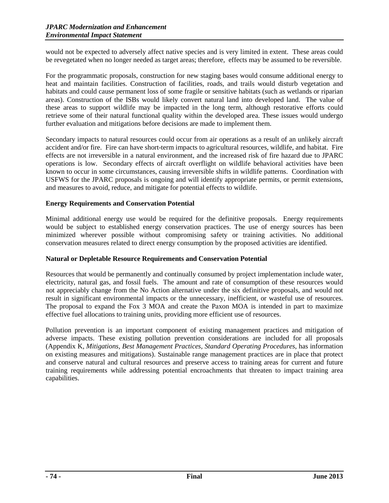would not be expected to adversely affect native species and is very limited in extent. These areas could be revegetated when no longer needed as target areas; therefore, effects may be assumed to be reversible.

For the programmatic proposals, construction for new staging bases would consume additional energy to heat and maintain facilities. Construction of facilities, roads, and trails would disturb vegetation and habitats and could cause permanent loss of some fragile or sensitive habitats (such as wetlands or riparian areas). Construction of the ISBs would likely convert natural land into developed land. The value of these areas to support wildlife may be impacted in the long term, although restorative efforts could retrieve some of their natural functional quality within the developed area. These issues would undergo further evaluation and mitigations before decisions are made to implement them.

Secondary impacts to natural resources could occur from air operations as a result of an unlikely aircraft accident and/or fire. Fire can have short-term impacts to agricultural resources, wildlife, and habitat. Fire effects are not irreversible in a natural environment, and the increased risk of fire hazard due to JPARC operations is low. Secondary effects of aircraft overflight on wildlife behavioral activities have been known to occur in some circumstances, causing irreversible shifts in wildlife patterns. Coordination with USFWS for the JPARC proposals is ongoing and will identify appropriate permits, or permit extensions, and measures to avoid, reduce, and mitigate for potential effects to wildlife.

#### **Energy Requirements and Conservation Potential**

Minimal additional energy use would be required for the definitive proposals. Energy requirements would be subject to established energy conservation practices. The use of energy sources has been minimized wherever possible without compromising safety or training activities. No additional conservation measures related to direct energy consumption by the proposed activities are identified.

#### **Natural or Depletable Resource Requirements and Conservation Potential**

Resources that would be permanently and continually consumed by project implementation include water, electricity, natural gas, and fossil fuels. The amount and rate of consumption of these resources would not appreciably change from the No Action alternative under the six definitive proposals, and would not result in significant environmental impacts or the unnecessary, inefficient, or wasteful use of resources. The proposal to expand the Fox 3 MOA and create the Paxon MOA is intended in part to maximize effective fuel allocations to training units, providing more efficient use of resources.

Pollution prevention is an important component of existing management practices and mitigation of adverse impacts. These existing pollution prevention considerations are included for all proposals (Appendix K, *Mitigations, Best Management Practices, Standard Operating Procedures*, has information on existing measures and mitigations). Sustainable range management practices are in place that protect and conserve natural and cultural resources and preserve access to training areas for current and future training requirements while addressing potential encroachments that threaten to impact training area capabilities.